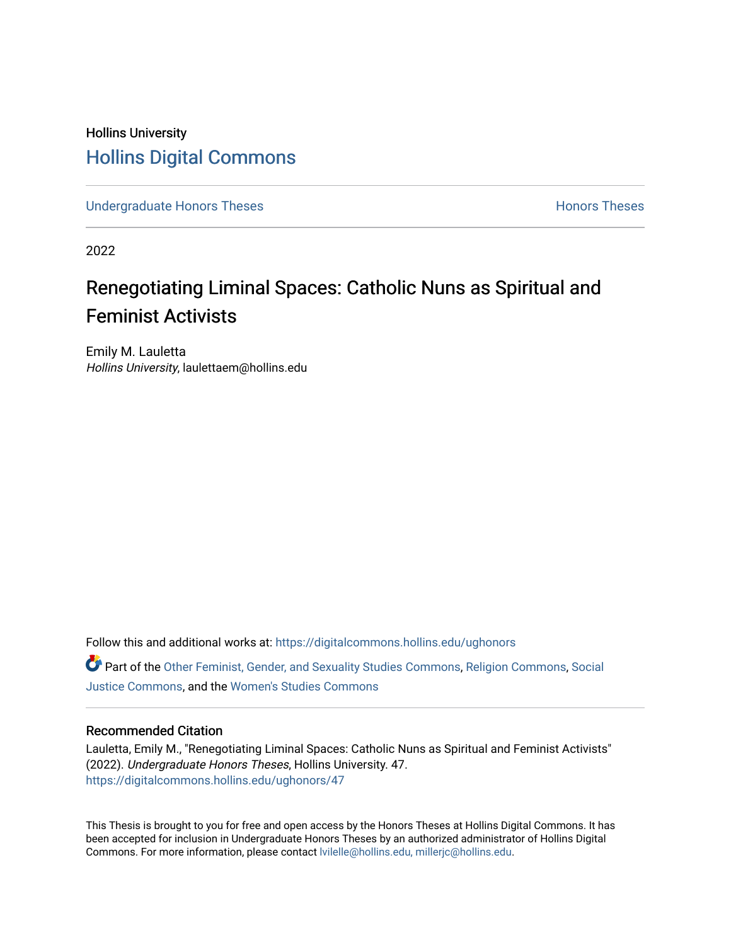## Hollins University [Hollins Digital Commons](https://digitalcommons.hollins.edu/)

[Undergraduate Honors Theses](https://digitalcommons.hollins.edu/ughonors) **Honors** Theses **Honors** Theses

2022

# Renegotiating Liminal Spaces: Catholic Nuns as Spiritual and Feminist Activists

Emily M. Lauletta Hollins University, laulettaem@hollins.edu

Follow this and additional works at: [https://digitalcommons.hollins.edu/ughonors](https://digitalcommons.hollins.edu/ughonors?utm_source=digitalcommons.hollins.edu%2Fughonors%2F47&utm_medium=PDF&utm_campaign=PDFCoverPages) Part of the [Other Feminist, Gender, and Sexuality Studies Commons,](https://network.bepress.com/hgg/discipline/562?utm_source=digitalcommons.hollins.edu%2Fughonors%2F47&utm_medium=PDF&utm_campaign=PDFCoverPages) [Religion Commons,](https://network.bepress.com/hgg/discipline/538?utm_source=digitalcommons.hollins.edu%2Fughonors%2F47&utm_medium=PDF&utm_campaign=PDFCoverPages) [Social](https://network.bepress.com/hgg/discipline/1432?utm_source=digitalcommons.hollins.edu%2Fughonors%2F47&utm_medium=PDF&utm_campaign=PDFCoverPages) [Justice Commons](https://network.bepress.com/hgg/discipline/1432?utm_source=digitalcommons.hollins.edu%2Fughonors%2F47&utm_medium=PDF&utm_campaign=PDFCoverPages), and the [Women's Studies Commons](https://network.bepress.com/hgg/discipline/561?utm_source=digitalcommons.hollins.edu%2Fughonors%2F47&utm_medium=PDF&utm_campaign=PDFCoverPages)

#### Recommended Citation

Lauletta, Emily M., "Renegotiating Liminal Spaces: Catholic Nuns as Spiritual and Feminist Activists" (2022). Undergraduate Honors Theses, Hollins University. 47. [https://digitalcommons.hollins.edu/ughonors/47](https://digitalcommons.hollins.edu/ughonors/47?utm_source=digitalcommons.hollins.edu%2Fughonors%2F47&utm_medium=PDF&utm_campaign=PDFCoverPages) 

This Thesis is brought to you for free and open access by the Honors Theses at Hollins Digital Commons. It has been accepted for inclusion in Undergraduate Honors Theses by an authorized administrator of Hollins Digital Commons. For more information, please contact [lvilelle@hollins.edu, millerjc@hollins.edu.](mailto:lvilelle@hollins.edu,%20millerjc@hollins.edu)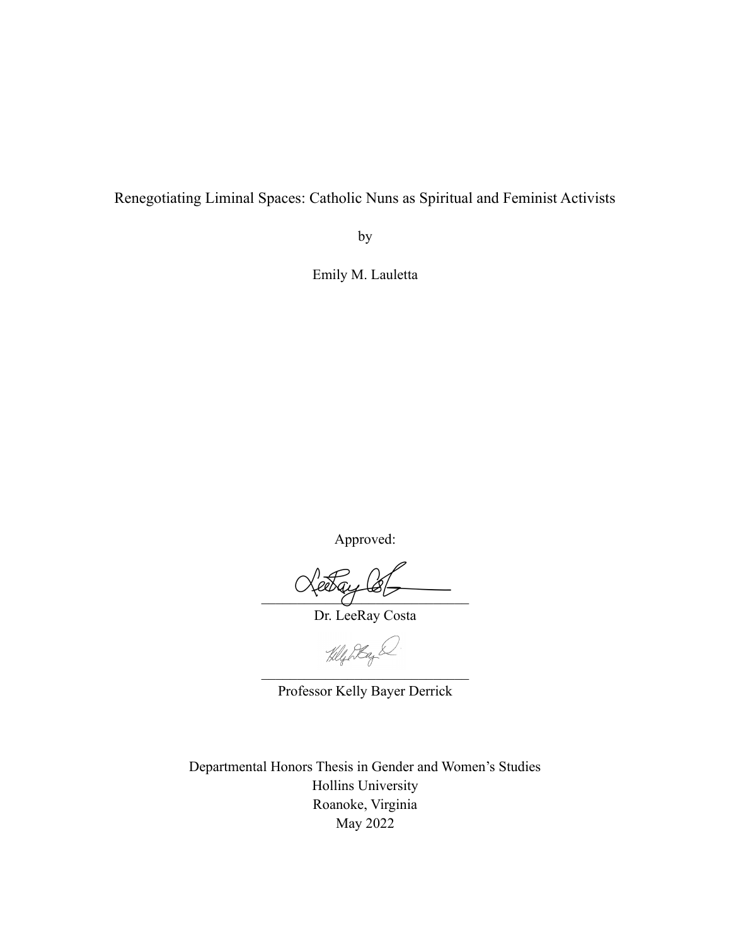Renegotiating Liminal Spaces: Catholic Nuns as Spiritual and Feminist Activists

by

Emily M. Lauletta

Approved:

 $\sim$   $\sim$   $\sim$   $\sim$   $\sim$ 

Dr. LeeRay Costa

 $\sim$   $\sim$   $\sim$ 

Professor Kelly Bayer Derrick

Departmental Honors Thesis in Gender and Women's Studies Hollins University Roanoke, Virginia May 2022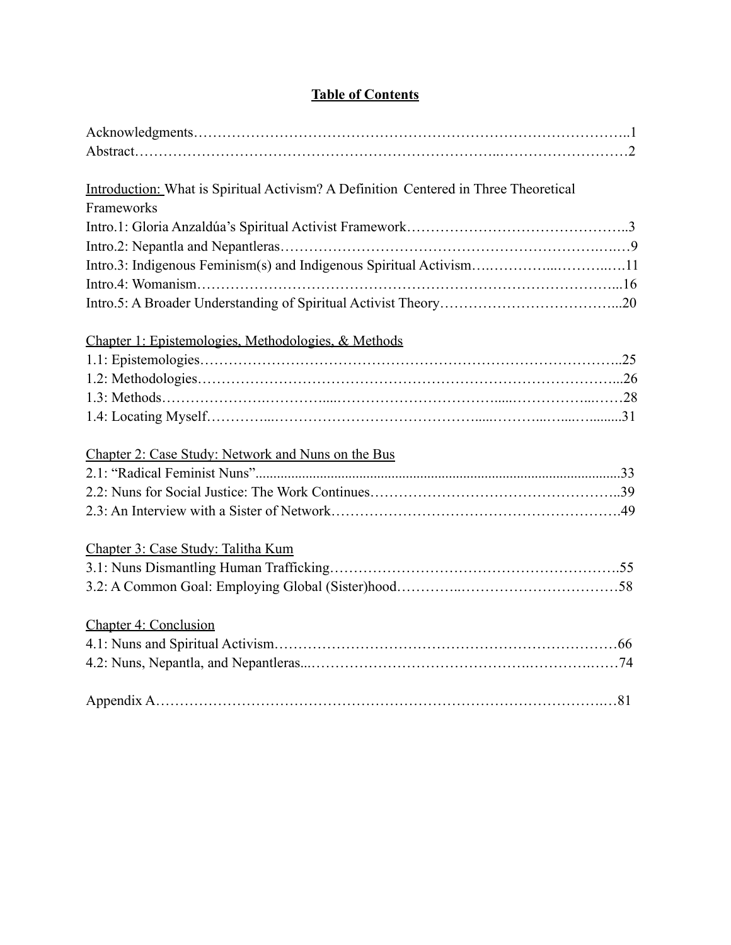### **Table of Contents**

| Introduction: What is Spiritual Activism? A Definition Centered in Three Theoretical |  |
|--------------------------------------------------------------------------------------|--|
| Frameworks                                                                           |  |
|                                                                                      |  |
|                                                                                      |  |
| Intro.3: Indigenous Feminism(s) and Indigenous Spiritual Activism11                  |  |
|                                                                                      |  |
|                                                                                      |  |
| Chapter 1: Epistemologies, Methodologies, & Methods                                  |  |
|                                                                                      |  |
|                                                                                      |  |
|                                                                                      |  |
|                                                                                      |  |
|                                                                                      |  |
| Chapter 2: Case Study: Network and Nuns on the Bus                                   |  |
|                                                                                      |  |
|                                                                                      |  |
|                                                                                      |  |
| Chapter 3: Case Study: Talitha Kum                                                   |  |
|                                                                                      |  |
|                                                                                      |  |
|                                                                                      |  |
| Chapter 4: Conclusion                                                                |  |
|                                                                                      |  |
|                                                                                      |  |
|                                                                                      |  |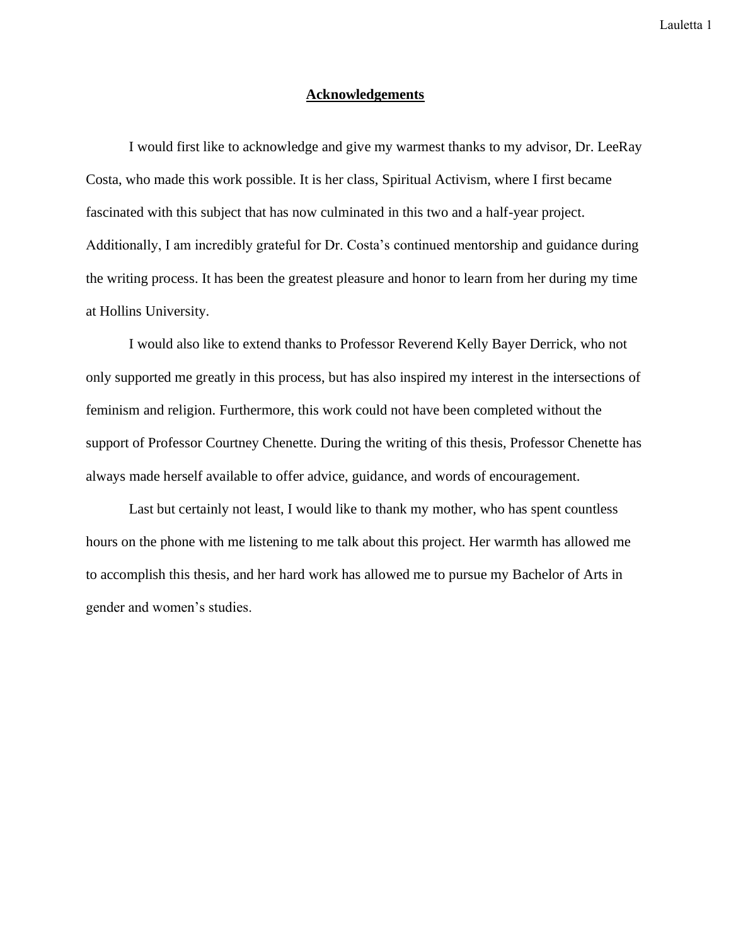#### **Acknowledgements**

I would first like to acknowledge and give my warmest thanks to my advisor, Dr. LeeRay Costa, who made this work possible. It is her class, Spiritual Activism, where I first became fascinated with this subject that has now culminated in this two and a half-year project. Additionally, I am incredibly grateful for Dr. Costa's continued mentorship and guidance during the writing process. It has been the greatest pleasure and honor to learn from her during my time at Hollins University.

I would also like to extend thanks to Professor Reverend Kelly Bayer Derrick, who not only supported me greatly in this process, but has also inspired my interest in the intersections of feminism and religion. Furthermore, this work could not have been completed without the support of Professor Courtney Chenette. During the writing of this thesis, Professor Chenette has always made herself available to offer advice, guidance, and words of encouragement.

Last but certainly not least, I would like to thank my mother, who has spent countless hours on the phone with me listening to me talk about this project. Her warmth has allowed me to accomplish this thesis, and her hard work has allowed me to pursue my Bachelor of Arts in gender and women's studies.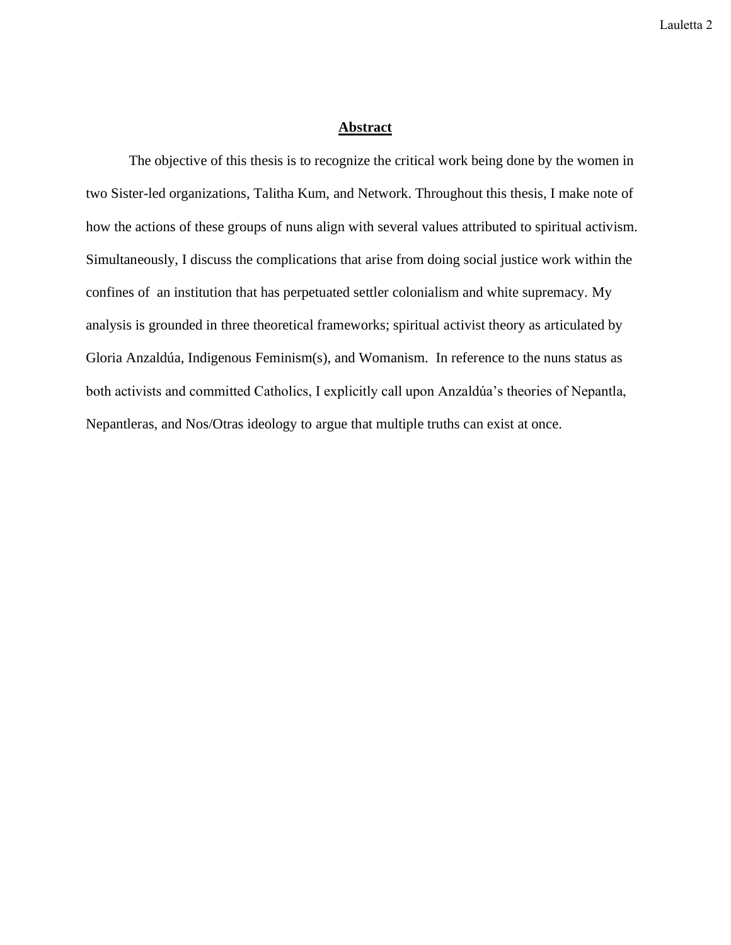#### **Abstract**

The objective of this thesis is to recognize the critical work being done by the women in two Sister-led organizations, Talitha Kum, and Network. Throughout this thesis, I make note of how the actions of these groups of nuns align with several values attributed to spiritual activism. Simultaneously, I discuss the complications that arise from doing social justice work within the confines of an institution that has perpetuated settler colonialism and white supremacy. My analysis is grounded in three theoretical frameworks; spiritual activist theory as articulated by Gloria Anzaldúa, Indigenous Feminism(s), and Womanism. In reference to the nuns status as both activists and committed Catholics, I explicitly call upon Anzaldúa's theories of Nepantla, Nepantleras, and Nos/Otras ideology to argue that multiple truths can exist at once.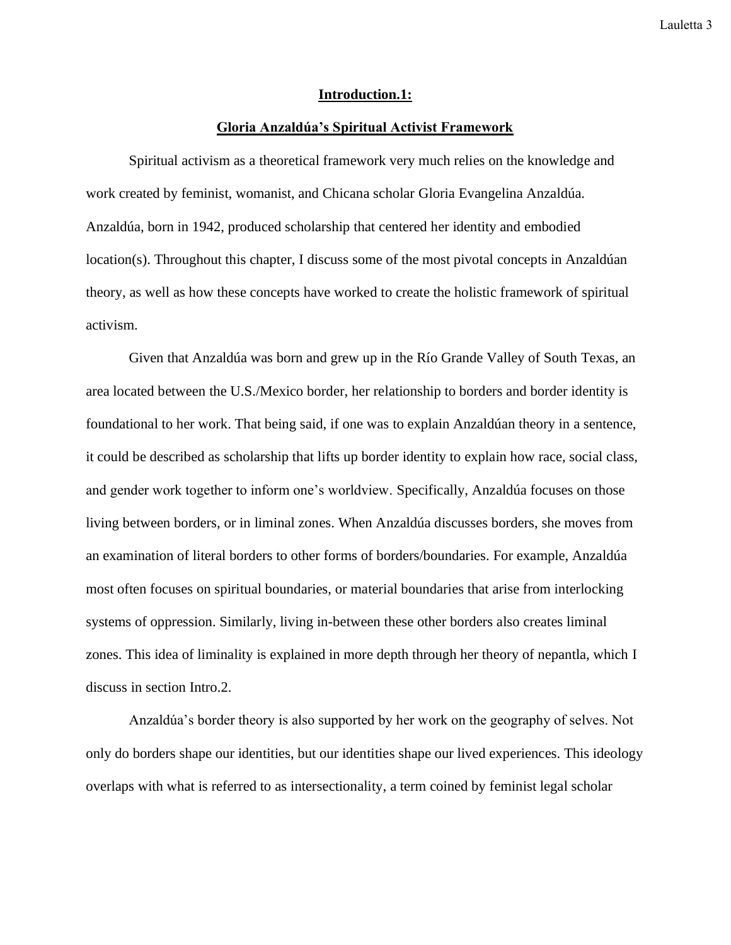#### **Introduction.1:**

#### **Gloria Anzaldúa's Spiritual Activist Framework**

Spiritual activism as a theoretical framework very much relies on the knowledge and work created by feminist, womanist, and Chicana scholar Gloria Evangelina Anzaldúa. Anzaldúa, born in 1942, produced scholarship that centered her identity and embodied location(s). Throughout this chapter, I discuss some of the most pivotal concepts in Anzaldúan theory, as well as how these concepts have worked to create the holistic framework of spiritual activism.

Given that Anzaldúa was born and grew up in the Río Grande Valley of South Texas, an area located between the U.S./Mexico border, her relationship to borders and border identity is foundational to her work. That being said, if one was to explain Anzaldúan theory in a sentence, it could be described as scholarship that lifts up border identity to explain how race, social class, and gender work together to inform one's worldview. Specifically, Anzaldúa focuses on those living between borders, or in liminal zones. When Anzaldúa discusses borders, she moves from an examination of literal borders to other forms of borders/boundaries. For example, Anzaldúa most often focuses on spiritual boundaries, or material boundaries that arise from interlocking systems of oppression. Similarly, living in-between these other borders also creates liminal zones. This idea of liminality is explained in more depth through her theory of nepantla, which I discuss in section Intro.2.

Anzaldúa's border theory is also supported by her work on the geography of selves. Not only do borders shape our identities, but our identities shape our lived experiences. This ideology overlaps with what is referred to as intersectionality, a term coined by feminist legal scholar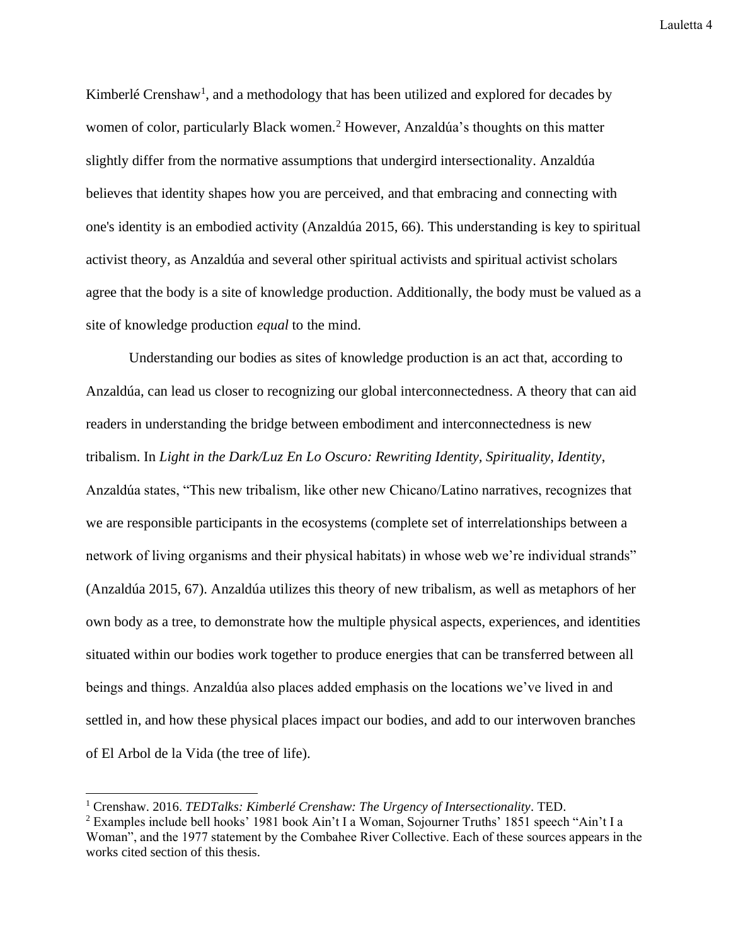Kimberlé Crenshaw<sup>1</sup>, and a methodology that has been utilized and explored for decades by women of color, particularly Black women.<sup>2</sup> However, Anzaldúa's thoughts on this matter slightly differ from the normative assumptions that undergird intersectionality. Anzaldúa believes that identity shapes how you are perceived, and that embracing and connecting with one's identity is an embodied activity (Anzaldúa 2015, 66). This understanding is key to spiritual activist theory, as Anzaldúa and several other spiritual activists and spiritual activist scholars agree that the body is a site of knowledge production. Additionally, the body must be valued as a site of knowledge production *equal* to the mind.

Understanding our bodies as sites of knowledge production is an act that, according to Anzaldúa, can lead us closer to recognizing our global interconnectedness. A theory that can aid readers in understanding the bridge between embodiment and interconnectedness is new tribalism. In *Light in the Dark/Luz En Lo Oscuro: Rewriting Identity, Spirituality, Identity*, Anzaldúa states, "This new tribalism, like other new Chicano/Latino narratives, recognizes that we are responsible participants in the ecosystems (complete set of interrelationships between a network of living organisms and their physical habitats) in whose web we're individual strands" (Anzaldúa 2015, 67). Anzaldúa utilizes this theory of new tribalism, as well as metaphors of her own body as a tree, to demonstrate how the multiple physical aspects, experiences, and identities situated within our bodies work together to produce energies that can be transferred between all beings and things. Anzaldúa also places added emphasis on the locations we've lived in and settled in, and how these physical places impact our bodies, and add to our interwoven branches of El Arbol de la Vida (the tree of life).

<sup>1</sup> Crenshaw. 2016. *TEDTalks: Kimberlé Crenshaw: The Urgency of Intersectionality*. TED.

<sup>2</sup> Examples include bell hooks' 1981 book Ain't I a Woman, Sojourner Truths' 1851 speech "Ain't I a Woman", and the 1977 statement by the Combahee River Collective. Each of these sources appears in the works cited section of this thesis.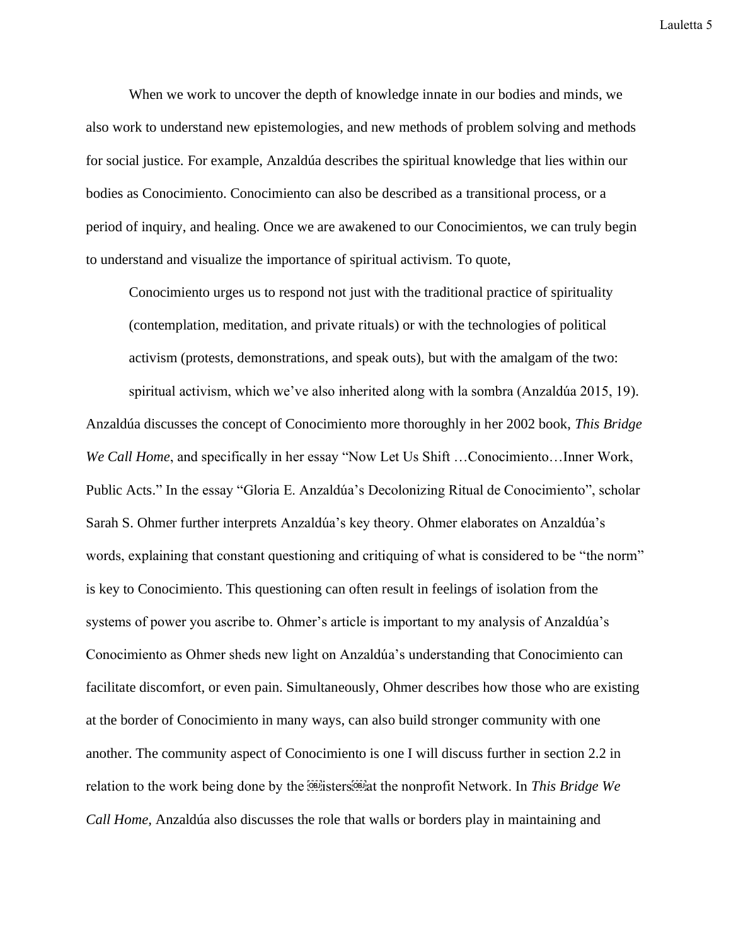When we work to uncover the depth of knowledge innate in our bodies and minds, we also work to understand new epistemologies, and new methods of problem solving and methods for social justice. For example, Anzaldúa describes the spiritual knowledge that lies within our bodies as Conocimiento. Conocimiento can also be described as a transitional process, or a period of inquiry, and healing. Once we are awakened to our Conocimientos, we can truly begin to understand and visualize the importance of spiritual activism. To quote,

Conocimiento urges us to respond not just with the traditional practice of spirituality (contemplation, meditation, and private rituals) or with the technologies of political activism (protests, demonstrations, and speak outs), but with the amalgam of the two: spiritual activism, which we've also inherited along with la sombra (Anzaldúa 2015, 19).

Anzaldúa discusses the concept of Conocimiento more thoroughly in her 2002 book, *This Bridge We Call Home*, and specifically in her essay "Now Let Us Shift ... Conocimiento... Inner Work, Public Acts." In the essay "Gloria E. Anzaldúa's Decolonizing Ritual de Conocimiento", scholar Sarah S. Ohmer further interprets Anzaldúa's key theory. Ohmer elaborates on Anzaldúa's words, explaining that constant questioning and critiquing of what is considered to be "the norm" is key to Conocimiento. This questioning can often result in feelings of isolation from the systems of power you ascribe to. Ohmer's article is important to my analysis of Anzaldúa's Conocimiento as Ohmer sheds new light on Anzaldúa's understanding that Conocimiento can facilitate discomfort, or even pain. Simultaneously, Ohmer describes how those who are existing at the border of Conocimiento in many ways, can also build stronger community with one another. The community aspect of Conocimiento is one I will discuss further in section 2.2 in relation to the work being done by the **ELE** isters<sup>con</sup> at the nonprofit Network. In *This Bridge We Call Home,* Anzaldúa also discusses the role that walls or borders play in maintaining and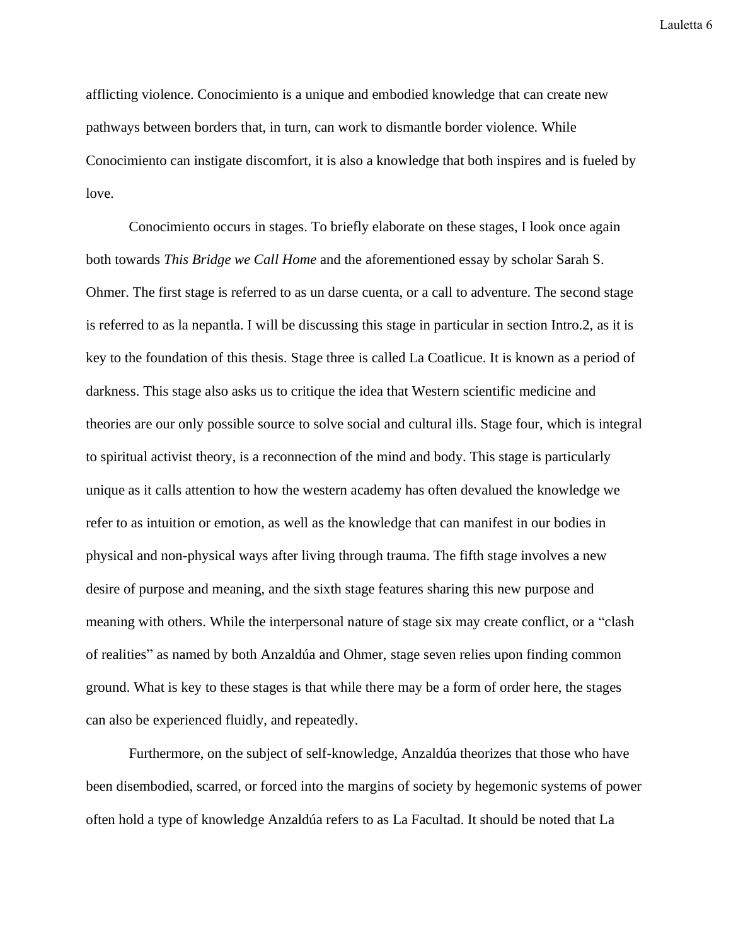afflicting violence. Conocimiento is a unique and embodied knowledge that can create new pathways between borders that, in turn, can work to dismantle border violence. While Conocimiento can instigate discomfort, it is also a knowledge that both inspires and is fueled by love.

Conocimiento occurs in stages. To briefly elaborate on these stages, I look once again both towards *This Bridge we Call Home* and the aforementioned essay by scholar Sarah S. Ohmer. The first stage is referred to as un darse cuenta, or a call to adventure. The second stage is referred to as la nepantla. I will be discussing this stage in particular in section Intro.2, as it is key to the foundation of this thesis. Stage three is called La Coatlicue. It is known as a period of darkness. This stage also asks us to critique the idea that Western scientific medicine and theories are our only possible source to solve social and cultural ills. Stage four, which is integral to spiritual activist theory, is a reconnection of the mind and body. This stage is particularly unique as it calls attention to how the western academy has often devalued the knowledge we refer to as intuition or emotion, as well as the knowledge that can manifest in our bodies in physical and non-physical ways after living through trauma. The fifth stage involves a new desire of purpose and meaning, and the sixth stage features sharing this new purpose and meaning with others. While the interpersonal nature of stage six may create conflict, or a "clash of realities" as named by both Anzaldúa and Ohmer, stage seven relies upon finding common ground. What is key to these stages is that while there may be a form of order here, the stages can also be experienced fluidly, and repeatedly.

Furthermore, on the subject of self-knowledge, Anzaldúa theorizes that those who have been disembodied, scarred, or forced into the margins of society by hegemonic systems of power often hold a type of knowledge Anzaldúa refers to as La Facultad. It should be noted that La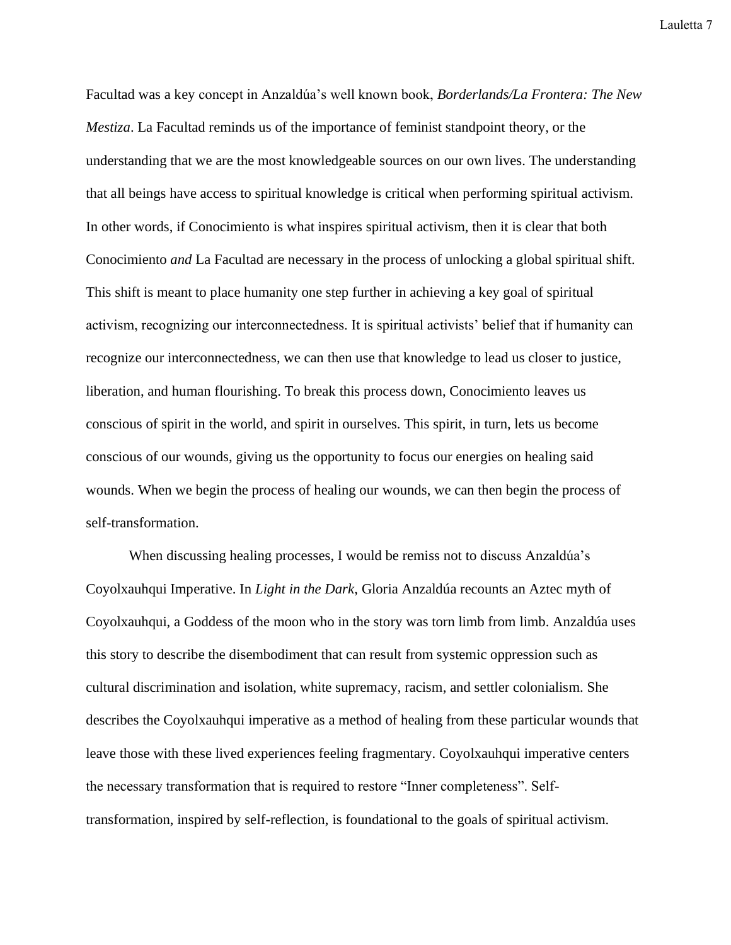Facultad was a key concept in Anzaldúa's well known book, *Borderlands/La Frontera: The New Mestiza*. La Facultad reminds us of the importance of feminist standpoint theory, or the understanding that we are the most knowledgeable sources on our own lives. The understanding that all beings have access to spiritual knowledge is critical when performing spiritual activism. In other words, if Conocimiento is what inspires spiritual activism, then it is clear that both Conocimiento *and* La Facultad are necessary in the process of unlocking a global spiritual shift. This shift is meant to place humanity one step further in achieving a key goal of spiritual activism, recognizing our interconnectedness. It is spiritual activists' belief that if humanity can recognize our interconnectedness, we can then use that knowledge to lead us closer to justice, liberation, and human flourishing. To break this process down, Conocimiento leaves us conscious of spirit in the world, and spirit in ourselves. This spirit, in turn, lets us become conscious of our wounds, giving us the opportunity to focus our energies on healing said wounds. When we begin the process of healing our wounds, we can then begin the process of self-transformation.

When discussing healing processes, I would be remiss not to discuss Anzaldúa's Coyolxauhqui Imperative. In *Light in the Dark*, Gloria Anzaldúa recounts an Aztec myth of Coyolxauhqui, a Goddess of the moon who in the story was torn limb from limb. Anzaldúa uses this story to describe the disembodiment that can result from systemic oppression such as cultural discrimination and isolation, white supremacy, racism, and settler colonialism. She describes the Coyolxauhqui imperative as a method of healing from these particular wounds that leave those with these lived experiences feeling fragmentary. Coyolxauhqui imperative centers the necessary transformation that is required to restore "Inner completeness". Selftransformation, inspired by self-reflection, is foundational to the goals of spiritual activism.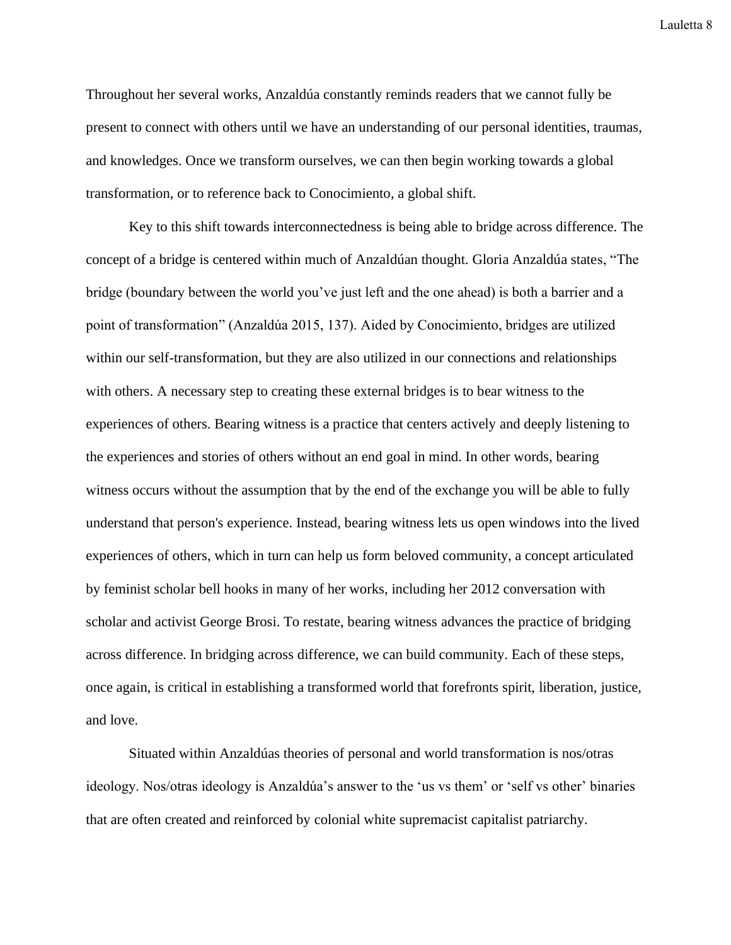Throughout her several works, Anzaldúa constantly reminds readers that we cannot fully be present to connect with others until we have an understanding of our personal identities, traumas, and knowledges. Once we transform ourselves, we can then begin working towards a global transformation, or to reference back to Conocimiento, a global shift.

Key to this shift towards interconnectedness is being able to bridge across difference. The concept of a bridge is centered within much of Anzaldúan thought. Gloria Anzaldúa states, "The bridge (boundary between the world you've just left and the one ahead) is both a barrier and a point of transformation" (Anzaldúa 2015, 137). Aided by Conocimiento, bridges are utilized within our self-transformation, but they are also utilized in our connections and relationships with others. A necessary step to creating these external bridges is to bear witness to the experiences of others. Bearing witness is a practice that centers actively and deeply listening to the experiences and stories of others without an end goal in mind. In other words, bearing witness occurs without the assumption that by the end of the exchange you will be able to fully understand that person's experience. Instead, bearing witness lets us open windows into the lived experiences of others, which in turn can help us form beloved community, a concept articulated by feminist scholar bell hooks in many of her works, including her 2012 conversation with scholar and activist George Brosi. To restate, bearing witness advances the practice of bridging across difference. In bridging across difference, we can build community. Each of these steps, once again, is critical in establishing a transformed world that forefronts spirit, liberation, justice, and love.

Situated within Anzaldúas theories of personal and world transformation is nos/otras ideology. Nos/otras ideology is Anzaldúa's answer to the 'us vs them' or 'self vs other' binaries that are often created and reinforced by colonial white supremacist capitalist patriarchy.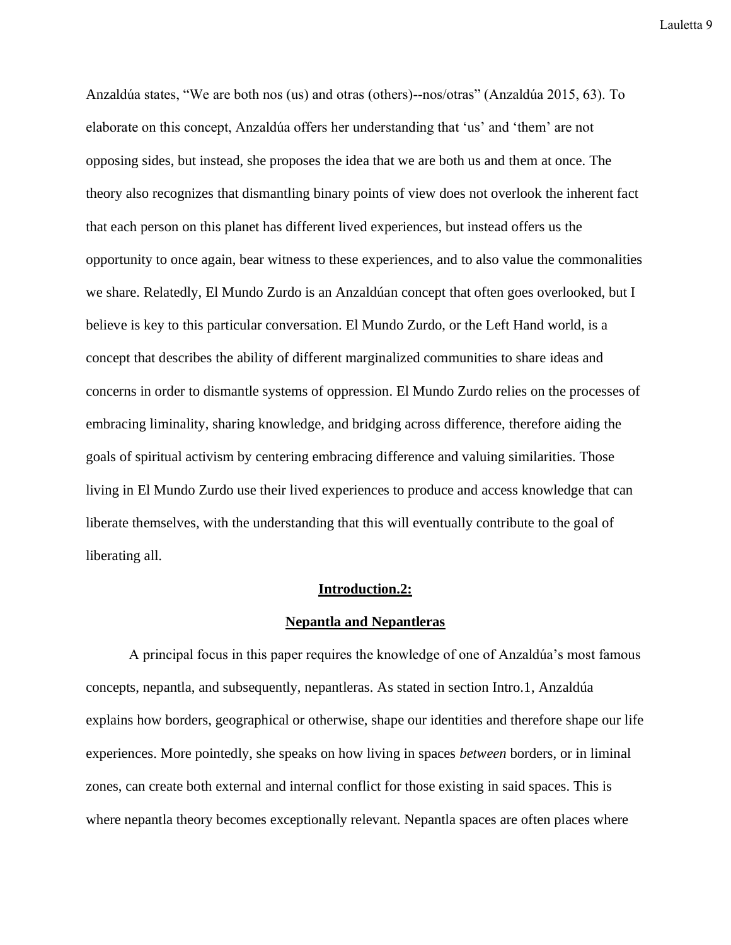Anzaldúa states, "We are both nos (us) and otras (others)--nos/otras" (Anzaldúa 2015, 63). To elaborate on this concept, Anzaldúa offers her understanding that 'us' and 'them' are not opposing sides, but instead, she proposes the idea that we are both us and them at once. The theory also recognizes that dismantling binary points of view does not overlook the inherent fact that each person on this planet has different lived experiences, but instead offers us the opportunity to once again, bear witness to these experiences, and to also value the commonalities we share. Relatedly, El Mundo Zurdo is an Anzaldúan concept that often goes overlooked, but I believe is key to this particular conversation. El Mundo Zurdo, or the Left Hand world, is a concept that describes the ability of different marginalized communities to share ideas and concerns in order to dismantle systems of oppression. El Mundo Zurdo relies on the processes of embracing liminality, sharing knowledge, and bridging across difference, therefore aiding the goals of spiritual activism by centering embracing difference and valuing similarities. Those living in El Mundo Zurdo use their lived experiences to produce and access knowledge that can liberate themselves, with the understanding that this will eventually contribute to the goal of liberating all.

#### **Introduction.2:**

#### **Nepantla and Nepantleras**

A principal focus in this paper requires the knowledge of one of Anzaldúa's most famous concepts, nepantla, and subsequently, nepantleras. As stated in section Intro.1, Anzaldúa explains how borders, geographical or otherwise, shape our identities and therefore shape our life experiences. More pointedly, she speaks on how living in spaces *between* borders, or in liminal zones, can create both external and internal conflict for those existing in said spaces. This is where nepantla theory becomes exceptionally relevant. Nepantla spaces are often places where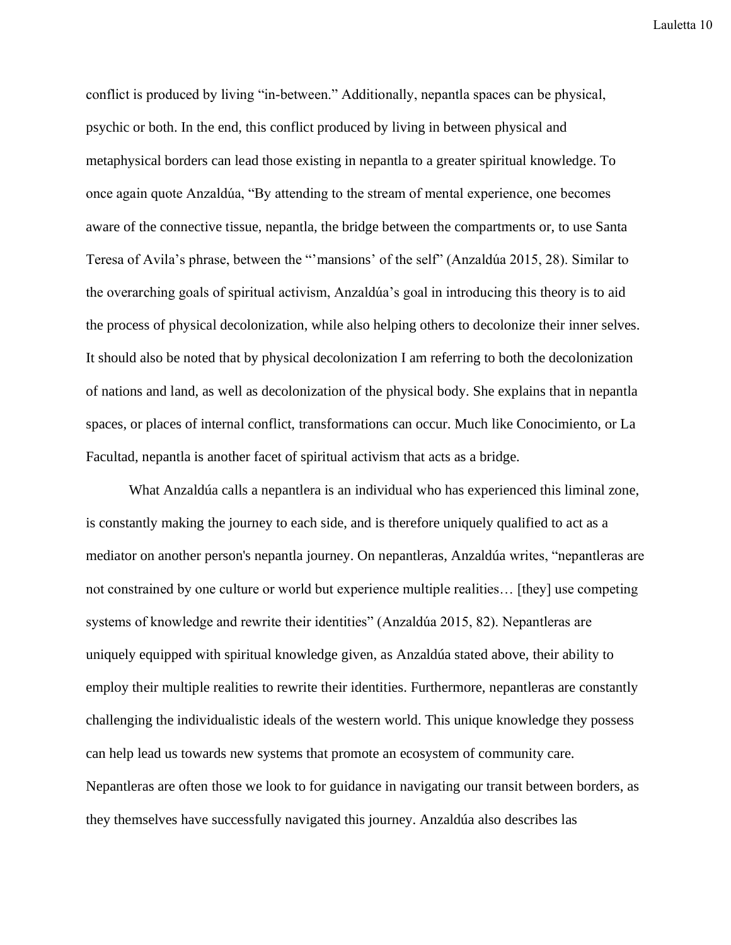conflict is produced by living "in-between." Additionally, nepantla spaces can be physical, psychic or both. In the end, this conflict produced by living in between physical and metaphysical borders can lead those existing in nepantla to a greater spiritual knowledge. To once again quote Anzaldúa, "By attending to the stream of mental experience, one becomes aware of the connective tissue, nepantla, the bridge between the compartments or, to use Santa Teresa of Avila's phrase, between the "'mansions' of the self" (Anzaldúa 2015, 28). Similar to the overarching goals of spiritual activism, Anzaldúa's goal in introducing this theory is to aid the process of physical decolonization, while also helping others to decolonize their inner selves. It should also be noted that by physical decolonization I am referring to both the decolonization of nations and land, as well as decolonization of the physical body. She explains that in nepantla spaces, or places of internal conflict, transformations can occur. Much like Conocimiento, or La Facultad, nepantla is another facet of spiritual activism that acts as a bridge.

What Anzaldúa calls a nepantlera is an individual who has experienced this liminal zone, is constantly making the journey to each side, and is therefore uniquely qualified to act as a mediator on another person's nepantla journey. On nepantleras, Anzaldúa writes, "nepantleras are not constrained by one culture or world but experience multiple realities… [they] use competing systems of knowledge and rewrite their identities" (Anzaldúa 2015, 82). Nepantleras are uniquely equipped with spiritual knowledge given, as Anzaldúa stated above, their ability to employ their multiple realities to rewrite their identities. Furthermore, nepantleras are constantly challenging the individualistic ideals of the western world. This unique knowledge they possess can help lead us towards new systems that promote an ecosystem of community care. Nepantleras are often those we look to for guidance in navigating our transit between borders, as they themselves have successfully navigated this journey. Anzaldúa also describes las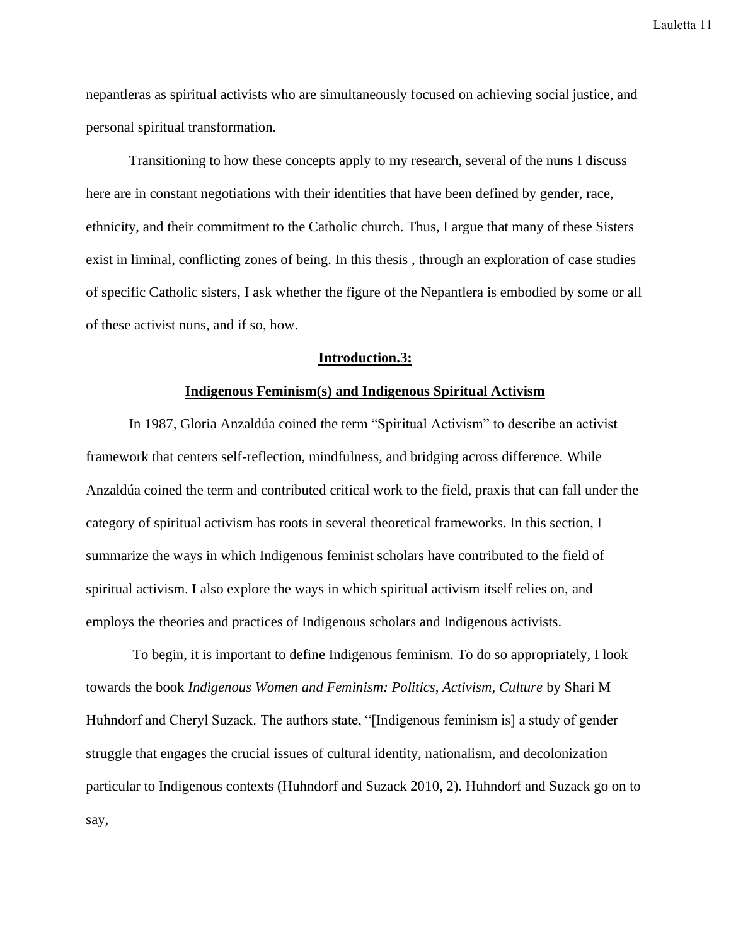nepantleras as spiritual activists who are simultaneously focused on achieving social justice, and personal spiritual transformation.

Transitioning to how these concepts apply to my research, several of the nuns I discuss here are in constant negotiations with their identities that have been defined by gender, race, ethnicity, and their commitment to the Catholic church. Thus, I argue that many of these Sisters exist in liminal, conflicting zones of being. In this thesis , through an exploration of case studies of specific Catholic sisters, I ask whether the figure of the Nepantlera is embodied by some or all of these activist nuns, and if so, how.

#### **Introduction.3:**

#### **Indigenous Feminism(s) and Indigenous Spiritual Activism**

In 1987, Gloria Anzaldúa coined the term "Spiritual Activism" to describe an activist framework that centers self-reflection, mindfulness, and bridging across difference. While Anzaldúa coined the term and contributed critical work to the field, praxis that can fall under the category of spiritual activism has roots in several theoretical frameworks. In this section, I summarize the ways in which Indigenous feminist scholars have contributed to the field of spiritual activism. I also explore the ways in which spiritual activism itself relies on, and employs the theories and practices of Indigenous scholars and Indigenous activists.

To begin, it is important to define Indigenous feminism. To do so appropriately, I look towards the book *Indigenous Women and Feminism: Politics, Activism, Culture* by Shari M Huhndorf and Cheryl Suzack. The authors state, "[Indigenous feminism is] a study of gender struggle that engages the crucial issues of cultural identity, nationalism, and decolonization particular to Indigenous contexts (Huhndorf and Suzack 2010, 2). Huhndorf and Suzack go on to say,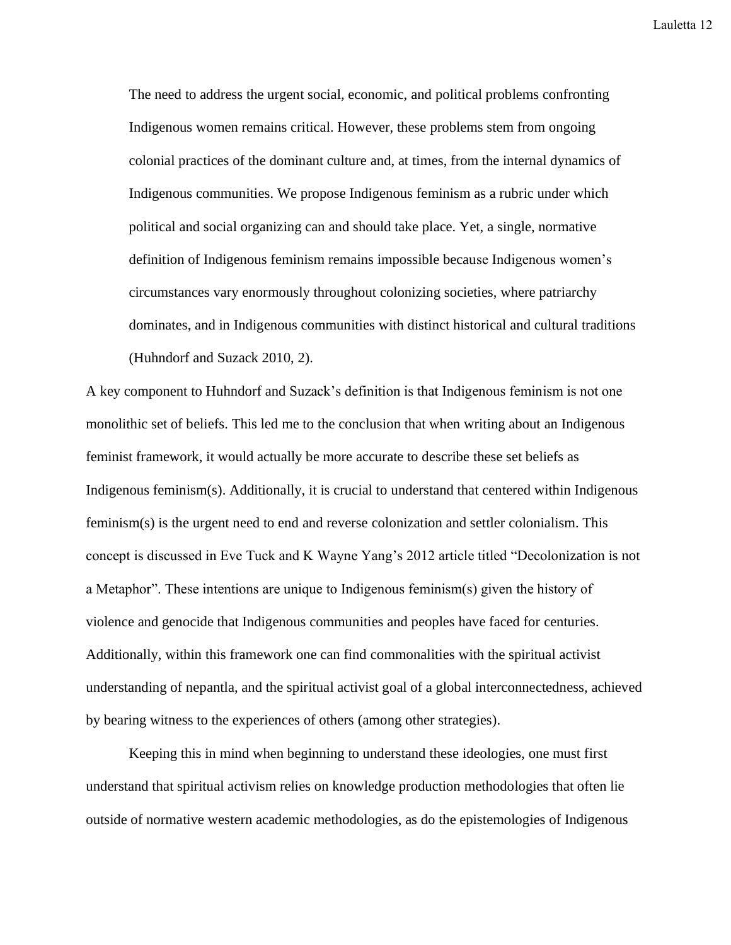The need to address the urgent social, economic, and political problems confronting Indigenous women remains critical. However, these problems stem from ongoing colonial practices of the dominant culture and, at times, from the internal dynamics of Indigenous communities. We propose Indigenous feminism as a rubric under which political and social organizing can and should take place. Yet, a single, normative definition of Indigenous feminism remains impossible because Indigenous women's circumstances vary enormously throughout colonizing societies, where patriarchy dominates, and in Indigenous communities with distinct historical and cultural traditions (Huhndorf and Suzack 2010, 2).

A key component to Huhndorf and Suzack's definition is that Indigenous feminism is not one monolithic set of beliefs. This led me to the conclusion that when writing about an Indigenous feminist framework, it would actually be more accurate to describe these set beliefs as Indigenous feminism(s). Additionally, it is crucial to understand that centered within Indigenous feminism(s) is the urgent need to end and reverse colonization and settler colonialism. This concept is discussed in Eve Tuck and K Wayne Yang's 2012 article titled "Decolonization is not a Metaphor". These intentions are unique to Indigenous feminism(s) given the history of violence and genocide that Indigenous communities and peoples have faced for centuries. Additionally, within this framework one can find commonalities with the spiritual activist understanding of nepantla, and the spiritual activist goal of a global interconnectedness, achieved by bearing witness to the experiences of others (among other strategies).

Keeping this in mind when beginning to understand these ideologies, one must first understand that spiritual activism relies on knowledge production methodologies that often lie outside of normative western academic methodologies, as do the epistemologies of Indigenous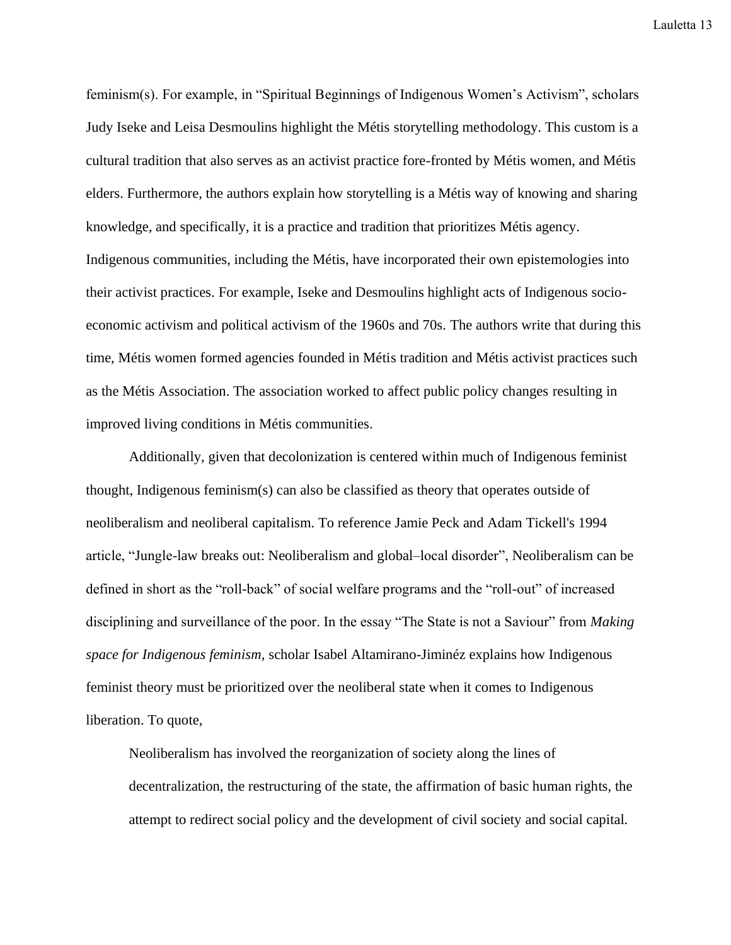feminism(s). For example, in "Spiritual Beginnings of Indigenous Women's Activism", scholars Judy Iseke and Leisa Desmoulins highlight the Métis storytelling methodology. This custom is a cultural tradition that also serves as an activist practice fore-fronted by Métis women, and Métis elders. Furthermore, the authors explain how storytelling is a Métis way of knowing and sharing knowledge, and specifically, it is a practice and tradition that prioritizes Métis agency. Indigenous communities, including the Métis, have incorporated their own epistemologies into their activist practices. For example, Iseke and Desmoulins highlight acts of Indigenous socioeconomic activism and political activism of the 1960s and 70s. The authors write that during this time, Métis women formed agencies founded in Métis tradition and Métis activist practices such as the Métis Association. The association worked to affect public policy changes resulting in improved living conditions in Métis communities.

Additionally, given that decolonization is centered within much of Indigenous feminist thought, Indigenous feminism(s) can also be classified as theory that operates outside of neoliberalism and neoliberal capitalism. To reference Jamie Peck and Adam Tickell's 1994 article, "Jungle-law breaks out: Neoliberalism and global–local disorder", Neoliberalism can be defined in short as the "roll-back" of social welfare programs and the "roll-out" of increased disciplining and surveillance of the poor. In the essay "The State is not a Saviour" from *Making space for Indigenous feminism,* scholar Isabel Altamirano-Jiminéz explains how Indigenous feminist theory must be prioritized over the neoliberal state when it comes to Indigenous liberation. To quote,

Neoliberalism has involved the reorganization of society along the lines of decentralization, the restructuring of the state, the affirmation of basic human rights, the attempt to redirect social policy and the development of civil society and social capital.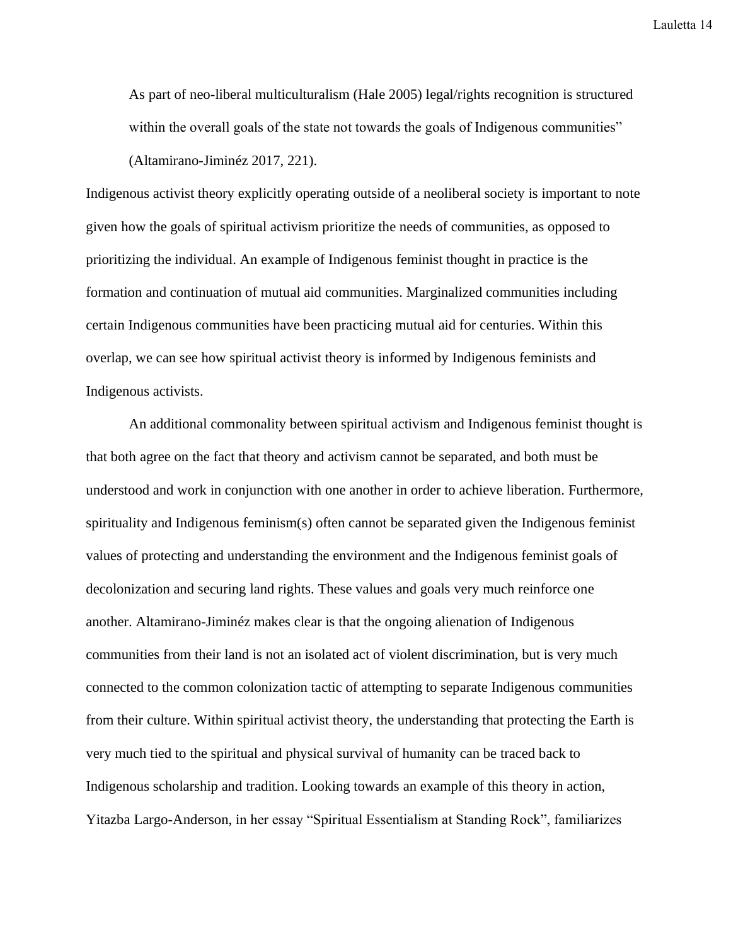As part of neo-liberal multiculturalism (Hale 2005) legal/rights recognition is structured within the overall goals of the state not towards the goals of Indigenous communities" (Altamirano-Jiminéz 2017, 221).

Indigenous activist theory explicitly operating outside of a neoliberal society is important to note given how the goals of spiritual activism prioritize the needs of communities, as opposed to prioritizing the individual. An example of Indigenous feminist thought in practice is the formation and continuation of mutual aid communities. Marginalized communities including certain Indigenous communities have been practicing mutual aid for centuries. Within this overlap, we can see how spiritual activist theory is informed by Indigenous feminists and Indigenous activists.

An additional commonality between spiritual activism and Indigenous feminist thought is that both agree on the fact that theory and activism cannot be separated, and both must be understood and work in conjunction with one another in order to achieve liberation. Furthermore, spirituality and Indigenous feminism(s) often cannot be separated given the Indigenous feminist values of protecting and understanding the environment and the Indigenous feminist goals of decolonization and securing land rights. These values and goals very much reinforce one another. Altamirano-Jiminéz makes clear is that the ongoing alienation of Indigenous communities from their land is not an isolated act of violent discrimination, but is very much connected to the common colonization tactic of attempting to separate Indigenous communities from their culture. Within spiritual activist theory, the understanding that protecting the Earth is very much tied to the spiritual and physical survival of humanity can be traced back to Indigenous scholarship and tradition. Looking towards an example of this theory in action, Yitazba Largo-Anderson, in her essay "Spiritual Essentialism at Standing Rock", familiarizes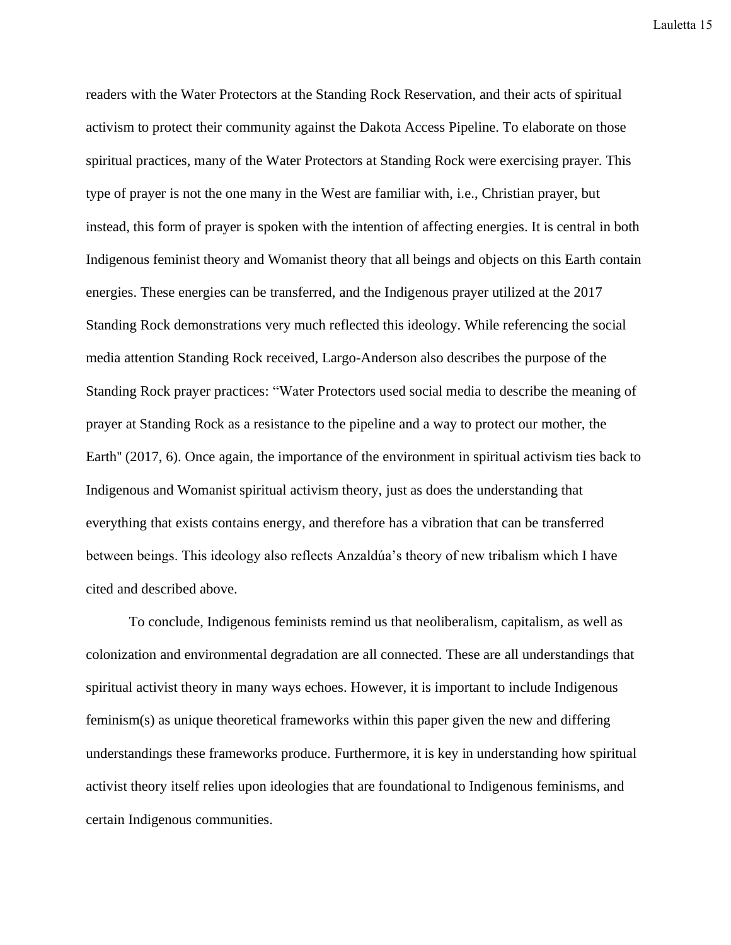readers with the Water Protectors at the Standing Rock Reservation, and their acts of spiritual activism to protect their community against the Dakota Access Pipeline. To elaborate on those spiritual practices, many of the Water Protectors at Standing Rock were exercising prayer. This type of prayer is not the one many in the West are familiar with, i.e., Christian prayer, but instead, this form of prayer is spoken with the intention of affecting energies. It is central in both Indigenous feminist theory and Womanist theory that all beings and objects on this Earth contain energies. These energies can be transferred, and the Indigenous prayer utilized at the 2017 Standing Rock demonstrations very much reflected this ideology. While referencing the social media attention Standing Rock received, Largo-Anderson also describes the purpose of the Standing Rock prayer practices: "Water Protectors used social media to describe the meaning of prayer at Standing Rock as a resistance to the pipeline and a way to protect our mother, the Earth'' (2017, 6). Once again, the importance of the environment in spiritual activism ties back to Indigenous and Womanist spiritual activism theory, just as does the understanding that everything that exists contains energy, and therefore has a vibration that can be transferred between beings. This ideology also reflects Anzaldúa's theory of new tribalism which I have cited and described above.

To conclude, Indigenous feminists remind us that neoliberalism, capitalism, as well as colonization and environmental degradation are all connected. These are all understandings that spiritual activist theory in many ways echoes. However, it is important to include Indigenous feminism(s) as unique theoretical frameworks within this paper given the new and differing understandings these frameworks produce. Furthermore, it is key in understanding how spiritual activist theory itself relies upon ideologies that are foundational to Indigenous feminisms, and certain Indigenous communities.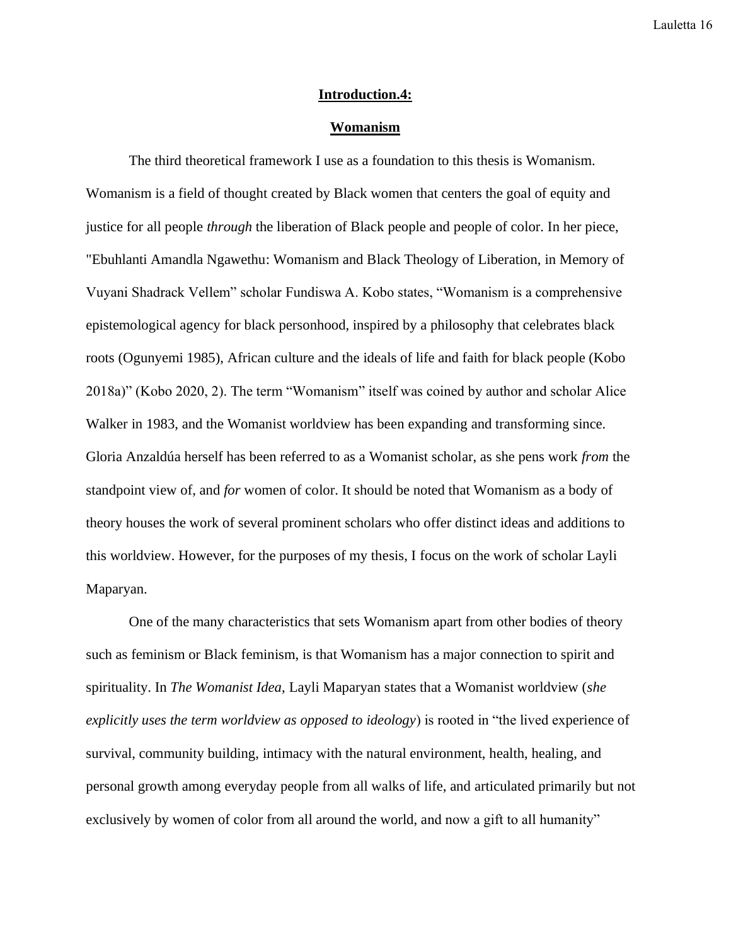#### **Introduction.4:**

#### **Womanism**

The third theoretical framework I use as a foundation to this thesis is Womanism. Womanism is a field of thought created by Black women that centers the goal of equity and justice for all people *through* the liberation of Black people and people of color. In her piece, "Ebuhlanti Amandla Ngawethu: Womanism and Black Theology of Liberation, in Memory of Vuyani Shadrack Vellem" scholar Fundiswa A. Kobo states, "Womanism is a comprehensive epistemological agency for black personhood, inspired by a philosophy that celebrates black roots (Ogunyemi 1985), African culture and the ideals of life and faith for black people (Kobo 2018a)" (Kobo 2020, 2). The term "Womanism" itself was coined by author and scholar Alice Walker in 1983, and the Womanist worldview has been expanding and transforming since. Gloria Anzaldúa herself has been referred to as a Womanist scholar, as she pens work *from* the standpoint view of, and *for* women of color. It should be noted that Womanism as a body of theory houses the work of several prominent scholars who offer distinct ideas and additions to this worldview. However, for the purposes of my thesis, I focus on the work of scholar Layli Maparyan.

One of the many characteristics that sets Womanism apart from other bodies of theory such as feminism or Black feminism, is that Womanism has a major connection to spirit and spirituality. In *The Womanist Idea*, Layli Maparyan states that a Womanist worldview (*she explicitly uses the term worldview as opposed to ideology*) is rooted in "the lived experience of survival, community building, intimacy with the natural environment, health, healing, and personal growth among everyday people from all walks of life, and articulated primarily but not exclusively by women of color from all around the world, and now a gift to all humanity"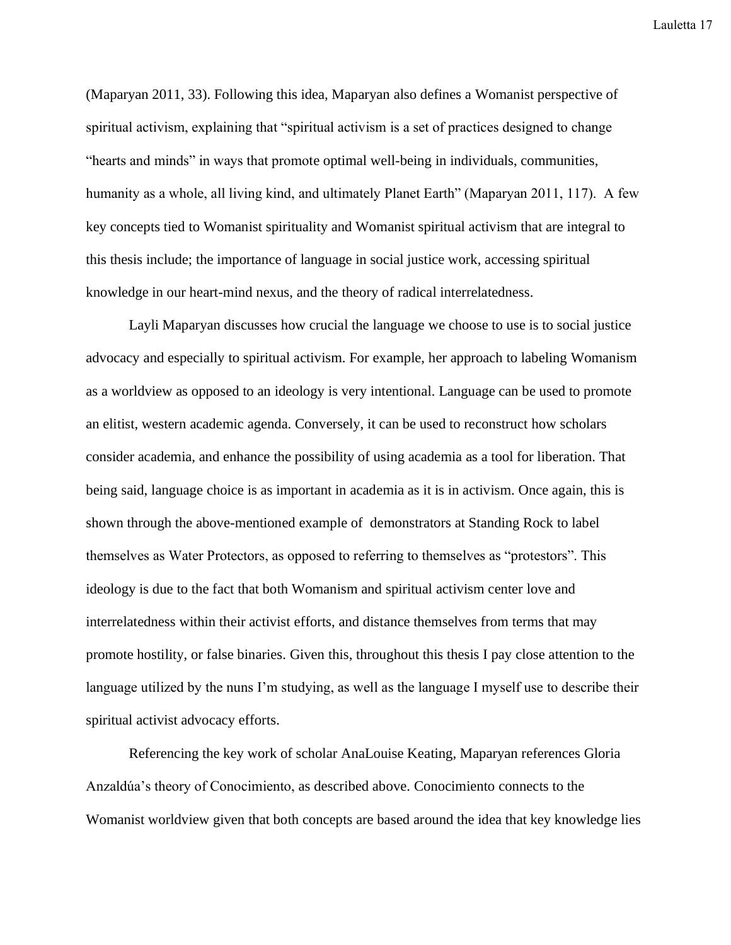(Maparyan 2011, 33). Following this idea, Maparyan also defines a Womanist perspective of spiritual activism, explaining that "spiritual activism is a set of practices designed to change "hearts and minds" in ways that promote optimal well-being in individuals, communities, humanity as a whole, all living kind, and ultimately Planet Earth" (Maparyan 2011, 117). A few key concepts tied to Womanist spirituality and Womanist spiritual activism that are integral to this thesis include; the importance of language in social justice work, accessing spiritual knowledge in our heart-mind nexus, and the theory of radical interrelatedness.

Layli Maparyan discusses how crucial the language we choose to use is to social justice advocacy and especially to spiritual activism. For example, her approach to labeling Womanism as a worldview as opposed to an ideology is very intentional. Language can be used to promote an elitist, western academic agenda. Conversely, it can be used to reconstruct how scholars consider academia, and enhance the possibility of using academia as a tool for liberation. That being said, language choice is as important in academia as it is in activism. Once again, this is shown through the above-mentioned example of demonstrators at Standing Rock to label themselves as Water Protectors, as opposed to referring to themselves as "protestors". This ideology is due to the fact that both Womanism and spiritual activism center love and interrelatedness within their activist efforts, and distance themselves from terms that may promote hostility, or false binaries. Given this, throughout this thesis I pay close attention to the language utilized by the nuns I'm studying, as well as the language I myself use to describe their spiritual activist advocacy efforts.

Referencing the key work of scholar AnaLouise Keating, Maparyan references Gloria Anzaldúa's theory of Conocimiento, as described above. Conocimiento connects to the Womanist worldview given that both concepts are based around the idea that key knowledge lies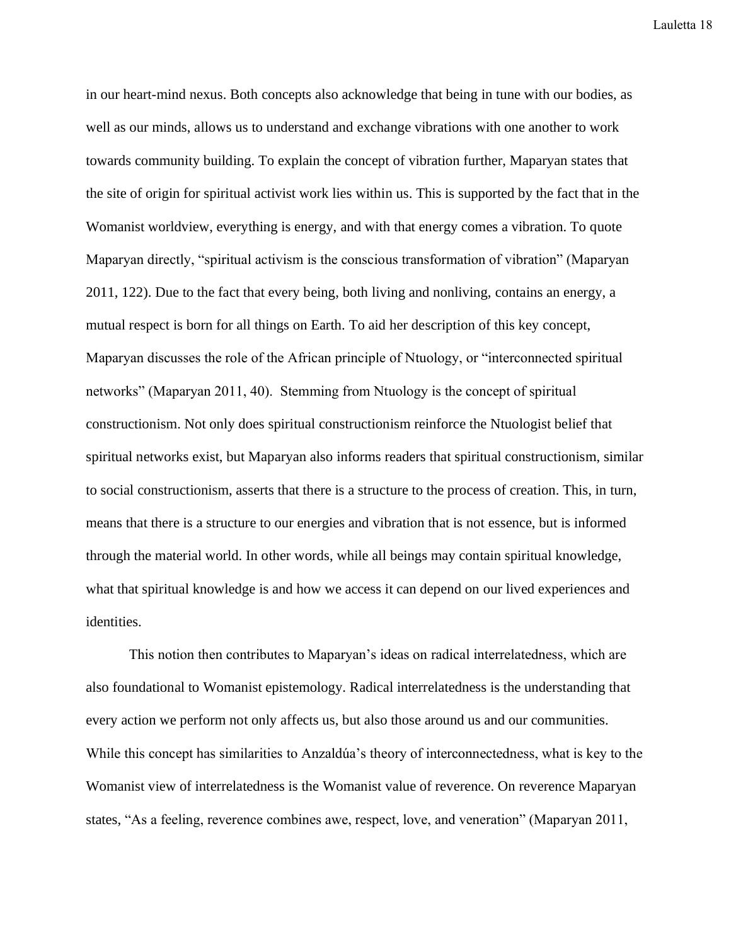in our heart-mind nexus. Both concepts also acknowledge that being in tune with our bodies, as well as our minds, allows us to understand and exchange vibrations with one another to work towards community building. To explain the concept of vibration further, Maparyan states that the site of origin for spiritual activist work lies within us. This is supported by the fact that in the Womanist worldview, everything is energy, and with that energy comes a vibration. To quote Maparyan directly, "spiritual activism is the conscious transformation of vibration" (Maparyan 2011, 122). Due to the fact that every being, both living and nonliving, contains an energy, a mutual respect is born for all things on Earth. To aid her description of this key concept, Maparyan discusses the role of the African principle of Ntuology, or "interconnected spiritual networks" (Maparyan 2011, 40). Stemming from Ntuology is the concept of spiritual constructionism. Not only does spiritual constructionism reinforce the Ntuologist belief that spiritual networks exist, but Maparyan also informs readers that spiritual constructionism, similar to social constructionism, asserts that there is a structure to the process of creation. This, in turn, means that there is a structure to our energies and vibration that is not essence, but is informed through the material world. In other words, while all beings may contain spiritual knowledge, what that spiritual knowledge is and how we access it can depend on our lived experiences and identities.

This notion then contributes to Maparyan's ideas on radical interrelatedness, which are also foundational to Womanist epistemology. Radical interrelatedness is the understanding that every action we perform not only affects us, but also those around us and our communities. While this concept has similarities to Anzaldúa's theory of interconnectedness, what is key to the Womanist view of interrelatedness is the Womanist value of reverence. On reverence Maparyan states, "As a feeling, reverence combines awe, respect, love, and veneration" (Maparyan 2011,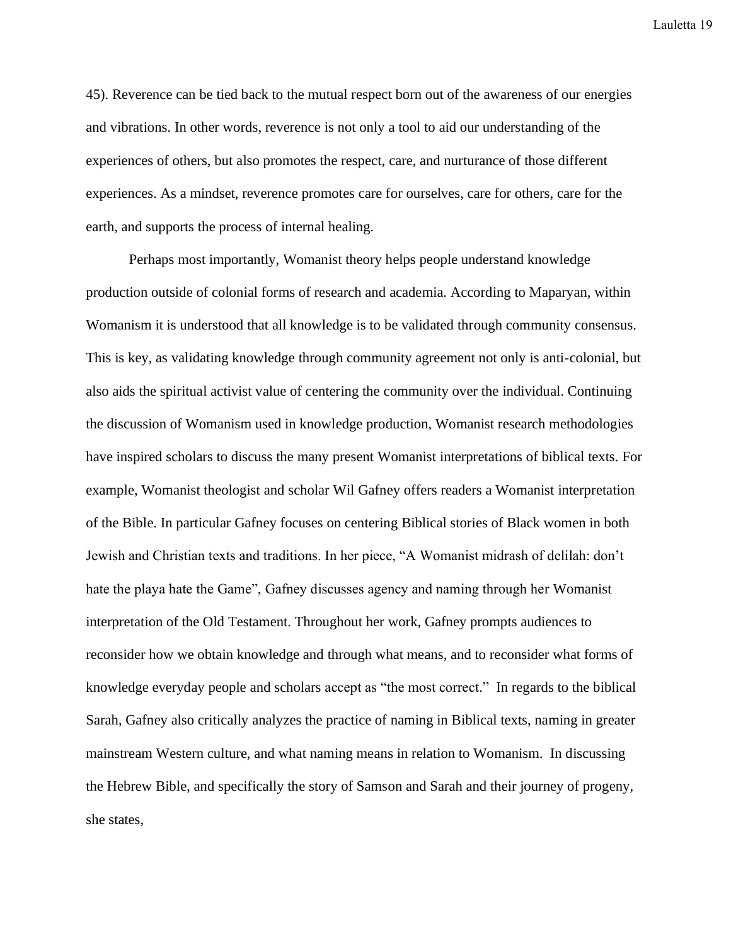45). Reverence can be tied back to the mutual respect born out of the awareness of our energies and vibrations. In other words, reverence is not only a tool to aid our understanding of the experiences of others, but also promotes the respect, care, and nurturance of those different experiences. As a mindset, reverence promotes care for ourselves, care for others, care for the earth, and supports the process of internal healing.

Perhaps most importantly, Womanist theory helps people understand knowledge production outside of colonial forms of research and academia. According to Maparyan, within Womanism it is understood that all knowledge is to be validated through community consensus. This is key, as validating knowledge through community agreement not only is anti-colonial, but also aids the spiritual activist value of centering the community over the individual. Continuing the discussion of Womanism used in knowledge production, Womanist research methodologies have inspired scholars to discuss the many present Womanist interpretations of biblical texts. For example, Womanist theologist and scholar Wil Gafney offers readers a Womanist interpretation of the Bible. In particular Gafney focuses on centering Biblical stories of Black women in both Jewish and Christian texts and traditions. In her piece, "A Womanist midrash of delilah: don't hate the playa hate the Game", Gafney discusses agency and naming through her Womanist interpretation of the Old Testament. Throughout her work, Gafney prompts audiences to reconsider how we obtain knowledge and through what means, and to reconsider what forms of knowledge everyday people and scholars accept as "the most correct." In regards to the biblical Sarah, Gafney also critically analyzes the practice of naming in Biblical texts, naming in greater mainstream Western culture, and what naming means in relation to Womanism. In discussing the Hebrew Bible, and specifically the story of Samson and Sarah and their journey of progeny, she states,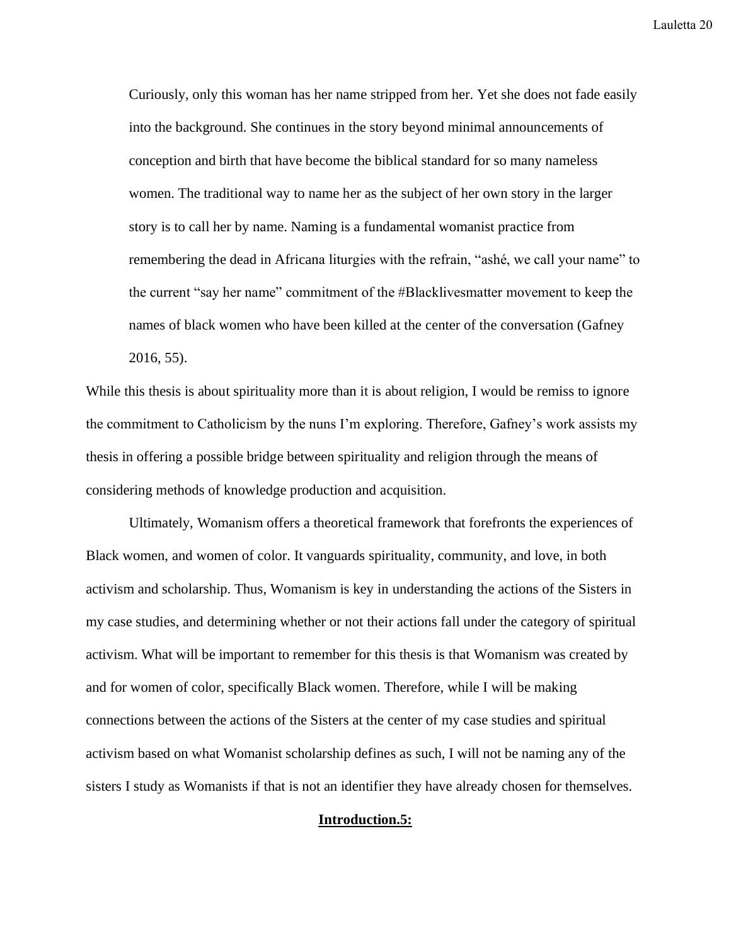Curiously, only this woman has her name stripped from her. Yet she does not fade easily into the background. She continues in the story beyond minimal announcements of conception and birth that have become the biblical standard for so many nameless women. The traditional way to name her as the subject of her own story in the larger story is to call her by name. Naming is a fundamental womanist practice from remembering the dead in Africana liturgies with the refrain, "ashé, we call your name" to the current "say her name" commitment of the #Blacklivesmatter movement to keep the names of black women who have been killed at the center of the conversation (Gafney 2016, 55).

While this thesis is about spirituality more than it is about religion, I would be remiss to ignore the commitment to Catholicism by the nuns I'm exploring. Therefore, Gafney's work assists my thesis in offering a possible bridge between spirituality and religion through the means of considering methods of knowledge production and acquisition.

Ultimately, Womanism offers a theoretical framework that forefronts the experiences of Black women, and women of color. It vanguards spirituality, community, and love, in both activism and scholarship. Thus, Womanism is key in understanding the actions of the Sisters in my case studies, and determining whether or not their actions fall under the category of spiritual activism. What will be important to remember for this thesis is that Womanism was created by and for women of color, specifically Black women. Therefore, while I will be making connections between the actions of the Sisters at the center of my case studies and spiritual activism based on what Womanist scholarship defines as such, I will not be naming any of the sisters I study as Womanists if that is not an identifier they have already chosen for themselves.

#### **Introduction.5:**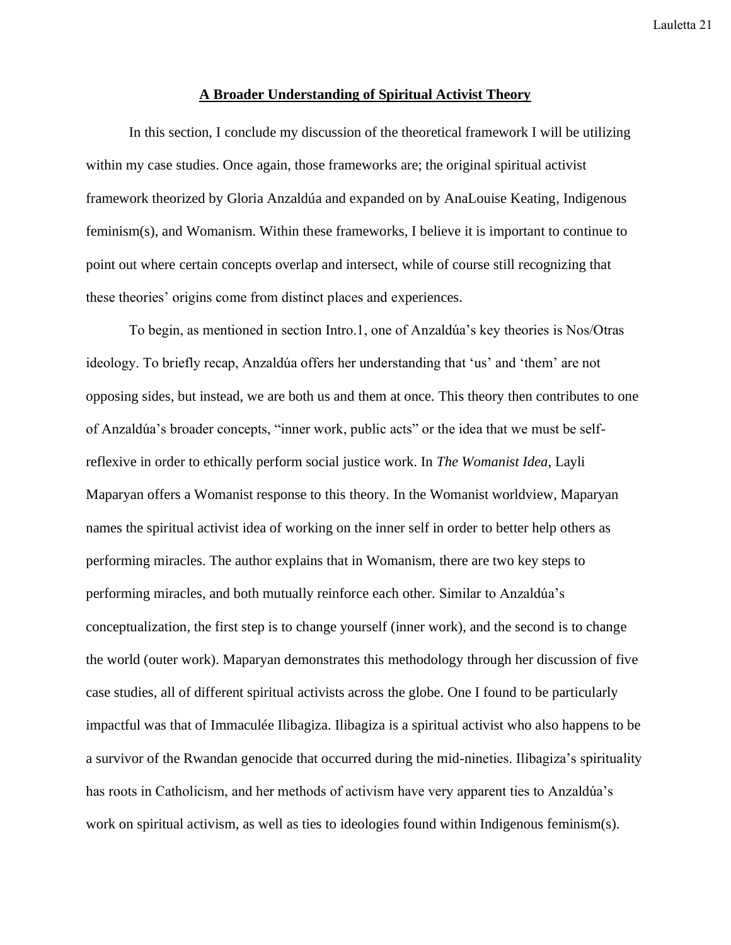#### **A Broader Understanding of Spiritual Activist Theory**

In this section, I conclude my discussion of the theoretical framework I will be utilizing within my case studies. Once again, those frameworks are; the original spiritual activist framework theorized by Gloria Anzaldúa and expanded on by AnaLouise Keating, Indigenous feminism(s), and Womanism. Within these frameworks, I believe it is important to continue to point out where certain concepts overlap and intersect, while of course still recognizing that these theories' origins come from distinct places and experiences.

To begin, as mentioned in section Intro.1, one of Anzaldúa's key theories is Nos/Otras ideology. To briefly recap, Anzaldúa offers her understanding that 'us' and 'them' are not opposing sides, but instead, we are both us and them at once. This theory then contributes to one of Anzaldúa's broader concepts, "inner work, public acts" or the idea that we must be selfreflexive in order to ethically perform social justice work. In *The Womanist Idea*, Layli Maparyan offers a Womanist response to this theory. In the Womanist worldview, Maparyan names the spiritual activist idea of working on the inner self in order to better help others as performing miracles. The author explains that in Womanism, there are two key steps to performing miracles, and both mutually reinforce each other. Similar to Anzaldúa's conceptualization, the first step is to change yourself (inner work), and the second is to change the world (outer work). Maparyan demonstrates this methodology through her discussion of five case studies, all of different spiritual activists across the globe. One I found to be particularly impactful was that of Immaculée Ilibagiza. Ilibagiza is a spiritual activist who also happens to be a survivor of the Rwandan genocide that occurred during the mid-nineties. Ilibagiza's spirituality has roots in Catholicism, and her methods of activism have very apparent ties to Anzaldúa's work on spiritual activism, as well as ties to ideologies found within Indigenous feminism(s).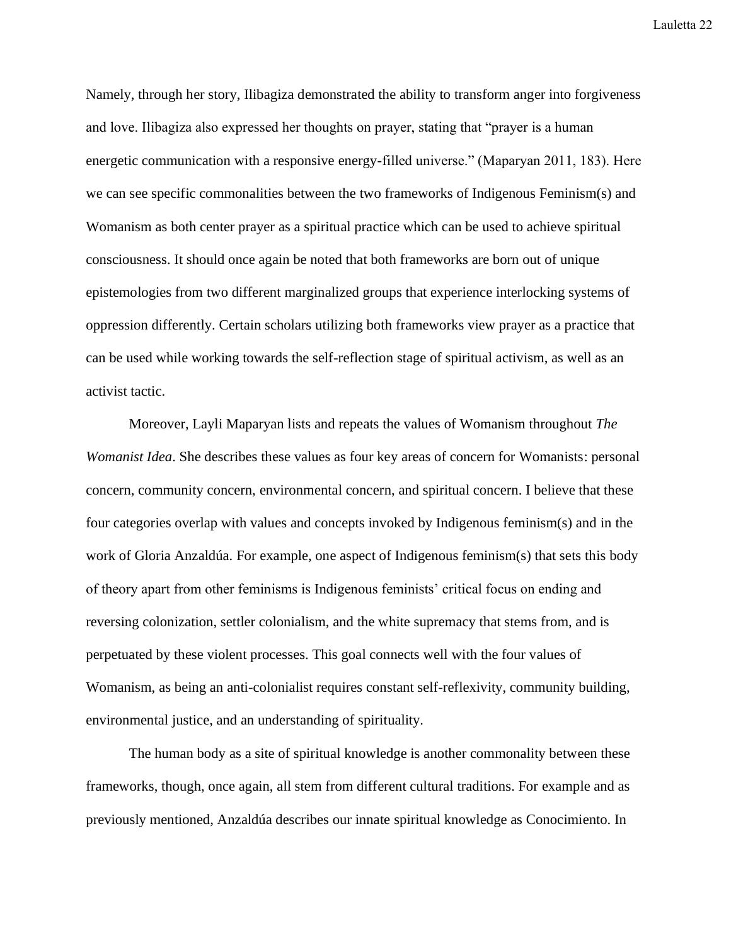Namely, through her story, Ilibagiza demonstrated the ability to transform anger into forgiveness and love. Ilibagiza also expressed her thoughts on prayer, stating that "prayer is a human energetic communication with a responsive energy-filled universe." (Maparyan 2011, 183). Here we can see specific commonalities between the two frameworks of Indigenous Feminism(s) and Womanism as both center prayer as a spiritual practice which can be used to achieve spiritual consciousness. It should once again be noted that both frameworks are born out of unique epistemologies from two different marginalized groups that experience interlocking systems of oppression differently. Certain scholars utilizing both frameworks view prayer as a practice that can be used while working towards the self-reflection stage of spiritual activism, as well as an activist tactic.

Moreover, Layli Maparyan lists and repeats the values of Womanism throughout *The Womanist Idea*. She describes these values as four key areas of concern for Womanists: personal concern, community concern, environmental concern, and spiritual concern. I believe that these four categories overlap with values and concepts invoked by Indigenous feminism(s) and in the work of Gloria Anzaldúa. For example, one aspect of Indigenous feminism(s) that sets this body of theory apart from other feminisms is Indigenous feminists' critical focus on ending and reversing colonization, settler colonialism, and the white supremacy that stems from, and is perpetuated by these violent processes. This goal connects well with the four values of Womanism, as being an anti-colonialist requires constant self-reflexivity, community building, environmental justice, and an understanding of spirituality.

The human body as a site of spiritual knowledge is another commonality between these frameworks, though, once again, all stem from different cultural traditions. For example and as previously mentioned, Anzaldúa describes our innate spiritual knowledge as Conocimiento. In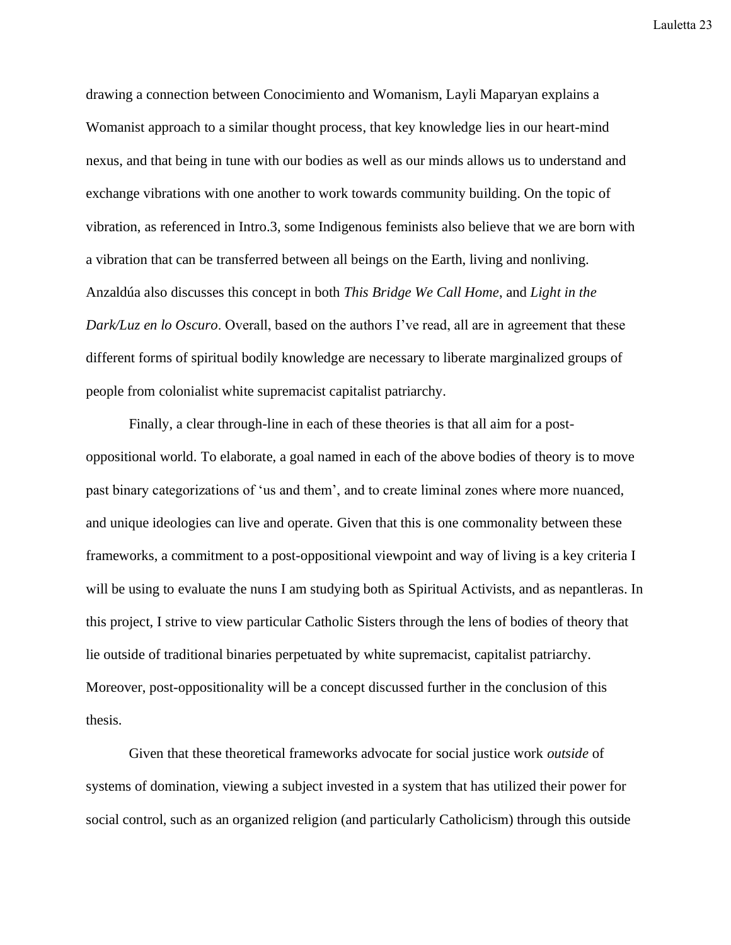drawing a connection between Conocimiento and Womanism, Layli Maparyan explains a Womanist approach to a similar thought process, that key knowledge lies in our heart-mind nexus, and that being in tune with our bodies as well as our minds allows us to understand and exchange vibrations with one another to work towards community building. On the topic of vibration, as referenced in Intro.3, some Indigenous feminists also believe that we are born with a vibration that can be transferred between all beings on the Earth, living and nonliving. Anzaldúa also discusses this concept in both *This Bridge We Call Home*, and *Light in the Dark/Luz en lo Oscuro*. Overall, based on the authors I've read, all are in agreement that these different forms of spiritual bodily knowledge are necessary to liberate marginalized groups of people from colonialist white supremacist capitalist patriarchy.

Finally, a clear through-line in each of these theories is that all aim for a postoppositional world. To elaborate, a goal named in each of the above bodies of theory is to move past binary categorizations of 'us and them', and to create liminal zones where more nuanced, and unique ideologies can live and operate. Given that this is one commonality between these frameworks, a commitment to a post-oppositional viewpoint and way of living is a key criteria I will be using to evaluate the nuns I am studying both as Spiritual Activists, and as nepantleras. In this project, I strive to view particular Catholic Sisters through the lens of bodies of theory that lie outside of traditional binaries perpetuated by white supremacist, capitalist patriarchy. Moreover, post-oppositionality will be a concept discussed further in the conclusion of this thesis.

Given that these theoretical frameworks advocate for social justice work *outside* of systems of domination, viewing a subject invested in a system that has utilized their power for social control, such as an organized religion (and particularly Catholicism) through this outside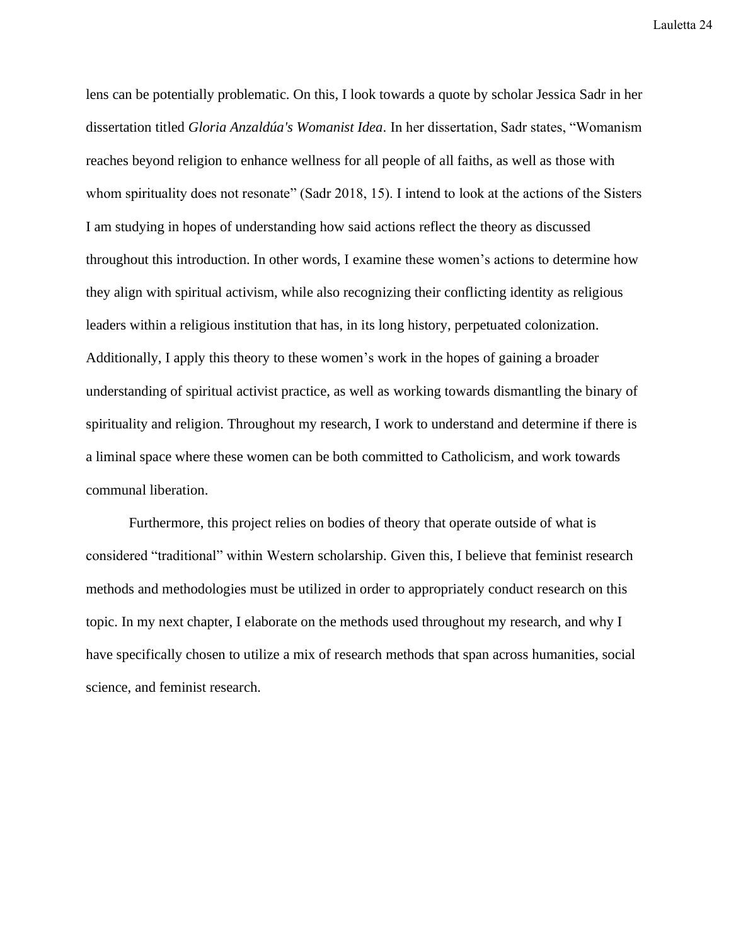lens can be potentially problematic. On this, I look towards a quote by scholar Jessica Sadr in her dissertation titled *Gloria Anzaldúa's Womanist Idea*. In her dissertation, Sadr states, "Womanism reaches beyond religion to enhance wellness for all people of all faiths, as well as those with whom spirituality does not resonate" (Sadr 2018, 15). I intend to look at the actions of the Sisters I am studying in hopes of understanding how said actions reflect the theory as discussed throughout this introduction. In other words, I examine these women's actions to determine how they align with spiritual activism, while also recognizing their conflicting identity as religious leaders within a religious institution that has, in its long history, perpetuated colonization. Additionally, I apply this theory to these women's work in the hopes of gaining a broader understanding of spiritual activist practice, as well as working towards dismantling the binary of spirituality and religion. Throughout my research, I work to understand and determine if there is a liminal space where these women can be both committed to Catholicism, and work towards communal liberation.

Furthermore, this project relies on bodies of theory that operate outside of what is considered "traditional" within Western scholarship. Given this, I believe that feminist research methods and methodologies must be utilized in order to appropriately conduct research on this topic. In my next chapter, I elaborate on the methods used throughout my research, and why I have specifically chosen to utilize a mix of research methods that span across humanities, social science, and feminist research.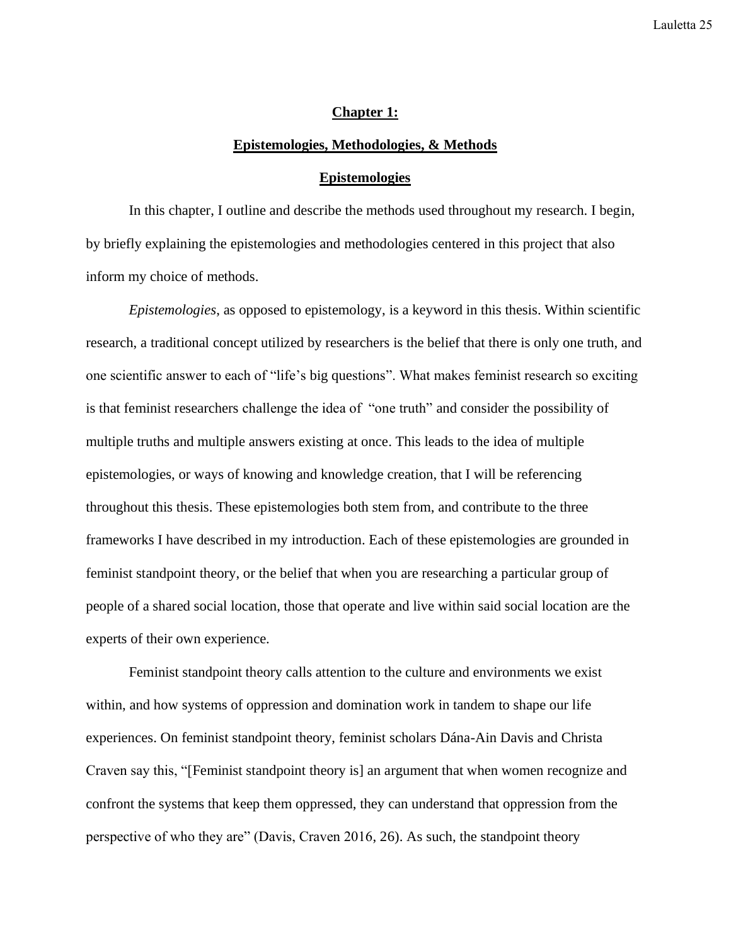#### **Chapter 1:**

#### **Epistemologies, Methodologies, & Methods**

#### **Epistemologies**

In this chapter, I outline and describe the methods used throughout my research. I begin, by briefly explaining the epistemologies and methodologies centered in this project that also inform my choice of methods.

*Epistemologies*, as opposed to epistemology, is a keyword in this thesis. Within scientific research, a traditional concept utilized by researchers is the belief that there is only one truth, and one scientific answer to each of "life's big questions". What makes feminist research so exciting is that feminist researchers challenge the idea of "one truth" and consider the possibility of multiple truths and multiple answers existing at once. This leads to the idea of multiple epistemologies, or ways of knowing and knowledge creation, that I will be referencing throughout this thesis. These epistemologies both stem from, and contribute to the three frameworks I have described in my introduction. Each of these epistemologies are grounded in feminist standpoint theory, or the belief that when you are researching a particular group of people of a shared social location, those that operate and live within said social location are the experts of their own experience.

Feminist standpoint theory calls attention to the culture and environments we exist within, and how systems of oppression and domination work in tandem to shape our life experiences. On feminist standpoint theory, feminist scholars Dána-Ain Davis and Christa Craven say this, "[Feminist standpoint theory is] an argument that when women recognize and confront the systems that keep them oppressed, they can understand that oppression from the perspective of who they are" (Davis, Craven 2016, 26). As such, the standpoint theory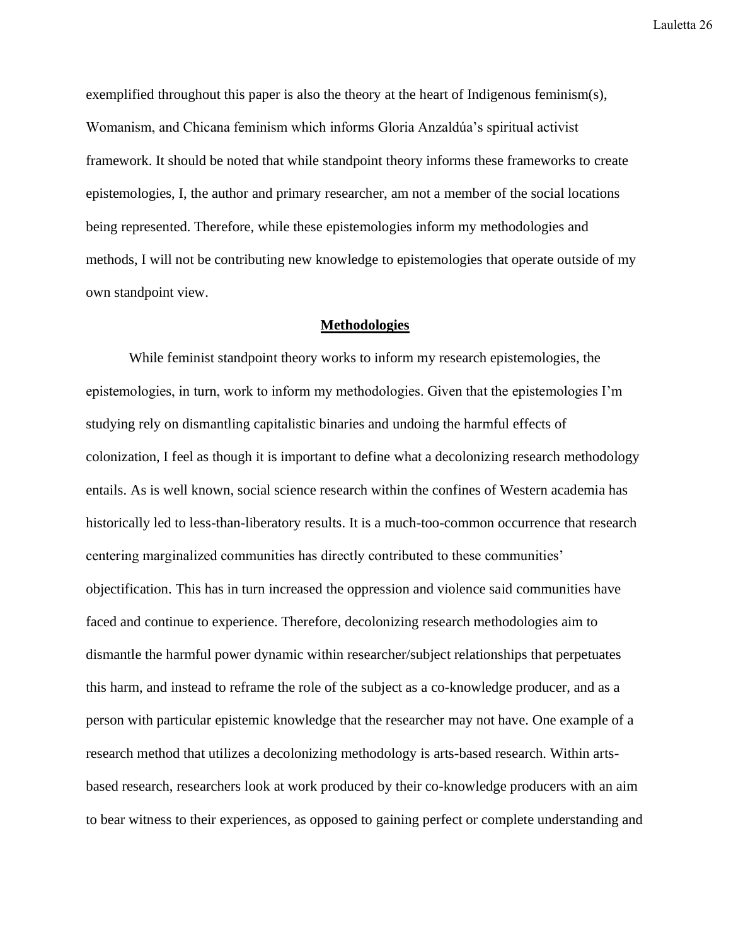exemplified throughout this paper is also the theory at the heart of Indigenous feminism(s), Womanism, and Chicana feminism which informs Gloria Anzaldúa's spiritual activist framework. It should be noted that while standpoint theory informs these frameworks to create epistemologies, I, the author and primary researcher, am not a member of the social locations being represented. Therefore, while these epistemologies inform my methodologies and methods, I will not be contributing new knowledge to epistemologies that operate outside of my own standpoint view.

#### **Methodologies**

While feminist standpoint theory works to inform my research epistemologies, the epistemologies, in turn, work to inform my methodologies. Given that the epistemologies I'm studying rely on dismantling capitalistic binaries and undoing the harmful effects of colonization, I feel as though it is important to define what a decolonizing research methodology entails. As is well known, social science research within the confines of Western academia has historically led to less-than-liberatory results. It is a much-too-common occurrence that research centering marginalized communities has directly contributed to these communities' objectification. This has in turn increased the oppression and violence said communities have faced and continue to experience. Therefore, decolonizing research methodologies aim to dismantle the harmful power dynamic within researcher/subject relationships that perpetuates this harm, and instead to reframe the role of the subject as a co-knowledge producer, and as a person with particular epistemic knowledge that the researcher may not have. One example of a research method that utilizes a decolonizing methodology is arts-based research. Within artsbased research, researchers look at work produced by their co-knowledge producers with an aim to bear witness to their experiences, as opposed to gaining perfect or complete understanding and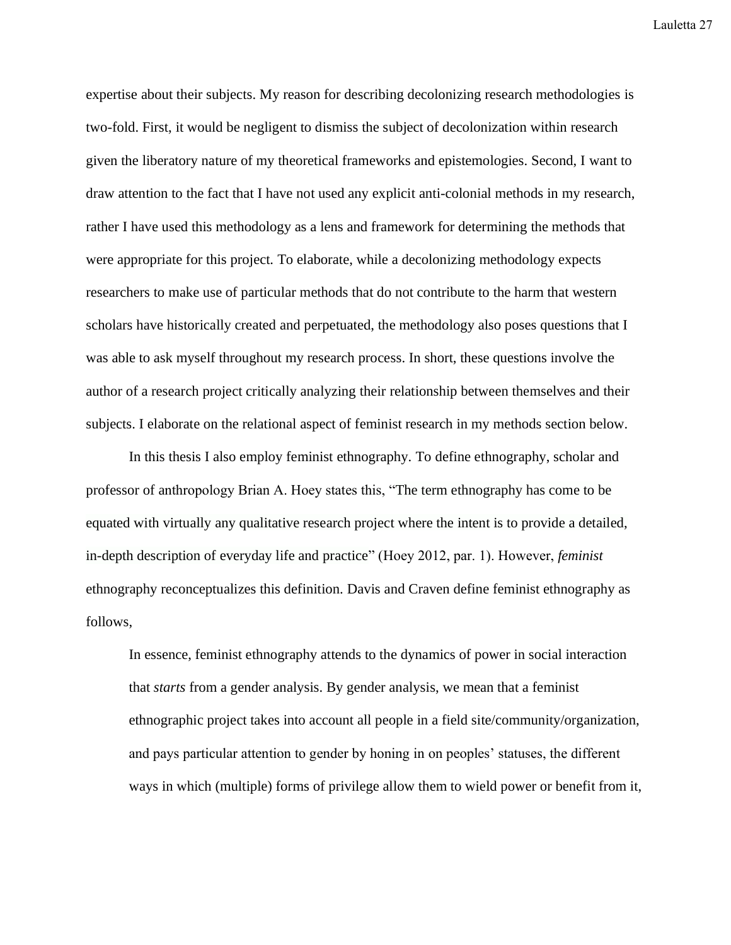expertise about their subjects. My reason for describing decolonizing research methodologies is two-fold. First, it would be negligent to dismiss the subject of decolonization within research given the liberatory nature of my theoretical frameworks and epistemologies. Second, I want to draw attention to the fact that I have not used any explicit anti-colonial methods in my research, rather I have used this methodology as a lens and framework for determining the methods that were appropriate for this project. To elaborate, while a decolonizing methodology expects researchers to make use of particular methods that do not contribute to the harm that western scholars have historically created and perpetuated, the methodology also poses questions that I was able to ask myself throughout my research process. In short, these questions involve the author of a research project critically analyzing their relationship between themselves and their subjects. I elaborate on the relational aspect of feminist research in my methods section below.

In this thesis I also employ feminist ethnography. To define ethnography, scholar and professor of anthropology Brian A. Hoey states this, "The term ethnography has come to be equated with virtually any qualitative research project where the intent is to provide a detailed, in-depth description of everyday life and practice" (Hoey 2012, par. 1). However, *feminist* ethnography reconceptualizes this definition. Davis and Craven define feminist ethnography as follows,

In essence, feminist ethnography attends to the dynamics of power in social interaction that *starts* from a gender analysis. By gender analysis, we mean that a feminist ethnographic project takes into account all people in a field site/community/organization, and pays particular attention to gender by honing in on peoples' statuses, the different ways in which (multiple) forms of privilege allow them to wield power or benefit from it,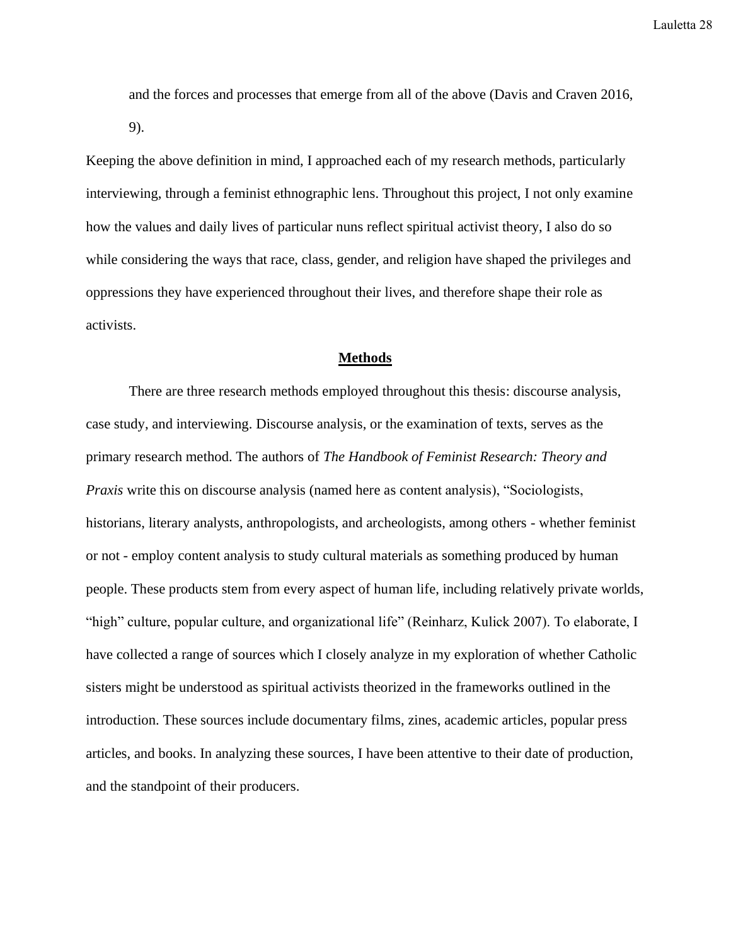and the forces and processes that emerge from all of the above (Davis and Craven 2016, 9).

Keeping the above definition in mind, I approached each of my research methods, particularly interviewing, through a feminist ethnographic lens. Throughout this project, I not only examine how the values and daily lives of particular nuns reflect spiritual activist theory, I also do so while considering the ways that race, class, gender, and religion have shaped the privileges and oppressions they have experienced throughout their lives, and therefore shape their role as activists.

#### **Methods**

There are three research methods employed throughout this thesis: discourse analysis, case study, and interviewing. Discourse analysis, or the examination of texts, serves as the primary research method. The authors of *The Handbook of Feminist Research: Theory and Praxis* write this on discourse analysis (named here as content analysis), "Sociologists, historians, literary analysts, anthropologists, and archeologists, among others - whether feminist or not - employ content analysis to study cultural materials as something produced by human people. These products stem from every aspect of human life, including relatively private worlds, "high" culture, popular culture, and organizational life" (Reinharz, Kulick 2007). To elaborate, I have collected a range of sources which I closely analyze in my exploration of whether Catholic sisters might be understood as spiritual activists theorized in the frameworks outlined in the introduction. These sources include documentary films, zines, academic articles, popular press articles, and books. In analyzing these sources, I have been attentive to their date of production, and the standpoint of their producers.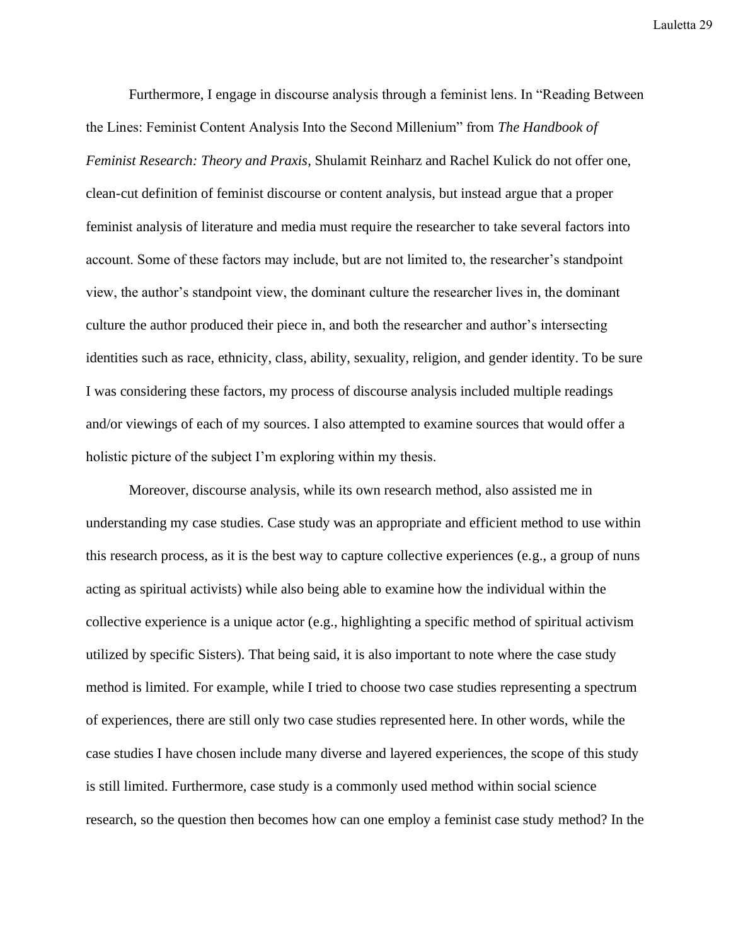Furthermore, I engage in discourse analysis through a feminist lens. In "Reading Between the Lines: Feminist Content Analysis Into the Second Millenium" from *The Handbook of Feminist Research: Theory and Praxis*, Shulamit Reinharz and Rachel Kulick do not offer one, clean-cut definition of feminist discourse or content analysis, but instead argue that a proper feminist analysis of literature and media must require the researcher to take several factors into account. Some of these factors may include, but are not limited to, the researcher's standpoint view, the author's standpoint view, the dominant culture the researcher lives in, the dominant culture the author produced their piece in, and both the researcher and author's intersecting identities such as race, ethnicity, class, ability, sexuality, religion, and gender identity. To be sure I was considering these factors, my process of discourse analysis included multiple readings and/or viewings of each of my sources. I also attempted to examine sources that would offer a holistic picture of the subject I'm exploring within my thesis.

Moreover, discourse analysis, while its own research method, also assisted me in understanding my case studies. Case study was an appropriate and efficient method to use within this research process, as it is the best way to capture collective experiences (e.g., a group of nuns acting as spiritual activists) while also being able to examine how the individual within the collective experience is a unique actor (e.g., highlighting a specific method of spiritual activism utilized by specific Sisters). That being said, it is also important to note where the case study method is limited. For example, while I tried to choose two case studies representing a spectrum of experiences, there are still only two case studies represented here. In other words, while the case studies I have chosen include many diverse and layered experiences, the scope of this study is still limited. Furthermore, case study is a commonly used method within social science research, so the question then becomes how can one employ a feminist case study method? In the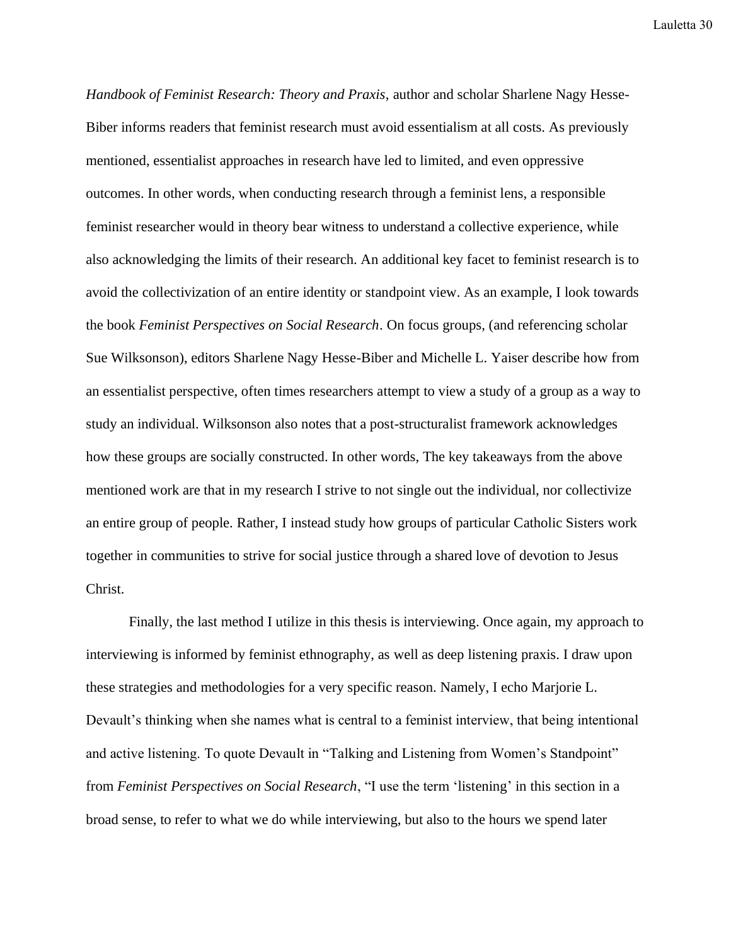*Handbook of Feminist Research: Theory and Praxis*, author and scholar Sharlene Nagy Hesse-Biber informs readers that feminist research must avoid essentialism at all costs. As previously mentioned, essentialist approaches in research have led to limited, and even oppressive outcomes. In other words, when conducting research through a feminist lens, a responsible feminist researcher would in theory bear witness to understand a collective experience, while also acknowledging the limits of their research. An additional key facet to feminist research is to avoid the collectivization of an entire identity or standpoint view. As an example, I look towards the book *Feminist Perspectives on Social Research*. On focus groups, (and referencing scholar Sue Wilksonson), editors Sharlene Nagy Hesse-Biber and Michelle L. Yaiser describe how from an essentialist perspective, often times researchers attempt to view a study of a group as a way to study an individual. Wilksonson also notes that a post-structuralist framework acknowledges how these groups are socially constructed. In other words, The key takeaways from the above mentioned work are that in my research I strive to not single out the individual, nor collectivize an entire group of people. Rather, I instead study how groups of particular Catholic Sisters work together in communities to strive for social justice through a shared love of devotion to Jesus Christ.

Finally, the last method I utilize in this thesis is interviewing. Once again, my approach to interviewing is informed by feminist ethnography, as well as deep listening praxis. I draw upon these strategies and methodologies for a very specific reason. Namely, I echo Marjorie L. Devault's thinking when she names what is central to a feminist interview, that being intentional and active listening. To quote Devault in "Talking and Listening from Women's Standpoint" from *Feminist Perspectives on Social Research*, "I use the term 'listening' in this section in a broad sense, to refer to what we do while interviewing, but also to the hours we spend later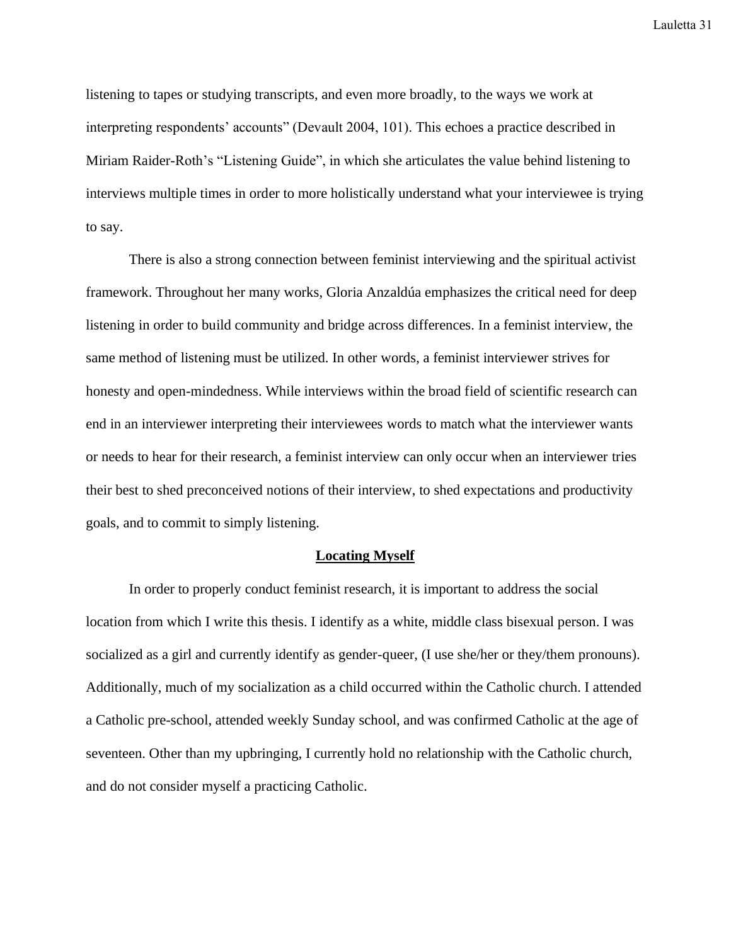listening to tapes or studying transcripts, and even more broadly, to the ways we work at interpreting respondents' accounts" (Devault 2004, 101). This echoes a practice described in Miriam Raider-Roth's "Listening Guide", in which she articulates the value behind listening to interviews multiple times in order to more holistically understand what your interviewee is trying to say.

There is also a strong connection between feminist interviewing and the spiritual activist framework. Throughout her many works, Gloria Anzaldúa emphasizes the critical need for deep listening in order to build community and bridge across differences. In a feminist interview, the same method of listening must be utilized. In other words, a feminist interviewer strives for honesty and open-mindedness. While interviews within the broad field of scientific research can end in an interviewer interpreting their interviewees words to match what the interviewer wants or needs to hear for their research, a feminist interview can only occur when an interviewer tries their best to shed preconceived notions of their interview, to shed expectations and productivity goals, and to commit to simply listening.

#### **Locating Myself**

In order to properly conduct feminist research, it is important to address the social location from which I write this thesis. I identify as a white, middle class bisexual person. I was socialized as a girl and currently identify as gender-queer, (I use she/her or they/them pronouns). Additionally, much of my socialization as a child occurred within the Catholic church. I attended a Catholic pre-school, attended weekly Sunday school, and was confirmed Catholic at the age of seventeen. Other than my upbringing, I currently hold no relationship with the Catholic church, and do not consider myself a practicing Catholic.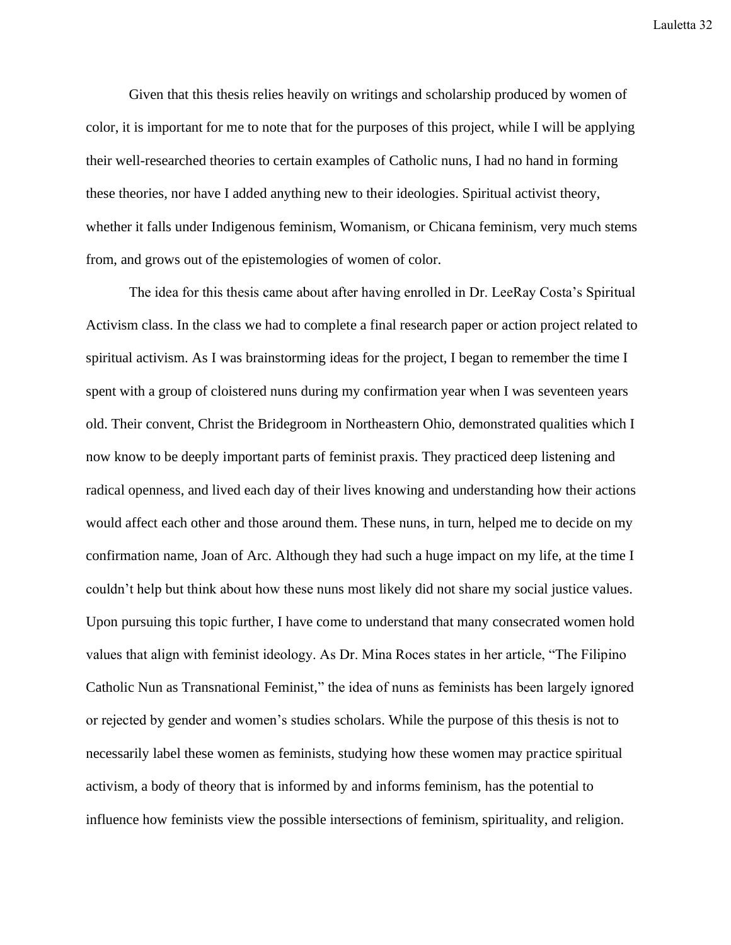Given that this thesis relies heavily on writings and scholarship produced by women of color, it is important for me to note that for the purposes of this project, while I will be applying their well-researched theories to certain examples of Catholic nuns, I had no hand in forming these theories, nor have I added anything new to their ideologies. Spiritual activist theory, whether it falls under Indigenous feminism, Womanism, or Chicana feminism, very much stems from, and grows out of the epistemologies of women of color.

The idea for this thesis came about after having enrolled in Dr. LeeRay Costa's Spiritual Activism class. In the class we had to complete a final research paper or action project related to spiritual activism. As I was brainstorming ideas for the project, I began to remember the time I spent with a group of cloistered nuns during my confirmation year when I was seventeen years old. Their convent, Christ the Bridegroom in Northeastern Ohio, demonstrated qualities which I now know to be deeply important parts of feminist praxis. They practiced deep listening and radical openness, and lived each day of their lives knowing and understanding how their actions would affect each other and those around them. These nuns, in turn, helped me to decide on my confirmation name, Joan of Arc. Although they had such a huge impact on my life, at the time I couldn't help but think about how these nuns most likely did not share my social justice values. Upon pursuing this topic further, I have come to understand that many consecrated women hold values that align with feminist ideology. As Dr. Mina Roces states in her article, "The Filipino Catholic Nun as Transnational Feminist," the idea of nuns as feminists has been largely ignored or rejected by gender and women's studies scholars. While the purpose of this thesis is not to necessarily label these women as feminists, studying how these women may practice spiritual activism, a body of theory that is informed by and informs feminism, has the potential to influence how feminists view the possible intersections of feminism, spirituality, and religion.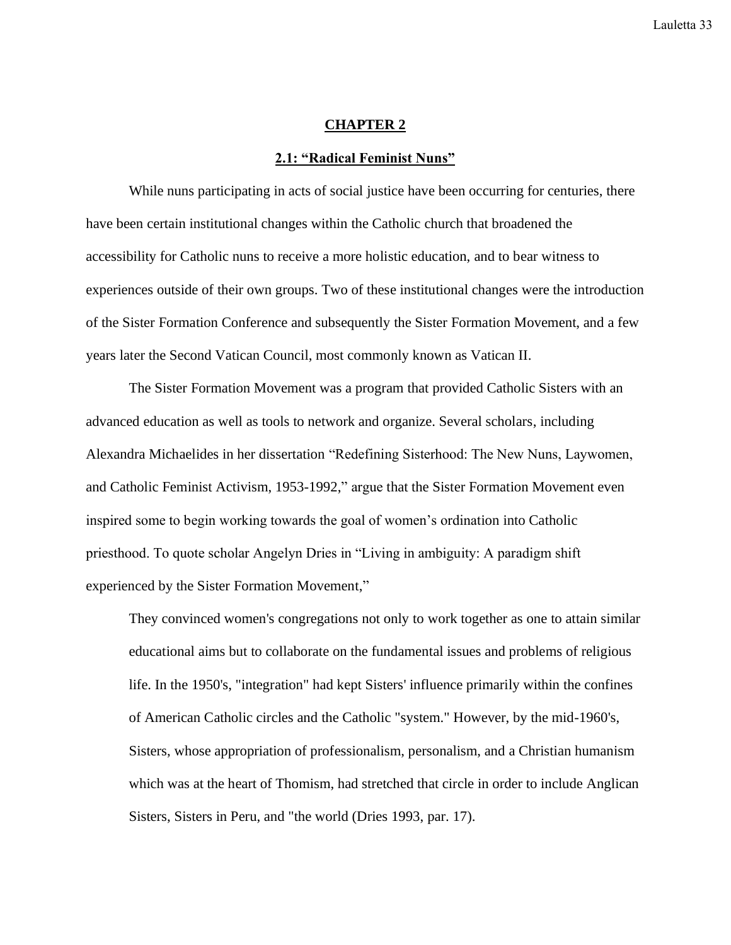#### **CHAPTER 2**

#### **2.1: "Radical Feminist Nuns"**

While nuns participating in acts of social justice have been occurring for centuries, there have been certain institutional changes within the Catholic church that broadened the accessibility for Catholic nuns to receive a more holistic education, and to bear witness to experiences outside of their own groups. Two of these institutional changes were the introduction of the Sister Formation Conference and subsequently the Sister Formation Movement, and a few years later the Second Vatican Council, most commonly known as Vatican II.

The Sister Formation Movement was a program that provided Catholic Sisters with an advanced education as well as tools to network and organize. Several scholars, including Alexandra Michaelides in her dissertation "Redefining Sisterhood: The New Nuns, Laywomen, and Catholic Feminist Activism, 1953-1992," argue that the Sister Formation Movement even inspired some to begin working towards the goal of women's ordination into Catholic priesthood. To quote scholar Angelyn Dries in "Living in ambiguity: A paradigm shift experienced by the Sister Formation Movement,"

They convinced women's congregations not only to work together as one to attain similar educational aims but to collaborate on the fundamental issues and problems of religious life. In the 1950's, "integration" had kept Sisters' influence primarily within the confines of American Catholic circles and the Catholic "system." However, by the mid-1960's, Sisters, whose appropriation of professionalism, personalism, and a Christian humanism which was at the heart of Thomism, had stretched that circle in order to include Anglican Sisters, Sisters in Peru, and "the world (Dries 1993, par. 17).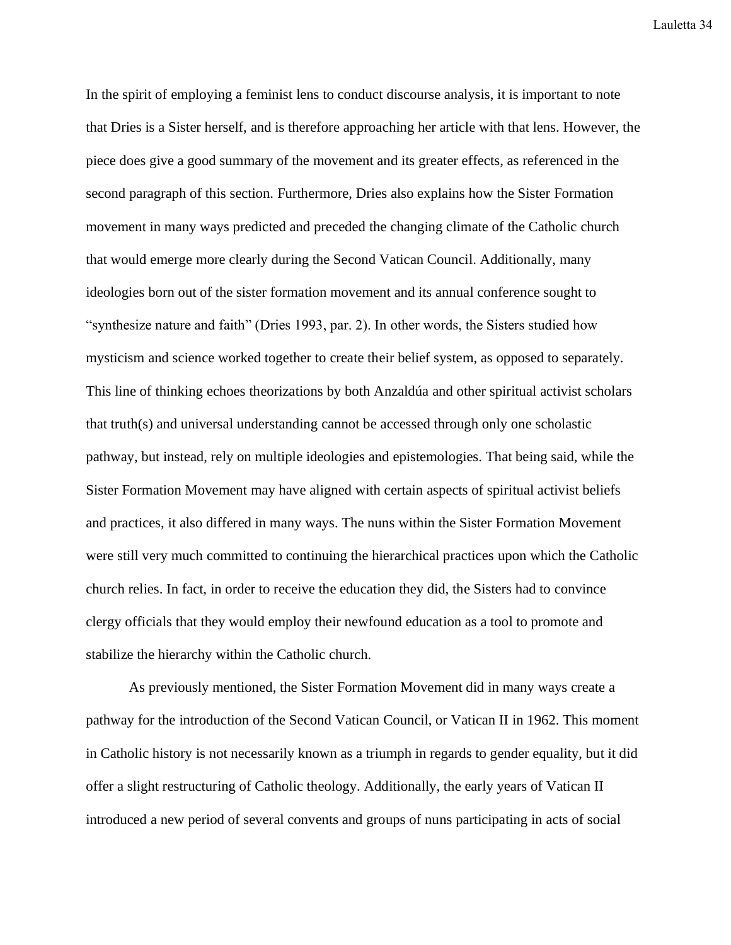In the spirit of employing a feminist lens to conduct discourse analysis, it is important to note that Dries is a Sister herself, and is therefore approaching her article with that lens. However, the piece does give a good summary of the movement and its greater effects, as referenced in the second paragraph of this section. Furthermore, Dries also explains how the Sister Formation movement in many ways predicted and preceded the changing climate of the Catholic church that would emerge more clearly during the Second Vatican Council. Additionally, many ideologies born out of the sister formation movement and its annual conference sought to "synthesize nature and faith" (Dries 1993, par. 2). In other words, the Sisters studied how mysticism and science worked together to create their belief system, as opposed to separately. This line of thinking echoes theorizations by both Anzaldúa and other spiritual activist scholars that truth(s) and universal understanding cannot be accessed through only one scholastic pathway, but instead, rely on multiple ideologies and epistemologies. That being said, while the Sister Formation Movement may have aligned with certain aspects of spiritual activist beliefs and practices, it also differed in many ways. The nuns within the Sister Formation Movement were still very much committed to continuing the hierarchical practices upon which the Catholic church relies. In fact, in order to receive the education they did, the Sisters had to convince clergy officials that they would employ their newfound education as a tool to promote and stabilize the hierarchy within the Catholic church.

As previously mentioned, the Sister Formation Movement did in many ways create a pathway for the introduction of the Second Vatican Council, or Vatican II in 1962. This moment in Catholic history is not necessarily known as a triumph in regards to gender equality, but it did offer a slight restructuring of Catholic theology. Additionally, the early years of Vatican II introduced a new period of several convents and groups of nuns participating in acts of social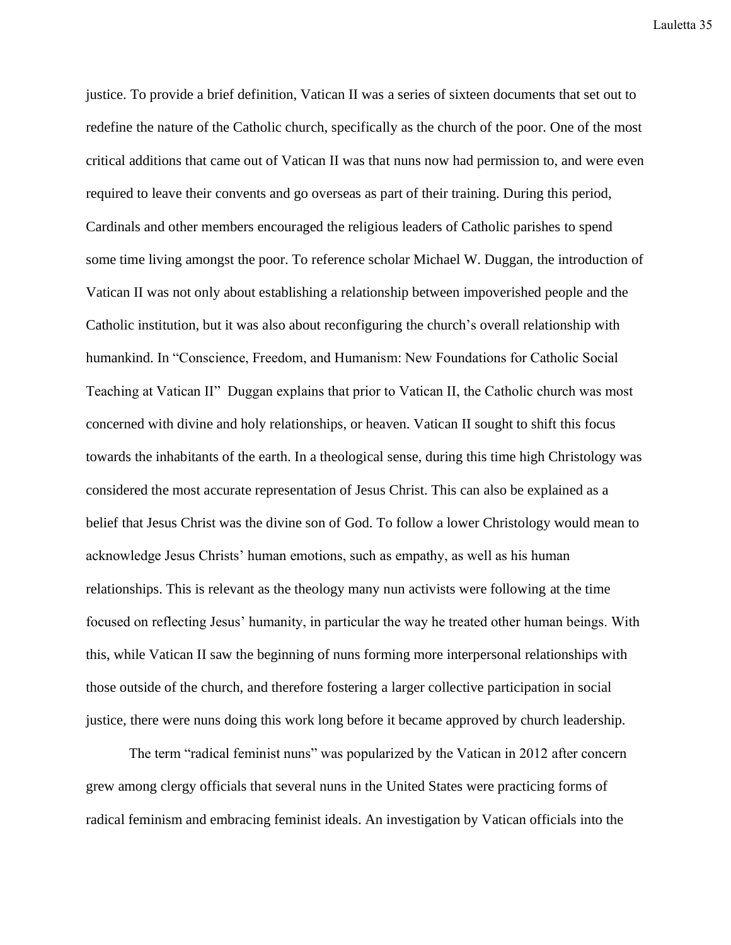justice. To provide a brief definition, Vatican II was a series of sixteen documents that set out to redefine the nature of the Catholic church, specifically as the church of the poor. One of the most critical additions that came out of Vatican II was that nuns now had permission to, and were even required to leave their convents and go overseas as part of their training. During this period, Cardinals and other members encouraged the religious leaders of Catholic parishes to spend some time living amongst the poor. To reference scholar Michael W. Duggan, the introduction of Vatican II was not only about establishing a relationship between impoverished people and the Catholic institution, but it was also about reconfiguring the church's overall relationship with humankind. In "Conscience, Freedom, and Humanism: New Foundations for Catholic Social Teaching at Vatican II" Duggan explains that prior to Vatican II, the Catholic church was most concerned with divine and holy relationships, or heaven. Vatican II sought to shift this focus towards the inhabitants of the earth. In a theological sense, during this time high Christology was considered the most accurate representation of Jesus Christ. This can also be explained as a belief that Jesus Christ was the divine son of God. To follow a lower Christology would mean to acknowledge Jesus Christs' human emotions, such as empathy, as well as his human relationships. This is relevant as the theology many nun activists were following at the time focused on reflecting Jesus' humanity, in particular the way he treated other human beings. With this, while Vatican II saw the beginning of nuns forming more interpersonal relationships with those outside of the church, and therefore fostering a larger collective participation in social justice, there were nuns doing this work long before it became approved by church leadership.

The term "radical feminist nuns" was popularized by the Vatican in 2012 after concern grew among clergy officials that several nuns in the United States were practicing forms of radical feminism and embracing feminist ideals. An investigation by Vatican officials into the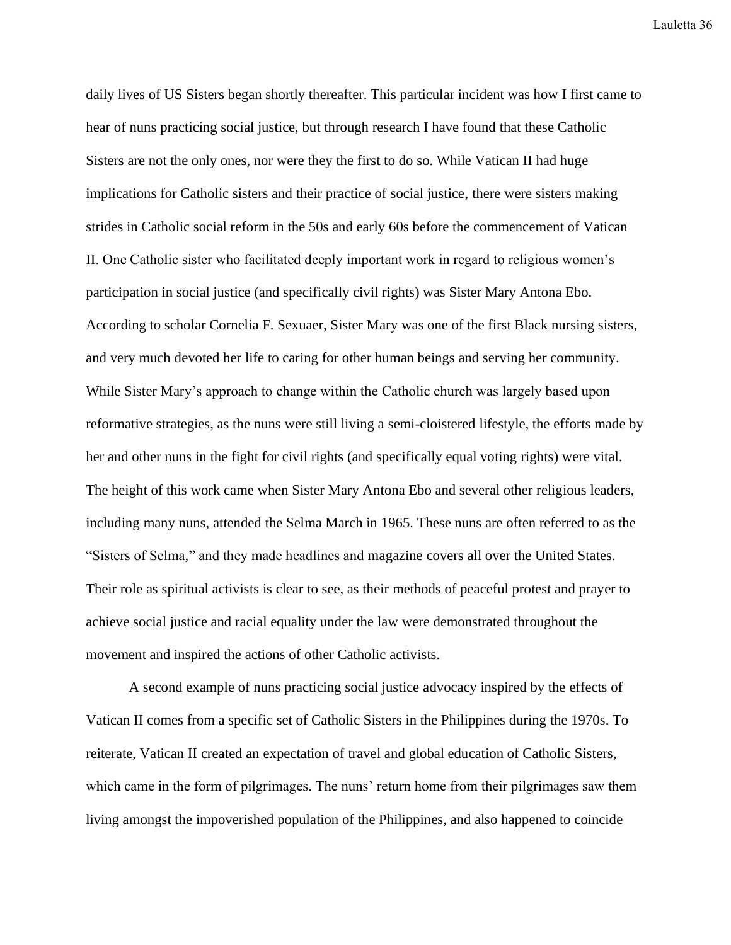daily lives of US Sisters began shortly thereafter. This particular incident was how I first came to hear of nuns practicing social justice, but through research I have found that these Catholic Sisters are not the only ones, nor were they the first to do so. While Vatican II had huge implications for Catholic sisters and their practice of social justice, there were sisters making strides in Catholic social reform in the 50s and early 60s before the commencement of Vatican II. One Catholic sister who facilitated deeply important work in regard to religious women's participation in social justice (and specifically civil rights) was Sister Mary Antona Ebo. According to scholar Cornelia F. Sexuaer, Sister Mary was one of the first Black nursing sisters, and very much devoted her life to caring for other human beings and serving her community. While Sister Mary's approach to change within the Catholic church was largely based upon reformative strategies, as the nuns were still living a semi-cloistered lifestyle, the efforts made by her and other nuns in the fight for civil rights (and specifically equal voting rights) were vital. The height of this work came when Sister Mary Antona Ebo and several other religious leaders, including many nuns, attended the Selma March in 1965. These nuns are often referred to as the "Sisters of Selma," and they made headlines and magazine covers all over the United States. Their role as spiritual activists is clear to see, as their methods of peaceful protest and prayer to achieve social justice and racial equality under the law were demonstrated throughout the movement and inspired the actions of other Catholic activists.

A second example of nuns practicing social justice advocacy inspired by the effects of Vatican II comes from a specific set of Catholic Sisters in the Philippines during the 1970s. To reiterate, Vatican II created an expectation of travel and global education of Catholic Sisters, which came in the form of pilgrimages. The nuns' return home from their pilgrimages saw them living amongst the impoverished population of the Philippines, and also happened to coincide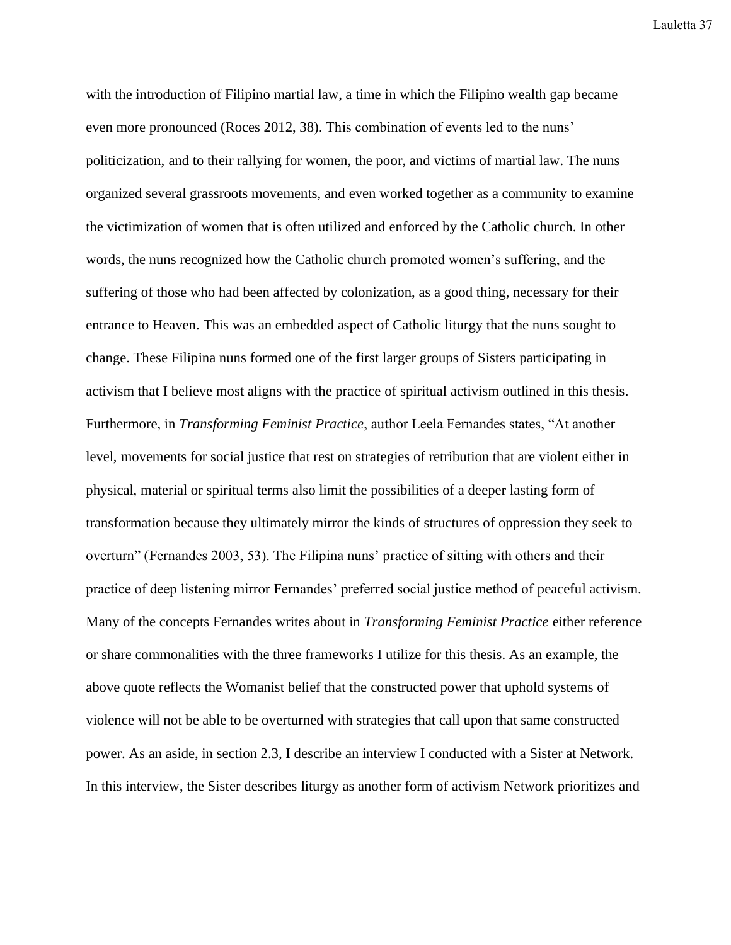with the introduction of Filipino martial law, a time in which the Filipino wealth gap became even more pronounced (Roces 2012, 38). This combination of events led to the nuns' politicization, and to their rallying for women, the poor, and victims of martial law. The nuns organized several grassroots movements, and even worked together as a community to examine the victimization of women that is often utilized and enforced by the Catholic church. In other words, the nuns recognized how the Catholic church promoted women's suffering, and the suffering of those who had been affected by colonization, as a good thing, necessary for their entrance to Heaven. This was an embedded aspect of Catholic liturgy that the nuns sought to change. These Filipina nuns formed one of the first larger groups of Sisters participating in activism that I believe most aligns with the practice of spiritual activism outlined in this thesis. Furthermore, in *Transforming Feminist Practice*, author Leela Fernandes states, "At another level, movements for social justice that rest on strategies of retribution that are violent either in physical, material or spiritual terms also limit the possibilities of a deeper lasting form of transformation because they ultimately mirror the kinds of structures of oppression they seek to overturn" (Fernandes 2003, 53). The Filipina nuns' practice of sitting with others and their practice of deep listening mirror Fernandes' preferred social justice method of peaceful activism. Many of the concepts Fernandes writes about in *Transforming Feminist Practice* either reference or share commonalities with the three frameworks I utilize for this thesis. As an example, the above quote reflects the Womanist belief that the constructed power that uphold systems of violence will not be able to be overturned with strategies that call upon that same constructed power. As an aside, in section 2.3, I describe an interview I conducted with a Sister at Network. In this interview, the Sister describes liturgy as another form of activism Network prioritizes and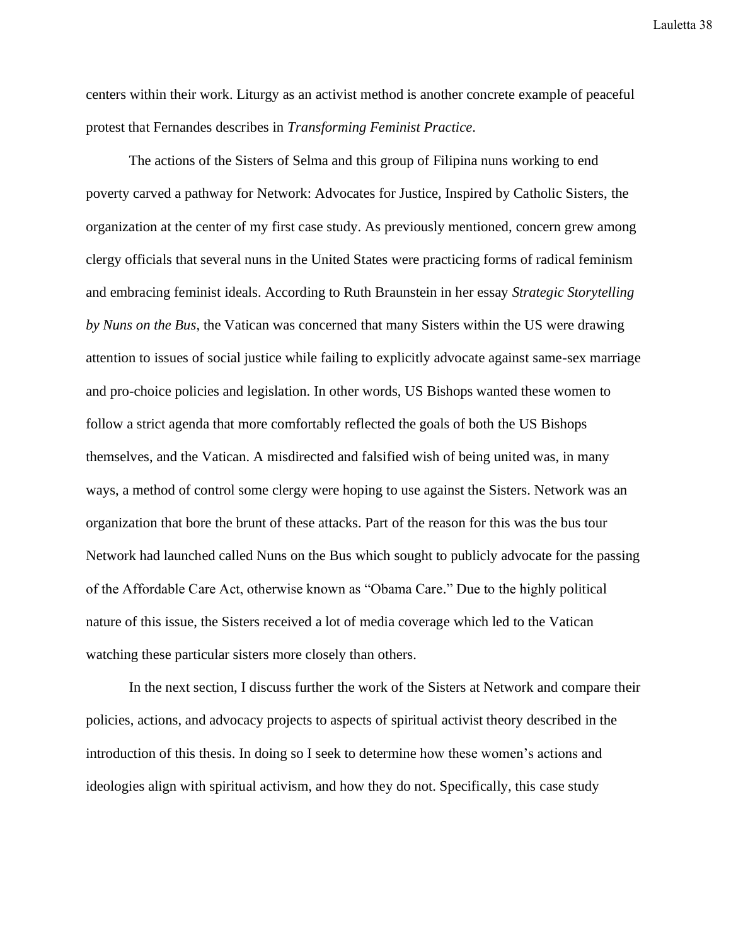centers within their work. Liturgy as an activist method is another concrete example of peaceful protest that Fernandes describes in *Transforming Feminist Practice*.

The actions of the Sisters of Selma and this group of Filipina nuns working to end poverty carved a pathway for Network: Advocates for Justice, Inspired by Catholic Sisters, the organization at the center of my first case study. As previously mentioned, concern grew among clergy officials that several nuns in the United States were practicing forms of radical feminism and embracing feminist ideals. According to Ruth Braunstein in her essay *Strategic Storytelling by Nuns on the Bus*, the Vatican was concerned that many Sisters within the US were drawing attention to issues of social justice while failing to explicitly advocate against same-sex marriage and pro-choice policies and legislation. In other words, US Bishops wanted these women to follow a strict agenda that more comfortably reflected the goals of both the US Bishops themselves, and the Vatican. A misdirected and falsified wish of being united was, in many ways, a method of control some clergy were hoping to use against the Sisters. Network was an organization that bore the brunt of these attacks. Part of the reason for this was the bus tour Network had launched called Nuns on the Bus which sought to publicly advocate for the passing of the Affordable Care Act, otherwise known as "Obama Care." Due to the highly political nature of this issue, the Sisters received a lot of media coverage which led to the Vatican watching these particular sisters more closely than others.

In the next section, I discuss further the work of the Sisters at Network and compare their policies, actions, and advocacy projects to aspects of spiritual activist theory described in the introduction of this thesis. In doing so I seek to determine how these women's actions and ideologies align with spiritual activism, and how they do not. Specifically, this case study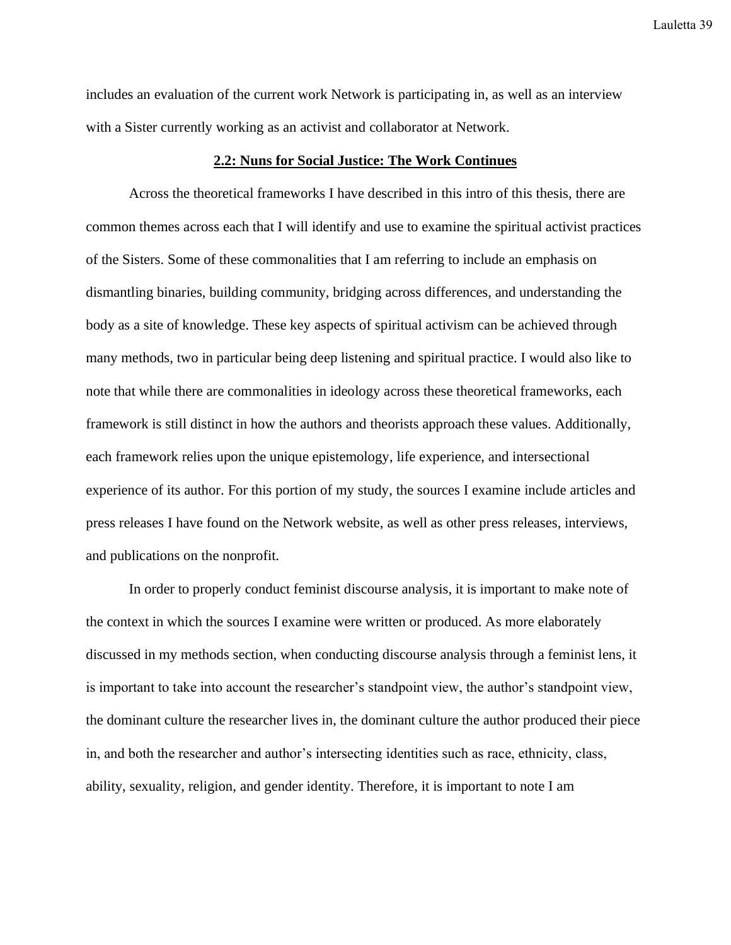includes an evaluation of the current work Network is participating in, as well as an interview with a Sister currently working as an activist and collaborator at Network.

## **2.2: Nuns for Social Justice: The Work Continues**

Across the theoretical frameworks I have described in this intro of this thesis, there are common themes across each that I will identify and use to examine the spiritual activist practices of the Sisters. Some of these commonalities that I am referring to include an emphasis on dismantling binaries, building community, bridging across differences, and understanding the body as a site of knowledge. These key aspects of spiritual activism can be achieved through many methods, two in particular being deep listening and spiritual practice. I would also like to note that while there are commonalities in ideology across these theoretical frameworks, each framework is still distinct in how the authors and theorists approach these values. Additionally, each framework relies upon the unique epistemology, life experience, and intersectional experience of its author. For this portion of my study, the sources I examine include articles and press releases I have found on the Network website, as well as other press releases, interviews, and publications on the nonprofit.

In order to properly conduct feminist discourse analysis, it is important to make note of the context in which the sources I examine were written or produced. As more elaborately discussed in my methods section, when conducting discourse analysis through a feminist lens, it is important to take into account the researcher's standpoint view, the author's standpoint view, the dominant culture the researcher lives in, the dominant culture the author produced their piece in, and both the researcher and author's intersecting identities such as race, ethnicity, class, ability, sexuality, religion, and gender identity. Therefore, it is important to note I am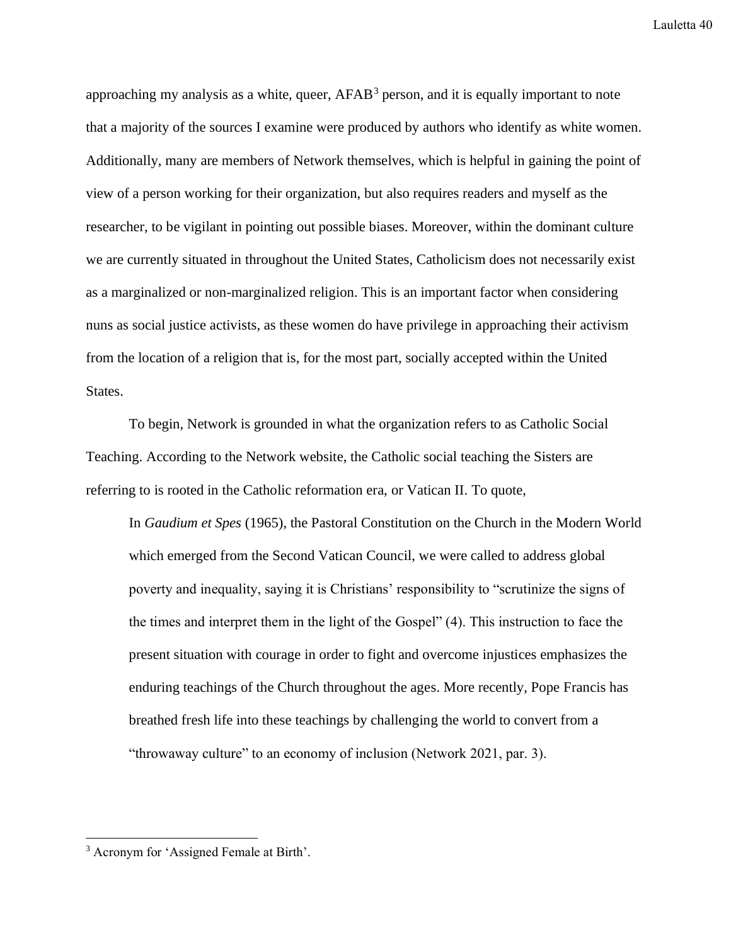approaching my analysis as a white, queer, AFAB<sup>3</sup> person, and it is equally important to note that a majority of the sources I examine were produced by authors who identify as white women. Additionally, many are members of Network themselves, which is helpful in gaining the point of view of a person working for their organization, but also requires readers and myself as the researcher, to be vigilant in pointing out possible biases. Moreover, within the dominant culture we are currently situated in throughout the United States, Catholicism does not necessarily exist as a marginalized or non-marginalized religion. This is an important factor when considering nuns as social justice activists, as these women do have privilege in approaching their activism from the location of a religion that is, for the most part, socially accepted within the United States.

To begin, Network is grounded in what the organization refers to as Catholic Social Teaching. According to the Network website, the Catholic social teaching the Sisters are referring to is rooted in the Catholic reformation era, or Vatican II. To quote,

In *Gaudium et Spes* (1965), the Pastoral Constitution on the Church in the Modern World which emerged from the Second Vatican Council, we were called to address global poverty and inequality, saying it is Christians' responsibility to "scrutinize the signs of the times and interpret them in the light of the Gospel" (4). This instruction to face the present situation with courage in order to fight and overcome injustices emphasizes the enduring teachings of the Church throughout the ages. More recently, Pope Francis has breathed fresh life into these teachings by challenging the world to convert from a "throwaway culture" to an economy of inclusion (Network 2021, par. 3).

<sup>3</sup> Acronym for 'Assigned Female at Birth'.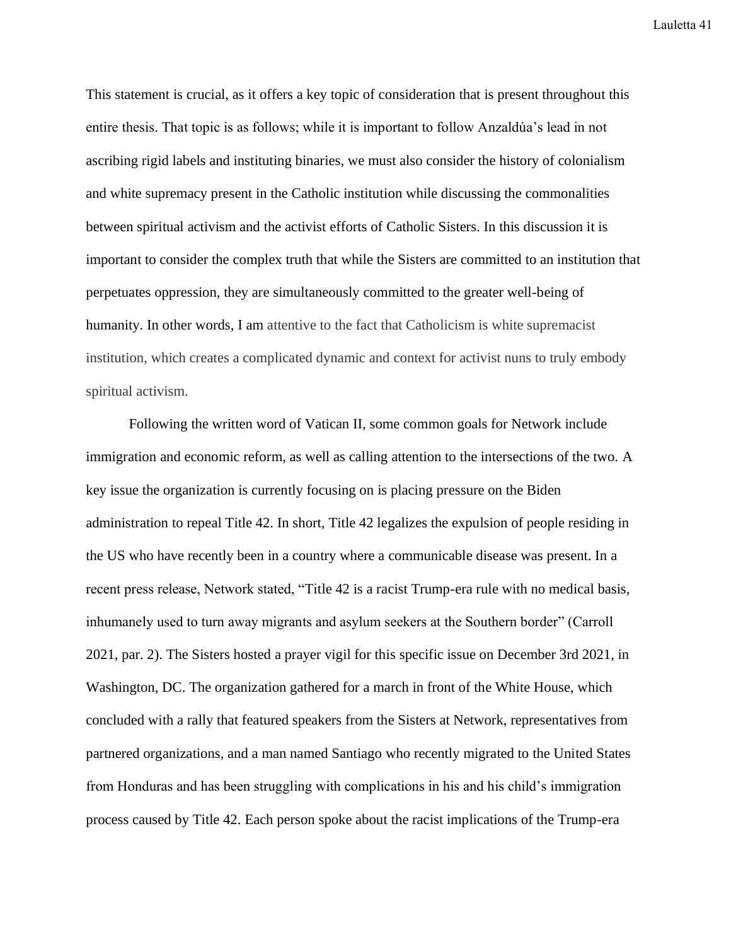This statement is crucial, as it offers a key topic of consideration that is present throughout this entire thesis. That topic is as follows; while it is important to follow Anzaldúa's lead in not ascribing rigid labels and instituting binaries, we must also consider the history of colonialism and white supremacy present in the Catholic institution while discussing the commonalities between spiritual activism and the activist efforts of Catholic Sisters. In this discussion it is important to consider the complex truth that while the Sisters are committed to an institution that perpetuates oppression, they are simultaneously committed to the greater well-being of humanity. In other words, I am attentive to the fact that Catholicism is white supremacist institution, which creates a complicated dynamic and context for activist nuns to truly embody spiritual activism.

Following the written word of Vatican II, some common goals for Network include immigration and economic reform, as well as calling attention to the intersections of the two. A key issue the organization is currently focusing on is placing pressure on the Biden administration to repeal Title 42. In short, Title 42 legalizes the expulsion of people residing in the US who have recently been in a country where a communicable disease was present. In a recent press release, Network stated, "Title 42 is a racist Trump-era rule with no medical basis, inhumanely used to turn away migrants and asylum seekers at the Southern border" (Carroll 2021, par. 2). The Sisters hosted a prayer vigil for this specific issue on December 3rd 2021, in Washington, DC. The organization gathered for a march in front of the White House, which concluded with a rally that featured speakers from the Sisters at Network, representatives from partnered organizations, and a man named Santiago who recently migrated to the United States from Honduras and has been struggling with complications in his and his child's immigration process caused by Title 42. Each person spoke about the racist implications of the Trump-era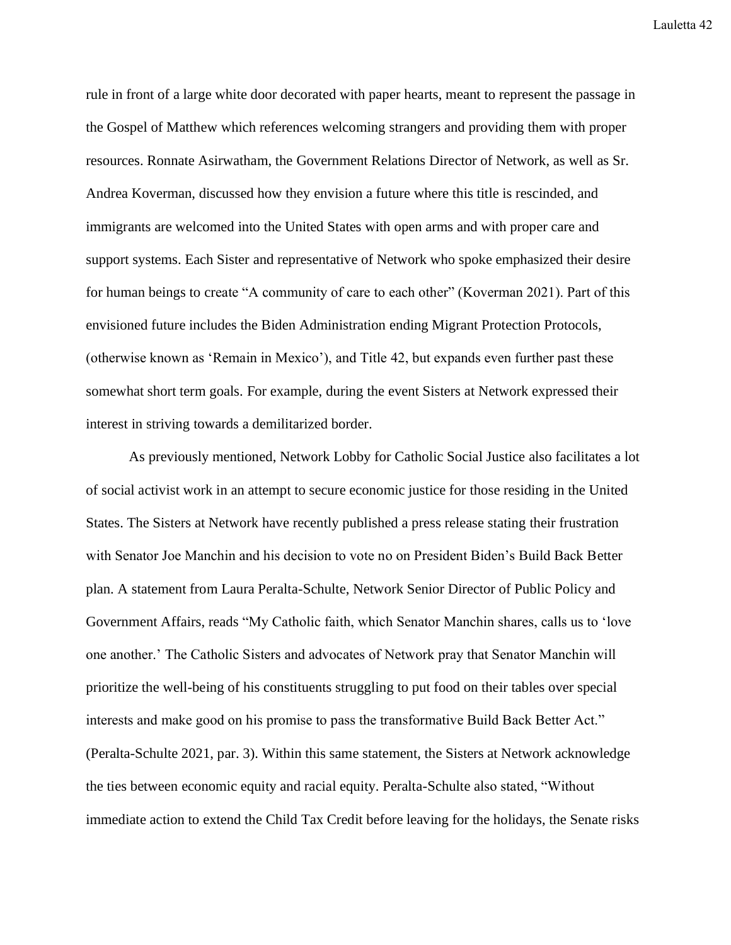rule in front of a large white door decorated with paper hearts, meant to represent the passage in the Gospel of Matthew which references welcoming strangers and providing them with proper resources. Ronnate Asirwatham, the Government Relations Director of Network, as well as Sr. Andrea Koverman, discussed how they envision a future where this title is rescinded, and immigrants are welcomed into the United States with open arms and with proper care and support systems. Each Sister and representative of Network who spoke emphasized their desire for human beings to create "A community of care to each other" (Koverman 2021). Part of this envisioned future includes the Biden Administration ending Migrant Protection Protocols, (otherwise known as 'Remain in Mexico'), and Title 42, but expands even further past these somewhat short term goals. For example, during the event Sisters at Network expressed their interest in striving towards a demilitarized border.

As previously mentioned, Network Lobby for Catholic Social Justice also facilitates a lot of social activist work in an attempt to secure economic justice for those residing in the United States. The Sisters at Network have recently published a press release stating their frustration with Senator Joe Manchin and his decision to vote no on President Biden's Build Back Better plan. A statement from Laura Peralta-Schulte, Network Senior Director of Public Policy and Government Affairs, reads "My Catholic faith, which Senator Manchin shares, calls us to 'love one another.' The Catholic Sisters and advocates of Network pray that Senator Manchin will prioritize the well-being of his constituents struggling to put food on their tables over special interests and make good on his promise to pass the transformative Build Back Better Act." (Peralta-Schulte 2021, par. 3). Within this same statement, the Sisters at Network acknowledge the ties between economic equity and racial equity. Peralta-Schulte also stated, "Without immediate action to extend the Child Tax Credit before leaving for the holidays, the Senate risks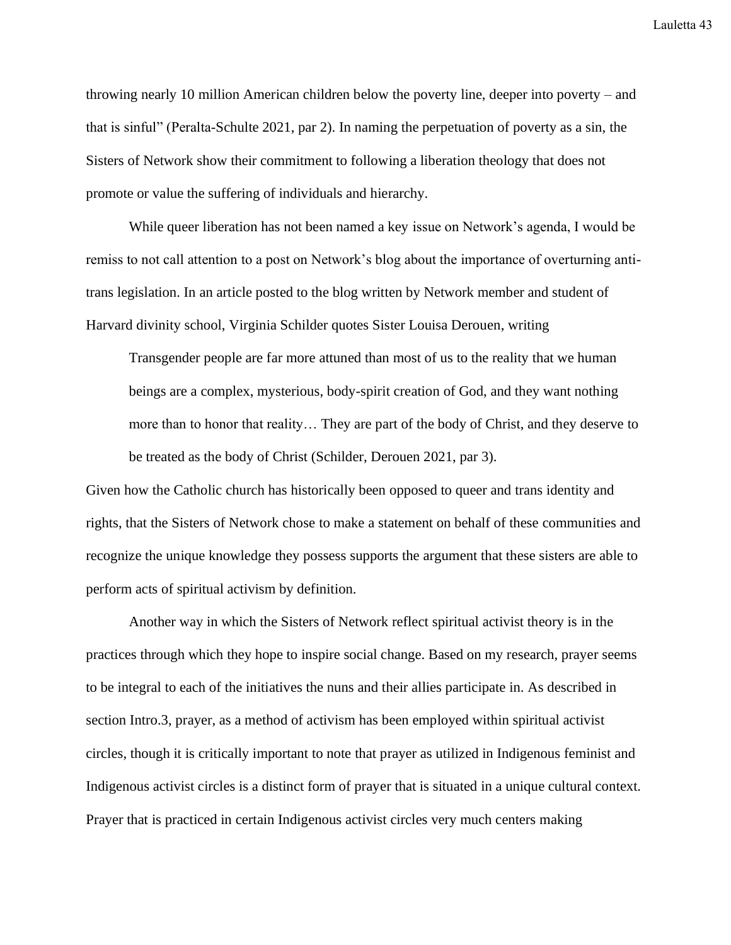throwing nearly 10 million American children below the poverty line, deeper into poverty – and that is sinful" (Peralta-Schulte 2021, par 2). In naming the perpetuation of poverty as a sin, the Sisters of Network show their commitment to following a liberation theology that does not promote or value the suffering of individuals and hierarchy.

While queer liberation has not been named a key issue on Network's agenda, I would be remiss to not call attention to a post on Network's blog about the importance of overturning antitrans legislation. In an article posted to the blog written by Network member and student of Harvard divinity school, Virginia Schilder quotes Sister Louisa Derouen, writing

Transgender people are far more attuned than most of us to the reality that we human beings are a complex, mysterious, body-spirit creation of God, and they want nothing more than to honor that reality… They are part of the body of Christ, and they deserve to be treated as the body of Christ (Schilder, Derouen 2021, par 3).

Given how the Catholic church has historically been opposed to queer and trans identity and rights, that the Sisters of Network chose to make a statement on behalf of these communities and recognize the unique knowledge they possess supports the argument that these sisters are able to perform acts of spiritual activism by definition.

Another way in which the Sisters of Network reflect spiritual activist theory is in the practices through which they hope to inspire social change. Based on my research, prayer seems to be integral to each of the initiatives the nuns and their allies participate in. As described in section Intro.3, prayer, as a method of activism has been employed within spiritual activist circles, though it is critically important to note that prayer as utilized in Indigenous feminist and Indigenous activist circles is a distinct form of prayer that is situated in a unique cultural context. Prayer that is practiced in certain Indigenous activist circles very much centers making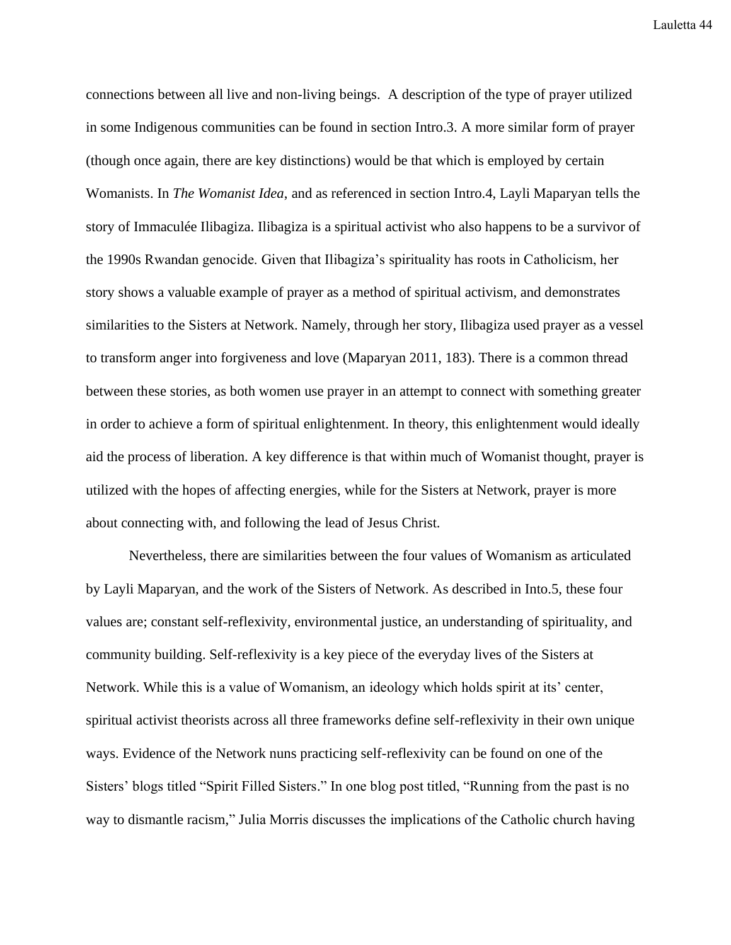connections between all live and non-living beings. A description of the type of prayer utilized in some Indigenous communities can be found in section Intro.3. A more similar form of prayer (though once again, there are key distinctions) would be that which is employed by certain Womanists. In *The Womanist Idea*, and as referenced in section Intro.4, Layli Maparyan tells the story of Immaculée Ilibagiza. Ilibagiza is a spiritual activist who also happens to be a survivor of the 1990s Rwandan genocide. Given that Ilibagiza's spirituality has roots in Catholicism, her story shows a valuable example of prayer as a method of spiritual activism, and demonstrates similarities to the Sisters at Network. Namely, through her story, Ilibagiza used prayer as a vessel to transform anger into forgiveness and love (Maparyan 2011, 183). There is a common thread between these stories, as both women use prayer in an attempt to connect with something greater in order to achieve a form of spiritual enlightenment. In theory, this enlightenment would ideally aid the process of liberation. A key difference is that within much of Womanist thought, prayer is utilized with the hopes of affecting energies, while for the Sisters at Network, prayer is more about connecting with, and following the lead of Jesus Christ.

Nevertheless, there are similarities between the four values of Womanism as articulated by Layli Maparyan, and the work of the Sisters of Network. As described in Into.5, these four values are; constant self-reflexivity, environmental justice, an understanding of spirituality, and community building. Self-reflexivity is a key piece of the everyday lives of the Sisters at Network. While this is a value of Womanism, an ideology which holds spirit at its' center, spiritual activist theorists across all three frameworks define self-reflexivity in their own unique ways. Evidence of the Network nuns practicing self-reflexivity can be found on one of the Sisters' blogs titled "Spirit Filled Sisters." In one blog post titled, "Running from the past is no way to dismantle racism," Julia Morris discusses the implications of the Catholic church having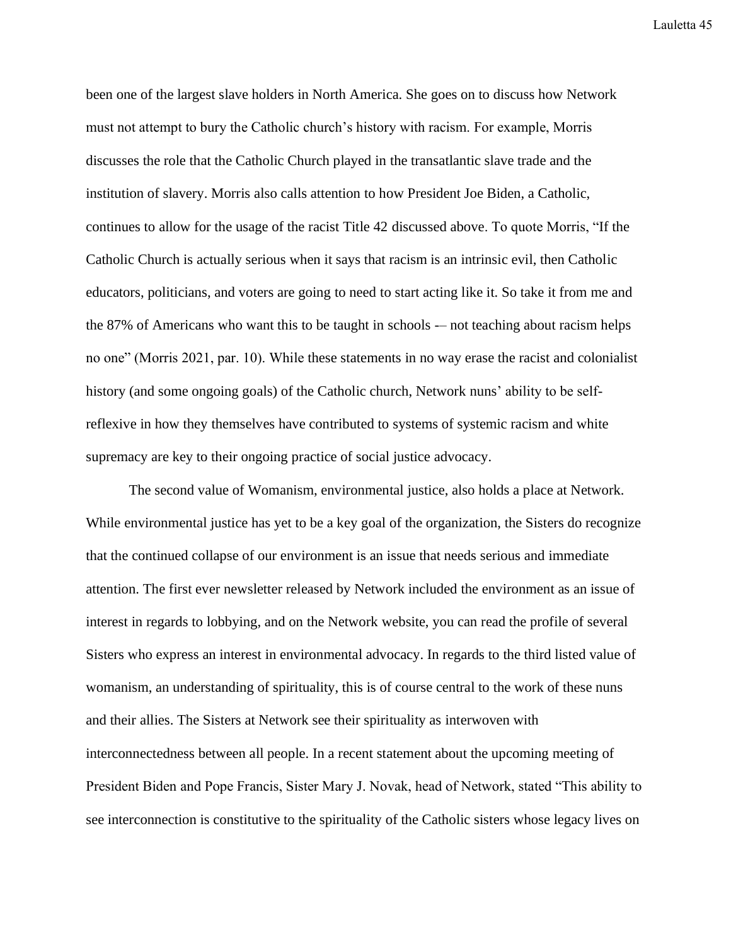been one of the largest slave holders in North America. She goes on to discuss how Network must not attempt to bury the Catholic church's history with racism. For example, Morris discusses the role that the Catholic Church played in the transatlantic slave trade and the institution of slavery. Morris also calls attention to how President Joe Biden, a Catholic, continues to allow for the usage of the racist Title 42 discussed above. To quote Morris, "If the Catholic Church is actually serious when it says that racism is an intrinsic evil, then Catholic educators, politicians, and voters are going to need to start acting like it. So take it from me and the 87% of Americans who want this to be taught in schools -– not teaching about racism helps no one" (Morris 2021, par. 10). While these statements in no way erase the racist and colonialist history (and some ongoing goals) of the Catholic church, Network nuns' ability to be selfreflexive in how they themselves have contributed to systems of systemic racism and white supremacy are key to their ongoing practice of social justice advocacy.

The second value of Womanism, environmental justice, also holds a place at Network. While environmental justice has yet to be a key goal of the organization, the Sisters do recognize that the continued collapse of our environment is an issue that needs serious and immediate attention. The first ever newsletter released by Network included the environment as an issue of interest in regards to lobbying, and on the Network website, you can read the profile of several Sisters who express an interest in environmental advocacy. In regards to the third listed value of womanism, an understanding of spirituality, this is of course central to the work of these nuns and their allies. The Sisters at Network see their spirituality as interwoven with interconnectedness between all people. In a recent statement about the upcoming meeting of President Biden and Pope Francis, Sister Mary J. Novak, head of Network, stated "This ability to see interconnection is constitutive to the spirituality of the Catholic sisters whose legacy lives on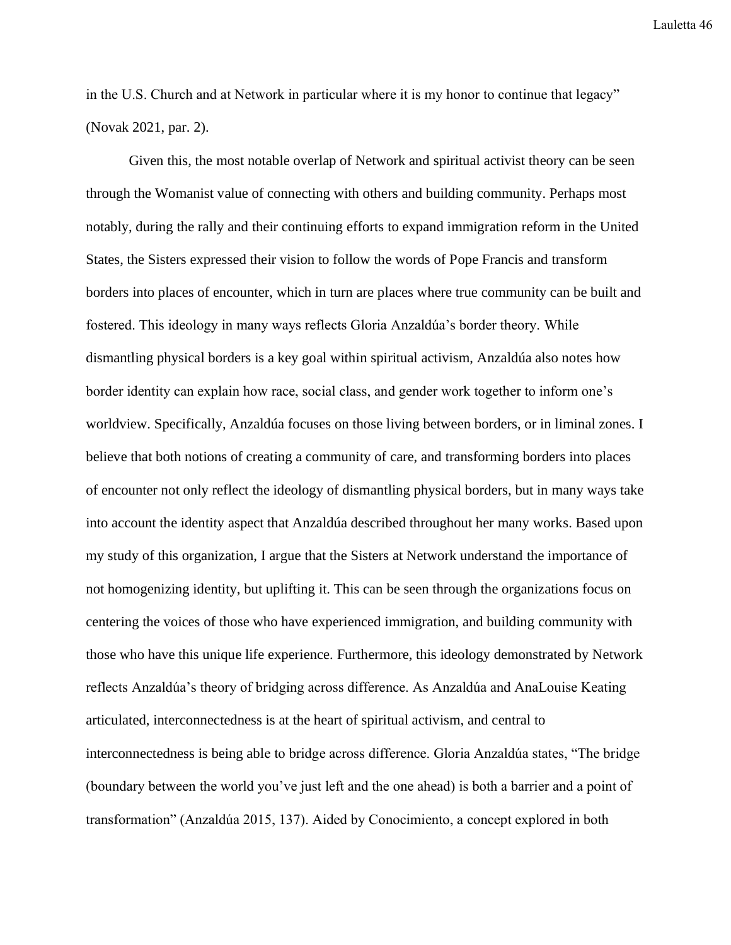in the U.S. Church and at Network in particular where it is my honor to continue that legacy" (Novak 2021, par. 2).

Given this, the most notable overlap of Network and spiritual activist theory can be seen through the Womanist value of connecting with others and building community. Perhaps most notably, during the rally and their continuing efforts to expand immigration reform in the United States, the Sisters expressed their vision to follow the words of Pope Francis and transform borders into places of encounter, which in turn are places where true community can be built and fostered. This ideology in many ways reflects Gloria Anzaldúa's border theory. While dismantling physical borders is a key goal within spiritual activism, Anzaldúa also notes how border identity can explain how race, social class, and gender work together to inform one's worldview. Specifically, Anzaldúa focuses on those living between borders, or in liminal zones. I believe that both notions of creating a community of care, and transforming borders into places of encounter not only reflect the ideology of dismantling physical borders, but in many ways take into account the identity aspect that Anzaldúa described throughout her many works. Based upon my study of this organization, I argue that the Sisters at Network understand the importance of not homogenizing identity, but uplifting it. This can be seen through the organizations focus on centering the voices of those who have experienced immigration, and building community with those who have this unique life experience. Furthermore, this ideology demonstrated by Network reflects Anzaldúa's theory of bridging across difference. As Anzaldúa and AnaLouise Keating articulated, interconnectedness is at the heart of spiritual activism, and central to interconnectedness is being able to bridge across difference. Gloria Anzaldúa states, "The bridge (boundary between the world you've just left and the one ahead) is both a barrier and a point of transformation" (Anzaldúa 2015, 137). Aided by Conocimiento, a concept explored in both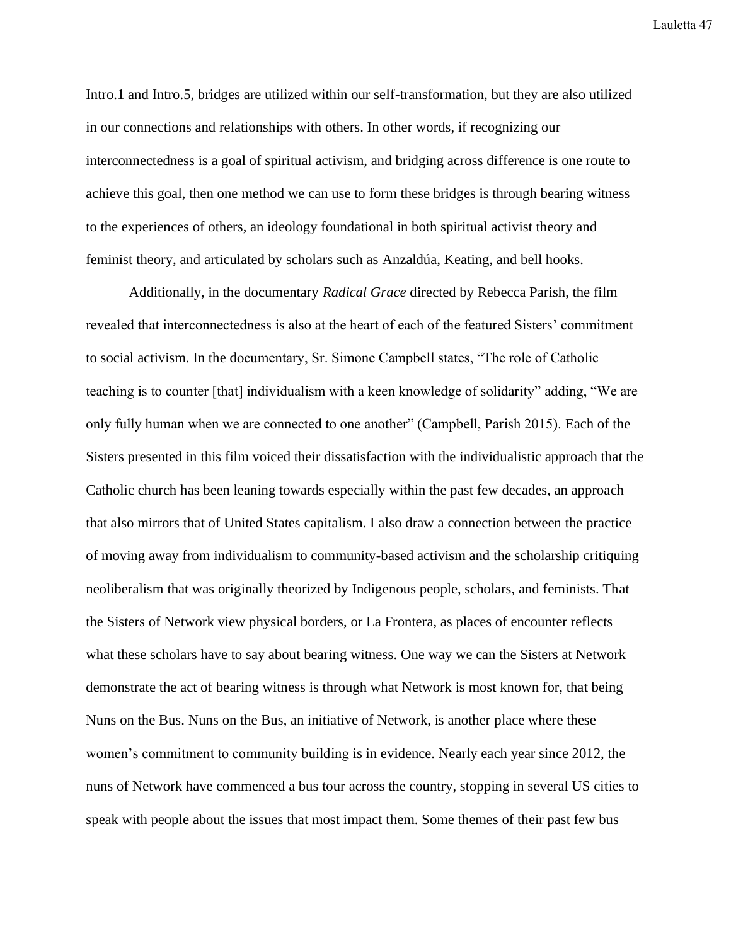Intro.1 and Intro.5, bridges are utilized within our self-transformation, but they are also utilized in our connections and relationships with others. In other words, if recognizing our interconnectedness is a goal of spiritual activism, and bridging across difference is one route to achieve this goal, then one method we can use to form these bridges is through bearing witness to the experiences of others, an ideology foundational in both spiritual activist theory and feminist theory, and articulated by scholars such as Anzaldúa, Keating, and bell hooks.

Additionally, in the documentary *Radical Grace* directed by Rebecca Parish, the film revealed that interconnectedness is also at the heart of each of the featured Sisters' commitment to social activism. In the documentary, Sr. Simone Campbell states, "The role of Catholic teaching is to counter [that] individualism with a keen knowledge of solidarity" adding, "We are only fully human when we are connected to one another" (Campbell, Parish 2015). Each of the Sisters presented in this film voiced their dissatisfaction with the individualistic approach that the Catholic church has been leaning towards especially within the past few decades, an approach that also mirrors that of United States capitalism. I also draw a connection between the practice of moving away from individualism to community-based activism and the scholarship critiquing neoliberalism that was originally theorized by Indigenous people, scholars, and feminists. That the Sisters of Network view physical borders, or La Frontera, as places of encounter reflects what these scholars have to say about bearing witness. One way we can the Sisters at Network demonstrate the act of bearing witness is through what Network is most known for, that being Nuns on the Bus. Nuns on the Bus, an initiative of Network, is another place where these women's commitment to community building is in evidence. Nearly each year since 2012, the nuns of Network have commenced a bus tour across the country, stopping in several US cities to speak with people about the issues that most impact them. Some themes of their past few bus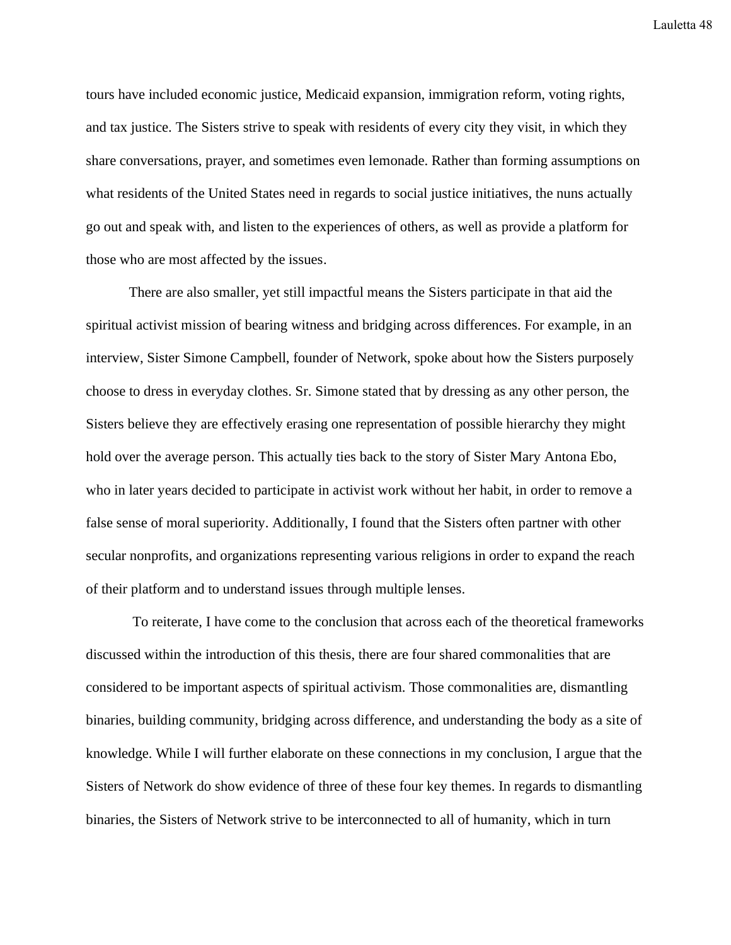tours have included economic justice, Medicaid expansion, immigration reform, voting rights, and tax justice. The Sisters strive to speak with residents of every city they visit, in which they share conversations, prayer, and sometimes even lemonade. Rather than forming assumptions on what residents of the United States need in regards to social justice initiatives, the nuns actually go out and speak with, and listen to the experiences of others, as well as provide a platform for those who are most affected by the issues.

There are also smaller, yet still impactful means the Sisters participate in that aid the spiritual activist mission of bearing witness and bridging across differences. For example, in an interview, Sister Simone Campbell, founder of Network, spoke about how the Sisters purposely choose to dress in everyday clothes. Sr. Simone stated that by dressing as any other person, the Sisters believe they are effectively erasing one representation of possible hierarchy they might hold over the average person. This actually ties back to the story of Sister Mary Antona Ebo, who in later years decided to participate in activist work without her habit, in order to remove a false sense of moral superiority. Additionally, I found that the Sisters often partner with other secular nonprofits, and organizations representing various religions in order to expand the reach of their platform and to understand issues through multiple lenses.

To reiterate, I have come to the conclusion that across each of the theoretical frameworks discussed within the introduction of this thesis, there are four shared commonalities that are considered to be important aspects of spiritual activism. Those commonalities are, dismantling binaries, building community, bridging across difference, and understanding the body as a site of knowledge. While I will further elaborate on these connections in my conclusion, I argue that the Sisters of Network do show evidence of three of these four key themes. In regards to dismantling binaries, the Sisters of Network strive to be interconnected to all of humanity, which in turn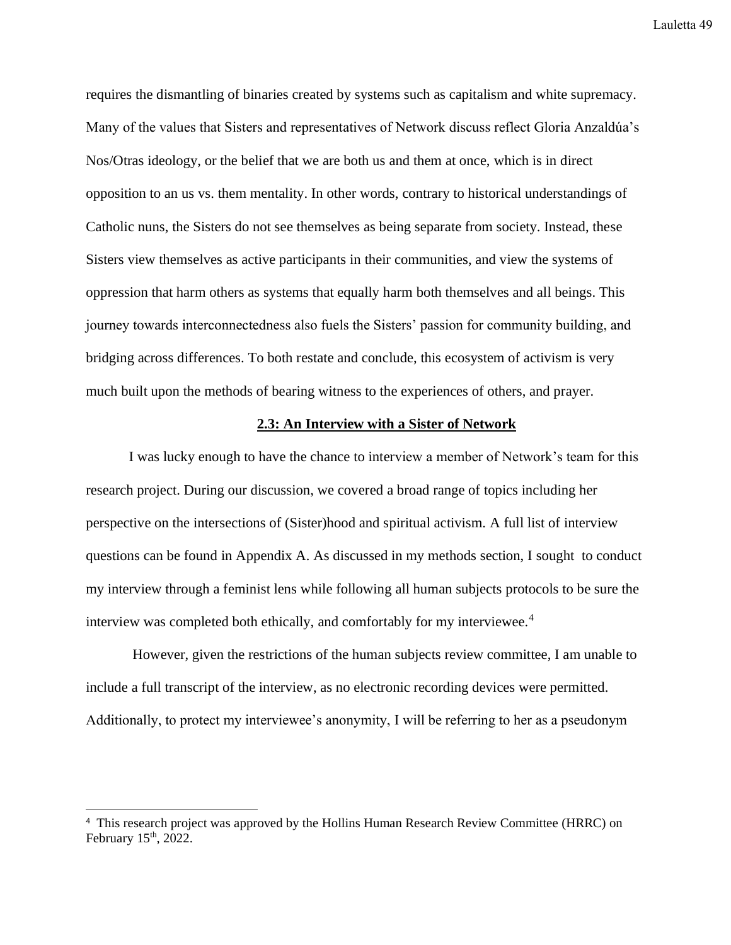requires the dismantling of binaries created by systems such as capitalism and white supremacy. Many of the values that Sisters and representatives of Network discuss reflect Gloria Anzaldúa's Nos/Otras ideology, or the belief that we are both us and them at once, which is in direct opposition to an us vs. them mentality. In other words, contrary to historical understandings of Catholic nuns, the Sisters do not see themselves as being separate from society. Instead, these Sisters view themselves as active participants in their communities, and view the systems of oppression that harm others as systems that equally harm both themselves and all beings. This journey towards interconnectedness also fuels the Sisters' passion for community building, and bridging across differences. To both restate and conclude, this ecosystem of activism is very much built upon the methods of bearing witness to the experiences of others, and prayer.

## **2.3: An Interview with a Sister of Network**

I was lucky enough to have the chance to interview a member of Network's team for this research project. During our discussion, we covered a broad range of topics including her perspective on the intersections of (Sister)hood and spiritual activism. A full list of interview questions can be found in Appendix A. As discussed in my methods section, I sought to conduct my interview through a feminist lens while following all human subjects protocols to be sure the interview was completed both ethically, and comfortably for my interviewee.<sup>4</sup>

However, given the restrictions of the human subjects review committee, I am unable to include a full transcript of the interview, as no electronic recording devices were permitted. Additionally, to protect my interviewee's anonymity, I will be referring to her as a pseudonym

<sup>4</sup> This research project was approved by the Hollins Human Research Review Committee (HRRC) on February 15<sup>th</sup>, 2022.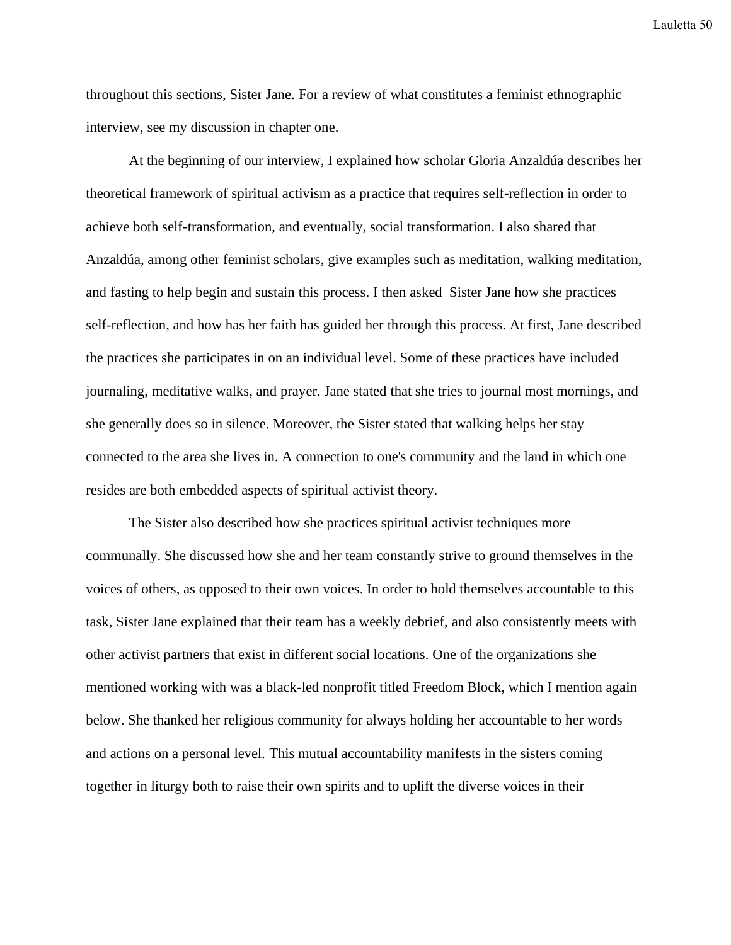throughout this sections, Sister Jane. For a review of what constitutes a feminist ethnographic interview, see my discussion in chapter one.

At the beginning of our interview, I explained how scholar Gloria Anzaldúa describes her theoretical framework of spiritual activism as a practice that requires self-reflection in order to achieve both self-transformation, and eventually, social transformation. I also shared that Anzaldúa, among other feminist scholars, give examples such as meditation, walking meditation, and fasting to help begin and sustain this process. I then asked Sister Jane how she practices self-reflection, and how has her faith has guided her through this process. At first, Jane described the practices she participates in on an individual level. Some of these practices have included journaling, meditative walks, and prayer. Jane stated that she tries to journal most mornings, and she generally does so in silence. Moreover, the Sister stated that walking helps her stay connected to the area she lives in. A connection to one's community and the land in which one resides are both embedded aspects of spiritual activist theory.

The Sister also described how she practices spiritual activist techniques more communally. She discussed how she and her team constantly strive to ground themselves in the voices of others, as opposed to their own voices. In order to hold themselves accountable to this task, Sister Jane explained that their team has a weekly debrief, and also consistently meets with other activist partners that exist in different social locations. One of the organizations she mentioned working with was a black-led nonprofit titled Freedom Block, which I mention again below. She thanked her religious community for always holding her accountable to her words and actions on a personal level. This mutual accountability manifests in the sisters coming together in liturgy both to raise their own spirits and to uplift the diverse voices in their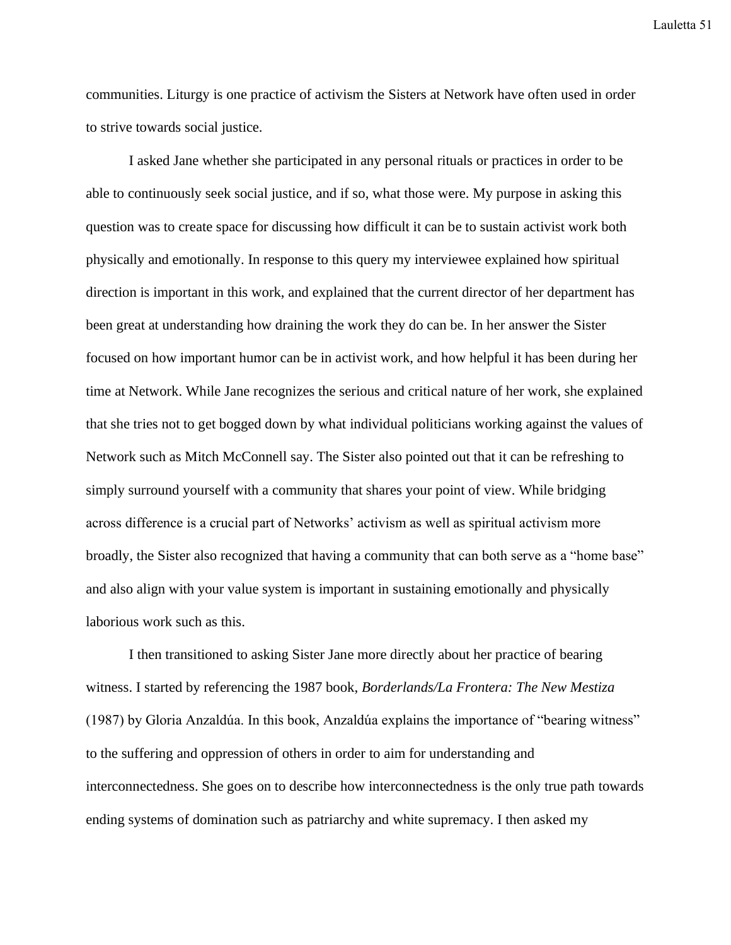communities. Liturgy is one practice of activism the Sisters at Network have often used in order to strive towards social justice.

I asked Jane whether she participated in any personal rituals or practices in order to be able to continuously seek social justice, and if so, what those were. My purpose in asking this question was to create space for discussing how difficult it can be to sustain activist work both physically and emotionally. In response to this query my interviewee explained how spiritual direction is important in this work, and explained that the current director of her department has been great at understanding how draining the work they do can be. In her answer the Sister focused on how important humor can be in activist work, and how helpful it has been during her time at Network. While Jane recognizes the serious and critical nature of her work, she explained that she tries not to get bogged down by what individual politicians working against the values of Network such as Mitch McConnell say. The Sister also pointed out that it can be refreshing to simply surround yourself with a community that shares your point of view. While bridging across difference is a crucial part of Networks' activism as well as spiritual activism more broadly, the Sister also recognized that having a community that can both serve as a "home base" and also align with your value system is important in sustaining emotionally and physically laborious work such as this.

I then transitioned to asking Sister Jane more directly about her practice of bearing witness. I started by referencing the 1987 book, *Borderlands/La Frontera: The New Mestiza*  (1987) by Gloria Anzaldúa. In this book, Anzaldúa explains the importance of "bearing witness" to the suffering and oppression of others in order to aim for understanding and interconnectedness. She goes on to describe how interconnectedness is the only true path towards ending systems of domination such as patriarchy and white supremacy. I then asked my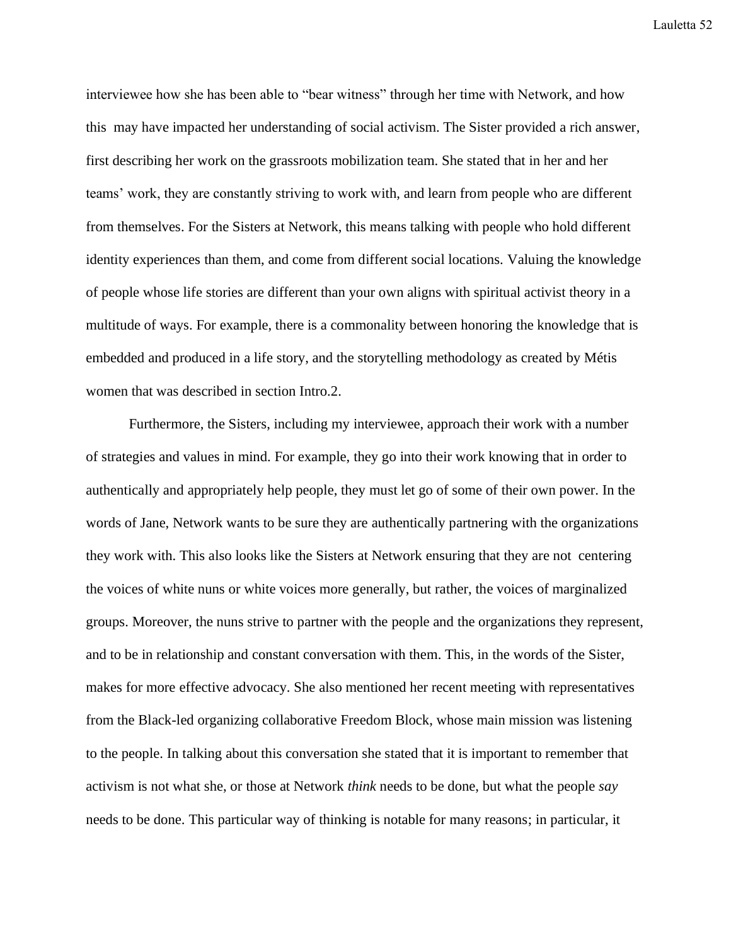interviewee how she has been able to "bear witness" through her time with Network, and how this may have impacted her understanding of social activism. The Sister provided a rich answer, first describing her work on the grassroots mobilization team. She stated that in her and her teams' work, they are constantly striving to work with, and learn from people who are different from themselves. For the Sisters at Network, this means talking with people who hold different identity experiences than them, and come from different social locations. Valuing the knowledge of people whose life stories are different than your own aligns with spiritual activist theory in a multitude of ways. For example, there is a commonality between honoring the knowledge that is embedded and produced in a life story, and the storytelling methodology as created by Métis women that was described in section Intro.2.

Furthermore, the Sisters, including my interviewee, approach their work with a number of strategies and values in mind. For example, they go into their work knowing that in order to authentically and appropriately help people, they must let go of some of their own power. In the words of Jane, Network wants to be sure they are authentically partnering with the organizations they work with. This also looks like the Sisters at Network ensuring that they are not centering the voices of white nuns or white voices more generally, but rather, the voices of marginalized groups. Moreover, the nuns strive to partner with the people and the organizations they represent, and to be in relationship and constant conversation with them. This, in the words of the Sister, makes for more effective advocacy. She also mentioned her recent meeting with representatives from the Black-led organizing collaborative Freedom Block, whose main mission was listening to the people. In talking about this conversation she stated that it is important to remember that activism is not what she, or those at Network *think* needs to be done, but what the people *say* needs to be done. This particular way of thinking is notable for many reasons; in particular, it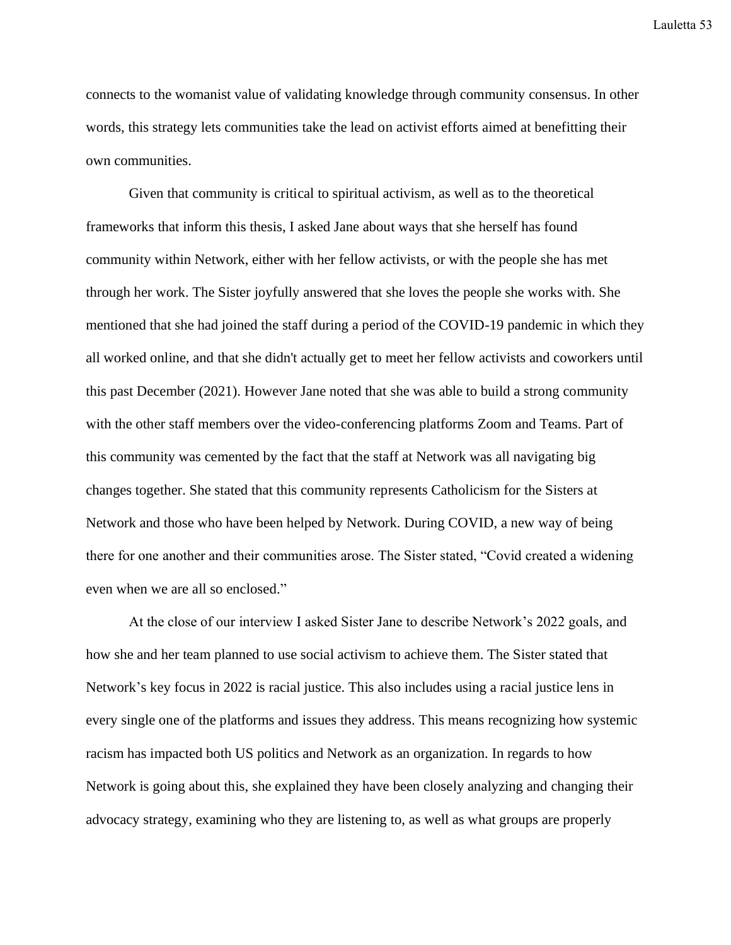connects to the womanist value of validating knowledge through community consensus. In other words, this strategy lets communities take the lead on activist efforts aimed at benefitting their own communities.

Given that community is critical to spiritual activism, as well as to the theoretical frameworks that inform this thesis, I asked Jane about ways that she herself has found community within Network, either with her fellow activists, or with the people she has met through her work. The Sister joyfully answered that she loves the people she works with. She mentioned that she had joined the staff during a period of the COVID-19 pandemic in which they all worked online, and that she didn't actually get to meet her fellow activists and coworkers until this past December (2021). However Jane noted that she was able to build a strong community with the other staff members over the video-conferencing platforms Zoom and Teams. Part of this community was cemented by the fact that the staff at Network was all navigating big changes together. She stated that this community represents Catholicism for the Sisters at Network and those who have been helped by Network. During COVID, a new way of being there for one another and their communities arose. The Sister stated, "Covid created a widening even when we are all so enclosed."

At the close of our interview I asked Sister Jane to describe Network's 2022 goals, and how she and her team planned to use social activism to achieve them. The Sister stated that Network's key focus in 2022 is racial justice. This also includes using a racial justice lens in every single one of the platforms and issues they address. This means recognizing how systemic racism has impacted both US politics and Network as an organization. In regards to how Network is going about this, she explained they have been closely analyzing and changing their advocacy strategy, examining who they are listening to, as well as what groups are properly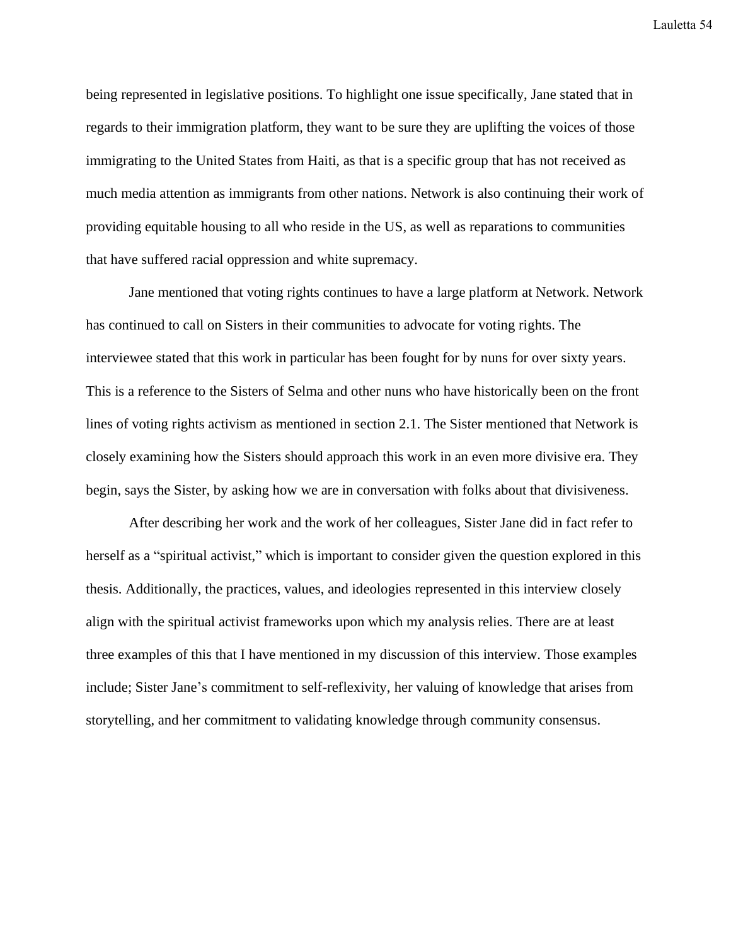being represented in legislative positions. To highlight one issue specifically, Jane stated that in regards to their immigration platform, they want to be sure they are uplifting the voices of those immigrating to the United States from Haiti, as that is a specific group that has not received as much media attention as immigrants from other nations. Network is also continuing their work of providing equitable housing to all who reside in the US, as well as reparations to communities that have suffered racial oppression and white supremacy.

Jane mentioned that voting rights continues to have a large platform at Network. Network has continued to call on Sisters in their communities to advocate for voting rights. The interviewee stated that this work in particular has been fought for by nuns for over sixty years. This is a reference to the Sisters of Selma and other nuns who have historically been on the front lines of voting rights activism as mentioned in section 2.1. The Sister mentioned that Network is closely examining how the Sisters should approach this work in an even more divisive era. They begin, says the Sister, by asking how we are in conversation with folks about that divisiveness.

After describing her work and the work of her colleagues, Sister Jane did in fact refer to herself as a "spiritual activist," which is important to consider given the question explored in this thesis. Additionally, the practices, values, and ideologies represented in this interview closely align with the spiritual activist frameworks upon which my analysis relies. There are at least three examples of this that I have mentioned in my discussion of this interview. Those examples include; Sister Jane's commitment to self-reflexivity, her valuing of knowledge that arises from storytelling, and her commitment to validating knowledge through community consensus.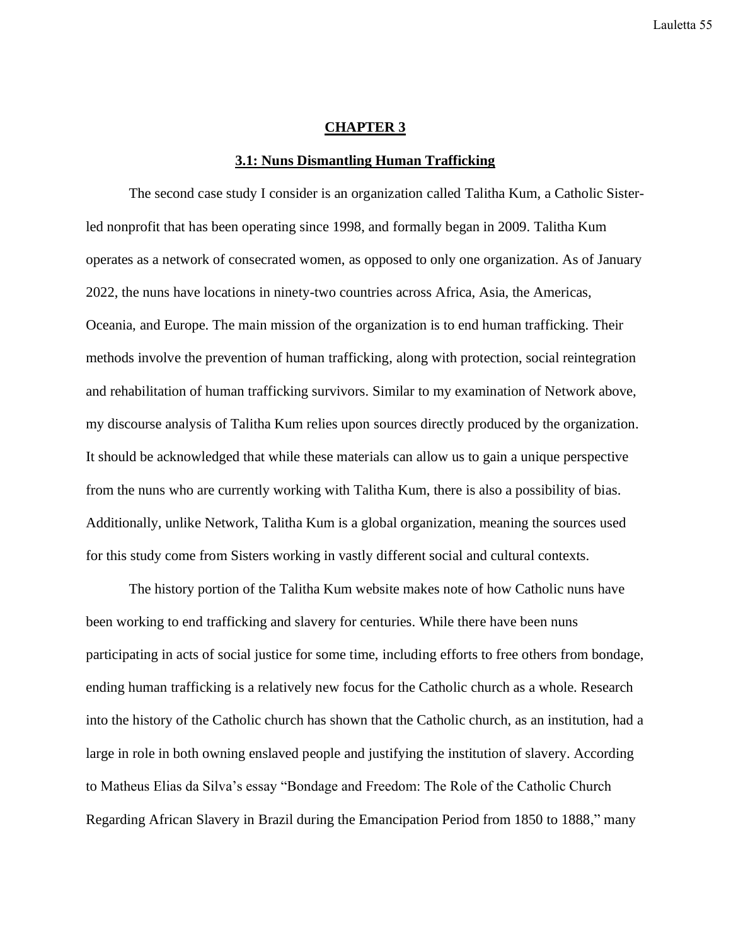# **CHAPTER 3**

#### **3.1: Nuns Dismantling Human Trafficking**

The second case study I consider is an organization called Talitha Kum, a Catholic Sisterled nonprofit that has been operating since 1998, and formally began in 2009. Talitha Kum operates as a network of consecrated women, as opposed to only one organization. As of January 2022, the nuns have locations in ninety-two countries across Africa, Asia, the Americas, Oceania, and Europe. The main mission of the organization is to end human trafficking. Their methods involve the prevention of human trafficking, along with protection, social reintegration and rehabilitation of human trafficking survivors. Similar to my examination of Network above, my discourse analysis of Talitha Kum relies upon sources directly produced by the organization. It should be acknowledged that while these materials can allow us to gain a unique perspective from the nuns who are currently working with Talitha Kum, there is also a possibility of bias. Additionally, unlike Network, Talitha Kum is a global organization, meaning the sources used for this study come from Sisters working in vastly different social and cultural contexts.

The history portion of the Talitha Kum website makes note of how Catholic nuns have been working to end trafficking and slavery for centuries. While there have been nuns participating in acts of social justice for some time, including efforts to free others from bondage, ending human trafficking is a relatively new focus for the Catholic church as a whole. Research into the history of the Catholic church has shown that the Catholic church, as an institution, had a large in role in both owning enslaved people and justifying the institution of slavery. According to Matheus Elias da Silva's essay "Bondage and Freedom: The Role of the Catholic Church Regarding African Slavery in Brazil during the Emancipation Period from 1850 to 1888," many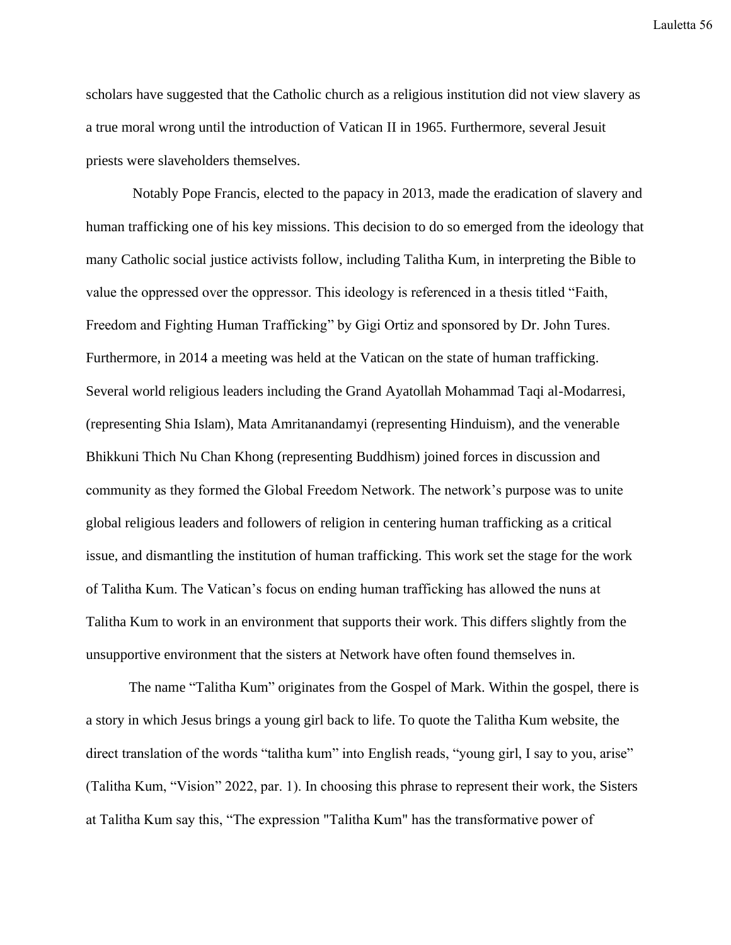scholars have suggested that the Catholic church as a religious institution did not view slavery as a true moral wrong until the introduction of Vatican II in 1965. Furthermore, several Jesuit priests were slaveholders themselves.

Notably Pope Francis, elected to the papacy in 2013, made the eradication of slavery and human trafficking one of his key missions. This decision to do so emerged from the ideology that many Catholic social justice activists follow, including Talitha Kum, in interpreting the Bible to value the oppressed over the oppressor. This ideology is referenced in a thesis titled "Faith, Freedom and Fighting Human Trafficking" by Gigi Ortiz and sponsored by Dr. John Tures. Furthermore, in 2014 a meeting was held at the Vatican on the state of human trafficking. Several world religious leaders including the Grand Ayatollah Mohammad Taqi al-Modarresi, (representing Shia Islam), Mata Amritanandamyi (representing Hinduism), and the venerable Bhikkuni Thich Nu Chan Khong (representing Buddhism) joined forces in discussion and community as they formed the Global Freedom Network. The network's purpose was to unite global religious leaders and followers of religion in centering human trafficking as a critical issue, and dismantling the institution of human trafficking. This work set the stage for the work of Talitha Kum. The Vatican's focus on ending human trafficking has allowed the nuns at Talitha Kum to work in an environment that supports their work. This differs slightly from the unsupportive environment that the sisters at Network have often found themselves in.

The name "Talitha Kum" originates from the Gospel of Mark. Within the gospel, there is a story in which Jesus brings a young girl back to life. To quote the Talitha Kum website, the direct translation of the words "talitha kum" into English reads, "young girl, I say to you, arise" (Talitha Kum, "Vision" 2022, par. 1). In choosing this phrase to represent their work, the Sisters at Talitha Kum say this, "The expression "Talitha Kum" has the transformative power of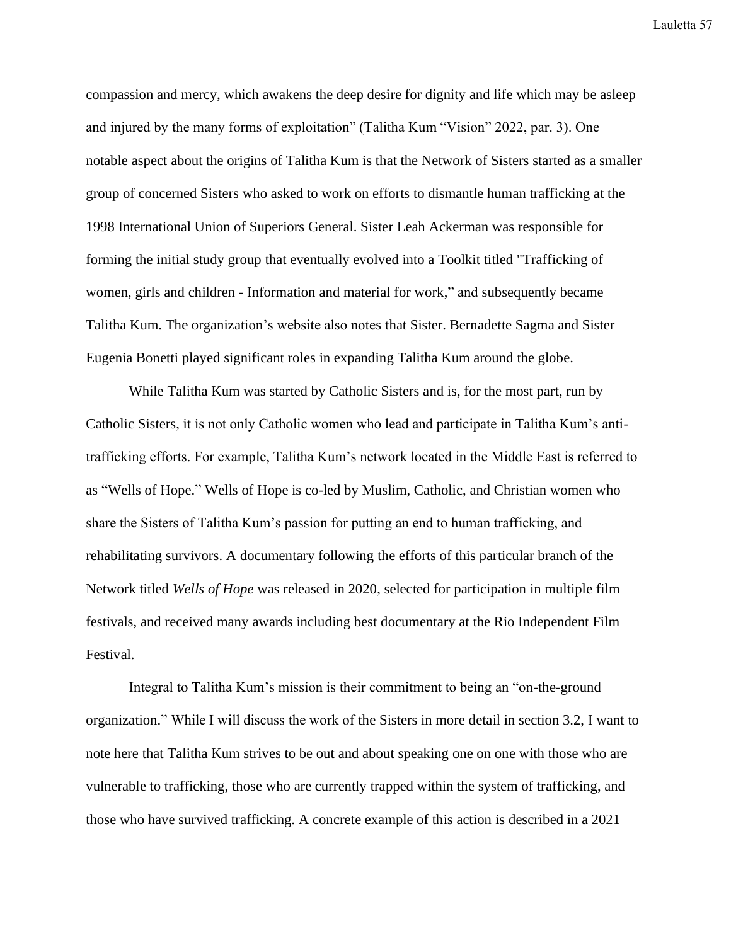compassion and mercy, which awakens the deep desire for dignity and life which may be asleep and injured by the many forms of exploitation" (Talitha Kum "Vision" 2022, par. 3). One notable aspect about the origins of Talitha Kum is that the Network of Sisters started as a smaller group of concerned Sisters who asked to work on efforts to dismantle human trafficking at the 1998 International Union of Superiors General. Sister Leah Ackerman was responsible for forming the initial study group that eventually evolved into a Toolkit titled "Trafficking of women, girls and children - Information and material for work," and subsequently became Talitha Kum. The organization's website also notes that Sister. Bernadette Sagma and Sister Eugenia Bonetti played significant roles in expanding Talitha Kum around the globe.

While Talitha Kum was started by Catholic Sisters and is, for the most part, run by Catholic Sisters, it is not only Catholic women who lead and participate in Talitha Kum's antitrafficking efforts. For example, Talitha Kum's network located in the Middle East is referred to as "Wells of Hope." Wells of Hope is co-led by Muslim, Catholic, and Christian women who share the Sisters of Talitha Kum's passion for putting an end to human trafficking, and rehabilitating survivors. A documentary following the efforts of this particular branch of the Network titled *Wells of Hope* was released in 2020, selected for participation in multiple film festivals, and received many awards including best documentary at the Rio Independent Film Festival.

Integral to Talitha Kum's mission is their commitment to being an "on-the-ground organization." While I will discuss the work of the Sisters in more detail in section 3.2, I want to note here that Talitha Kum strives to be out and about speaking one on one with those who are vulnerable to trafficking, those who are currently trapped within the system of trafficking, and those who have survived trafficking. A concrete example of this action is described in a 2021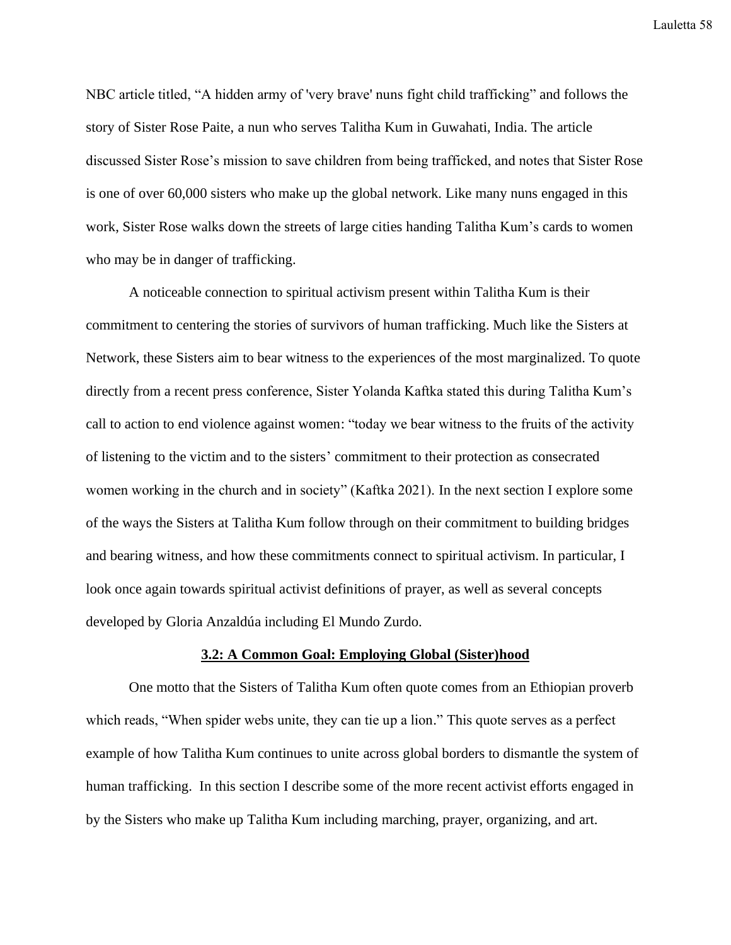NBC article titled, "A hidden army of 'very brave' nuns fight child trafficking" and follows the story of Sister Rose Paite, a nun who serves Talitha Kum in Guwahati, India. The article discussed Sister Rose's mission to save children from being trafficked, and notes that Sister Rose is one of over 60,000 sisters who make up the global network. Like many nuns engaged in this work, Sister Rose walks down the streets of large cities handing Talitha Kum's cards to women who may be in danger of trafficking.

A noticeable connection to spiritual activism present within Talitha Kum is their commitment to centering the stories of survivors of human trafficking. Much like the Sisters at Network, these Sisters aim to bear witness to the experiences of the most marginalized. To quote directly from a recent press conference, Sister Yolanda Kaftka stated this during Talitha Kum's call to action to end violence against women: "today we bear witness to the fruits of the activity of listening to the victim and to the sisters' commitment to their protection as consecrated women working in the church and in society" (Kaftka 2021). In the next section I explore some of the ways the Sisters at Talitha Kum follow through on their commitment to building bridges and bearing witness, and how these commitments connect to spiritual activism. In particular, I look once again towards spiritual activist definitions of prayer, as well as several concepts developed by Gloria Anzaldúa including El Mundo Zurdo.

## **3.2: A Common Goal: Employing Global (Sister)hood**

One motto that the Sisters of Talitha Kum often quote comes from an Ethiopian proverb which reads, "When spider webs unite, they can tie up a lion." This quote serves as a perfect example of how Talitha Kum continues to unite across global borders to dismantle the system of human trafficking. In this section I describe some of the more recent activist efforts engaged in by the Sisters who make up Talitha Kum including marching, prayer, organizing, and art.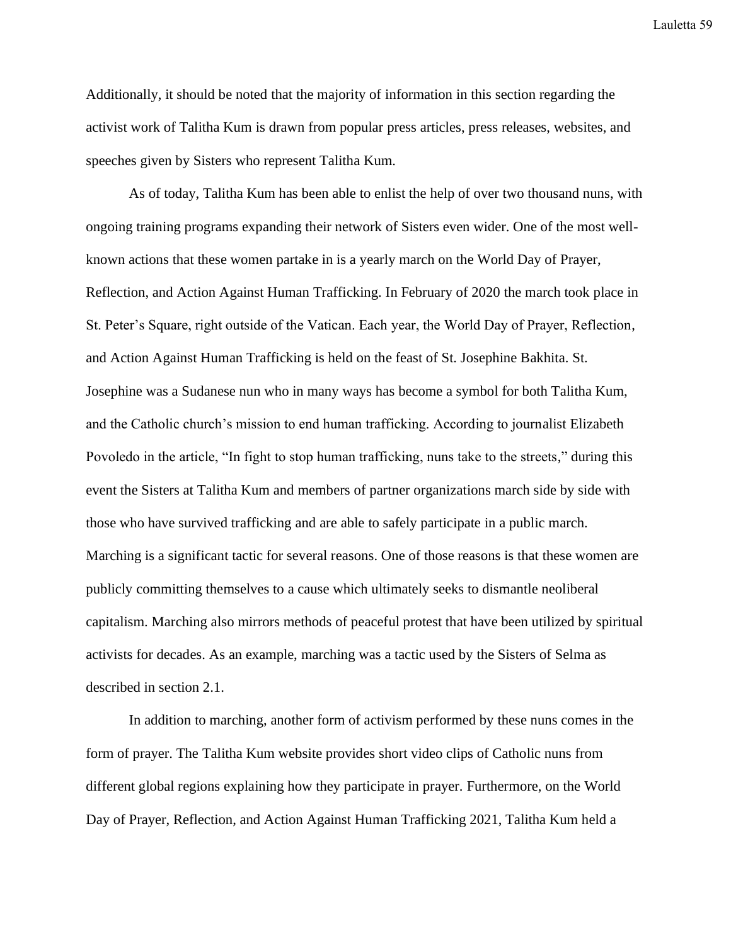Additionally, it should be noted that the majority of information in this section regarding the activist work of Talitha Kum is drawn from popular press articles, press releases, websites, and speeches given by Sisters who represent Talitha Kum.

As of today, Talitha Kum has been able to enlist the help of over two thousand nuns, with ongoing training programs expanding their network of Sisters even wider. One of the most wellknown actions that these women partake in is a yearly march on the World Day of Prayer, Reflection, and Action Against Human Trafficking. In February of 2020 the march took place in St. Peter's Square, right outside of the Vatican. Each year, the World Day of Prayer, Reflection, and Action Against Human Trafficking is held on the feast of St. Josephine Bakhita. St. Josephine was a Sudanese nun who in many ways has become a symbol for both Talitha Kum, and the Catholic church's mission to end human trafficking. According to journalist Elizabeth Povoledo in the article, "In fight to stop human trafficking, nuns take to the streets," during this event the Sisters at Talitha Kum and members of partner organizations march side by side with those who have survived trafficking and are able to safely participate in a public march. Marching is a significant tactic for several reasons. One of those reasons is that these women are publicly committing themselves to a cause which ultimately seeks to dismantle neoliberal capitalism. Marching also mirrors methods of peaceful protest that have been utilized by spiritual activists for decades. As an example, marching was a tactic used by the Sisters of Selma as described in section 2.1.

In addition to marching, another form of activism performed by these nuns comes in the form of prayer. The Talitha Kum website provides short video clips of Catholic nuns from different global regions explaining how they participate in prayer. Furthermore, on the World Day of Prayer, Reflection, and Action Against Human Trafficking 2021, Talitha Kum held a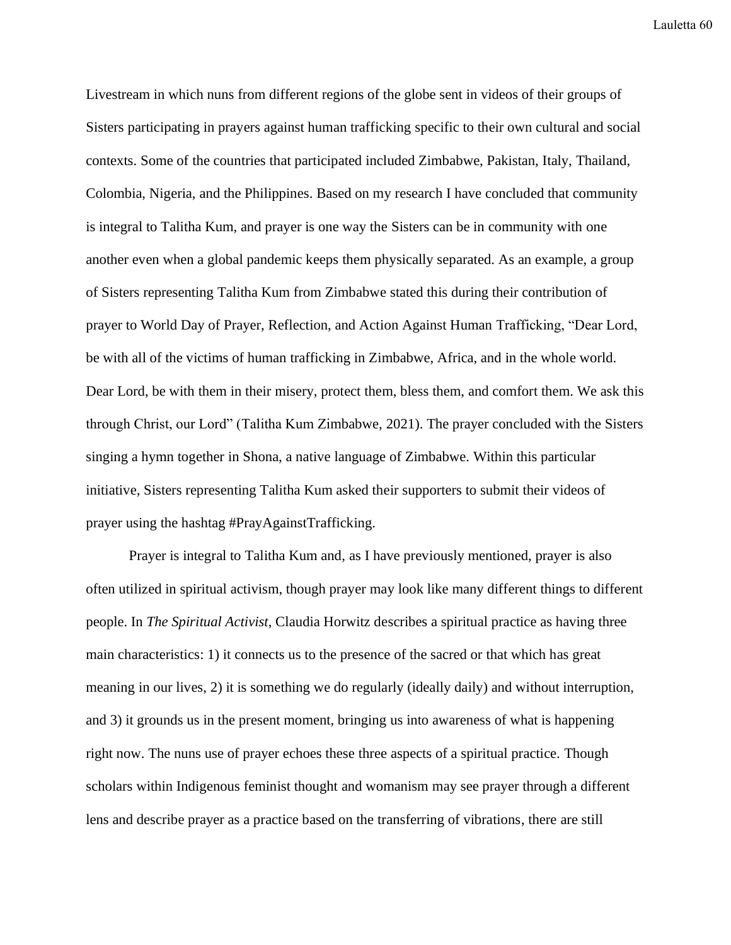Livestream in which nuns from different regions of the globe sent in videos of their groups of Sisters participating in prayers against human trafficking specific to their own cultural and social contexts. Some of the countries that participated included Zimbabwe, Pakistan, Italy, Thailand, Colombia, Nigeria, and the Philippines. Based on my research I have concluded that community is integral to Talitha Kum, and prayer is one way the Sisters can be in community with one another even when a global pandemic keeps them physically separated. As an example, a group of Sisters representing Talitha Kum from Zimbabwe stated this during their contribution of prayer to World Day of Prayer, Reflection, and Action Against Human Trafficking, "Dear Lord, be with all of the victims of human trafficking in Zimbabwe, Africa, and in the whole world. Dear Lord, be with them in their misery, protect them, bless them, and comfort them. We ask this through Christ, our Lord" (Talitha Kum Zimbabwe, 2021). The prayer concluded with the Sisters singing a hymn together in Shona, a native language of Zimbabwe. Within this particular initiative, Sisters representing Talitha Kum asked their supporters to submit their videos of prayer using the hashtag #PrayAgainstTrafficking.

Prayer is integral to Talitha Kum and, as I have previously mentioned, prayer is also often utilized in spiritual activism, though prayer may look like many different things to different people. In *The Spiritual Activist*, Claudia Horwitz describes a spiritual practice as having three main characteristics: 1) it connects us to the presence of the sacred or that which has great meaning in our lives, 2) it is something we do regularly (ideally daily) and without interruption, and 3) it grounds us in the present moment, bringing us into awareness of what is happening right now. The nuns use of prayer echoes these three aspects of a spiritual practice. Though scholars within Indigenous feminist thought and womanism may see prayer through a different lens and describe prayer as a practice based on the transferring of vibrations, there are still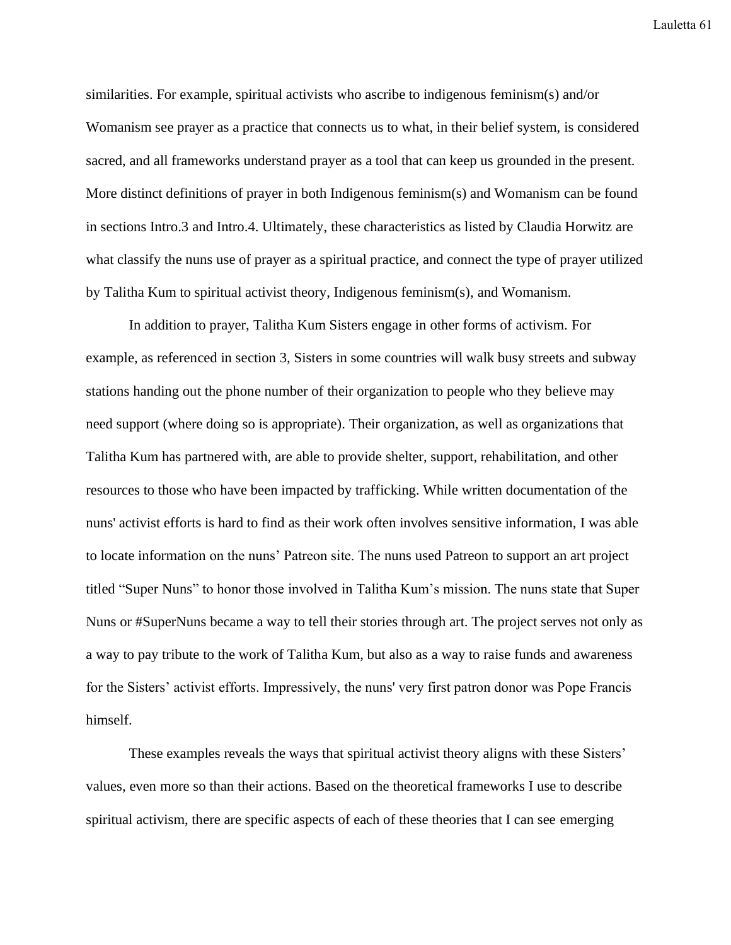similarities. For example, spiritual activists who ascribe to indigenous feminism(s) and/or Womanism see prayer as a practice that connects us to what, in their belief system, is considered sacred, and all frameworks understand prayer as a tool that can keep us grounded in the present. More distinct definitions of prayer in both Indigenous feminism(s) and Womanism can be found in sections Intro.3 and Intro.4. Ultimately, these characteristics as listed by Claudia Horwitz are what classify the nuns use of prayer as a spiritual practice, and connect the type of prayer utilized by Talitha Kum to spiritual activist theory, Indigenous feminism(s), and Womanism.

In addition to prayer, Talitha Kum Sisters engage in other forms of activism. For example, as referenced in section 3, Sisters in some countries will walk busy streets and subway stations handing out the phone number of their organization to people who they believe may need support (where doing so is appropriate). Their organization, as well as organizations that Talitha Kum has partnered with, are able to provide shelter, support, rehabilitation, and other resources to those who have been impacted by trafficking. While written documentation of the nuns' activist efforts is hard to find as their work often involves sensitive information, I was able to locate information on the nuns' Patreon site. The nuns used Patreon to support an art project titled "Super Nuns" to honor those involved in Talitha Kum's mission. The nuns state that Super Nuns or #SuperNuns became a way to tell their stories through art. The project serves not only as a way to pay tribute to the work of Talitha Kum, but also as a way to raise funds and awareness for the Sisters' activist efforts. Impressively, the nuns' very first patron donor was Pope Francis himself.

These examples reveals the ways that spiritual activist theory aligns with these Sisters' values, even more so than their actions. Based on the theoretical frameworks I use to describe spiritual activism, there are specific aspects of each of these theories that I can see emerging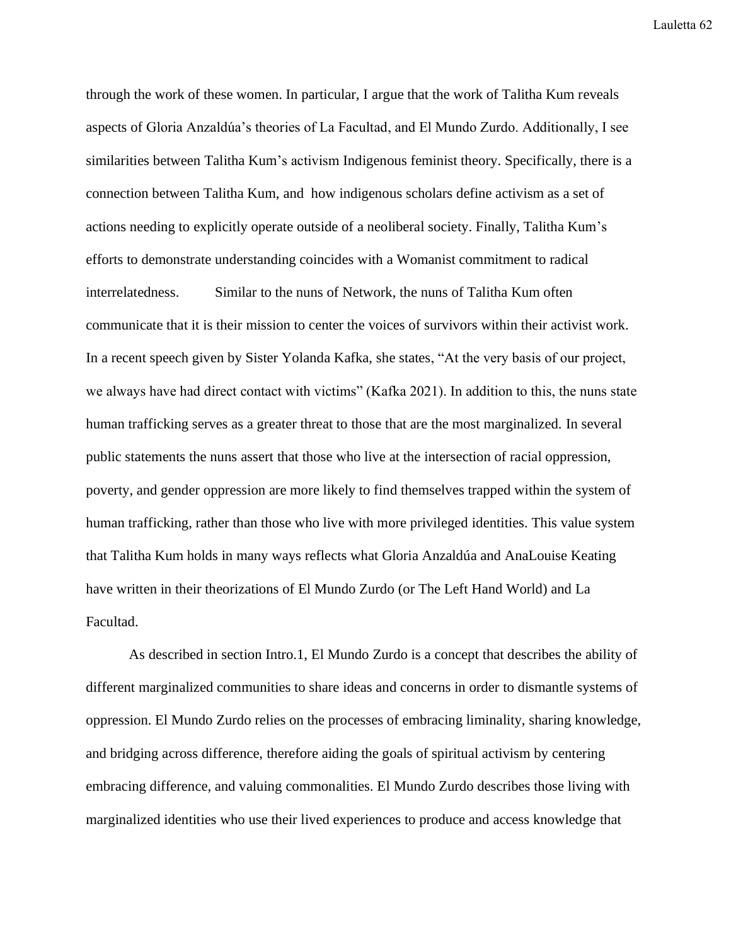through the work of these women. In particular, I argue that the work of Talitha Kum reveals aspects of Gloria Anzaldúa's theories of La Facultad, and El Mundo Zurdo. Additionally, I see similarities between Talitha Kum's activism Indigenous feminist theory. Specifically, there is a connection between Talitha Kum, and how indigenous scholars define activism as a set of actions needing to explicitly operate outside of a neoliberal society. Finally, Talitha Kum's efforts to demonstrate understanding coincides with a Womanist commitment to radical interrelatedness. Similar to the nuns of Network, the nuns of Talitha Kum often communicate that it is their mission to center the voices of survivors within their activist work. In a recent speech given by Sister Yolanda Kafka, she states, "At the very basis of our project, we always have had direct contact with victims" (Kafka 2021). In addition to this, the nuns state human trafficking serves as a greater threat to those that are the most marginalized. In several public statements the nuns assert that those who live at the intersection of racial oppression, poverty, and gender oppression are more likely to find themselves trapped within the system of human trafficking, rather than those who live with more privileged identities. This value system that Talitha Kum holds in many ways reflects what Gloria Anzaldúa and AnaLouise Keating have written in their theorizations of El Mundo Zurdo (or The Left Hand World) and La Facultad.

As described in section Intro.1, El Mundo Zurdo is a concept that describes the ability of different marginalized communities to share ideas and concerns in order to dismantle systems of oppression. El Mundo Zurdo relies on the processes of embracing liminality, sharing knowledge, and bridging across difference, therefore aiding the goals of spiritual activism by centering embracing difference, and valuing commonalities. El Mundo Zurdo describes those living with marginalized identities who use their lived experiences to produce and access knowledge that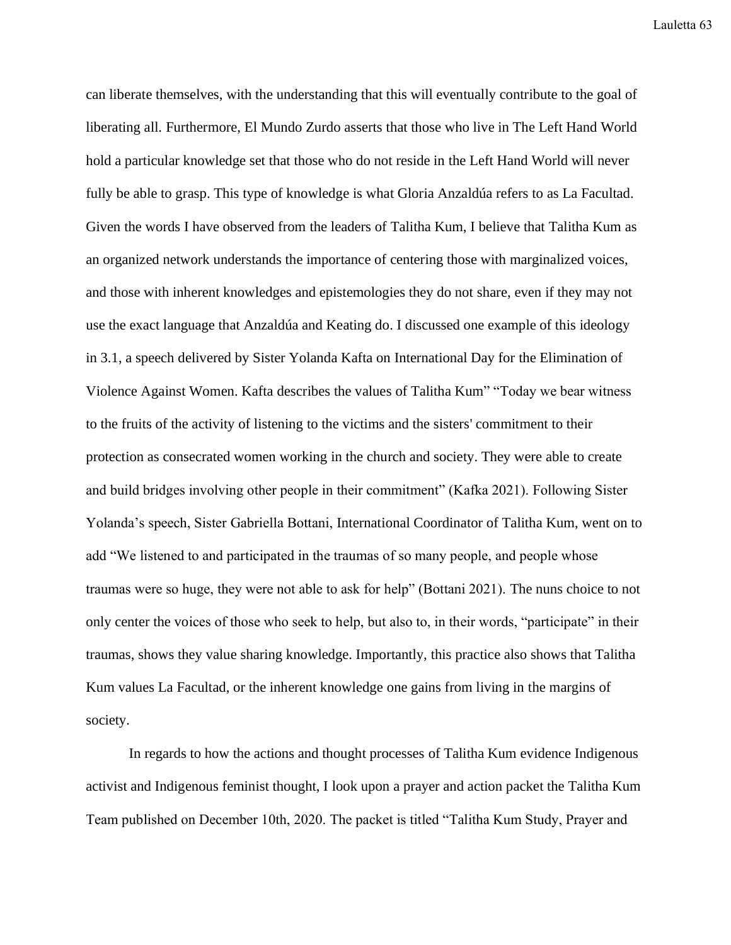can liberate themselves, with the understanding that this will eventually contribute to the goal of liberating all. Furthermore, El Mundo Zurdo asserts that those who live in The Left Hand World hold a particular knowledge set that those who do not reside in the Left Hand World will never fully be able to grasp. This type of knowledge is what Gloria Anzaldúa refers to as La Facultad. Given the words I have observed from the leaders of Talitha Kum, I believe that Talitha Kum as an organized network understands the importance of centering those with marginalized voices, and those with inherent knowledges and epistemologies they do not share, even if they may not use the exact language that Anzaldúa and Keating do. I discussed one example of this ideology in 3.1, a speech delivered by Sister Yolanda Kafta on International Day for the Elimination of Violence Against Women. Kafta describes the values of Talitha Kum" "Today we bear witness to the fruits of the activity of listening to the victims and the sisters' commitment to their protection as consecrated women working in the church and society. They were able to create and build bridges involving other people in their commitment" (Kafka 2021). Following Sister Yolanda's speech, Sister Gabriella Bottani, International Coordinator of Talitha Kum, went on to add "We listened to and participated in the traumas of so many people, and people whose traumas were so huge, they were not able to ask for help" (Bottani 2021). The nuns choice to not only center the voices of those who seek to help, but also to, in their words, "participate" in their traumas, shows they value sharing knowledge. Importantly, this practice also shows that Talitha Kum values La Facultad, or the inherent knowledge one gains from living in the margins of society.

In regards to how the actions and thought processes of Talitha Kum evidence Indigenous activist and Indigenous feminist thought, I look upon a prayer and action packet the Talitha Kum Team published on December 10th, 2020. The packet is titled "Talitha Kum Study, Prayer and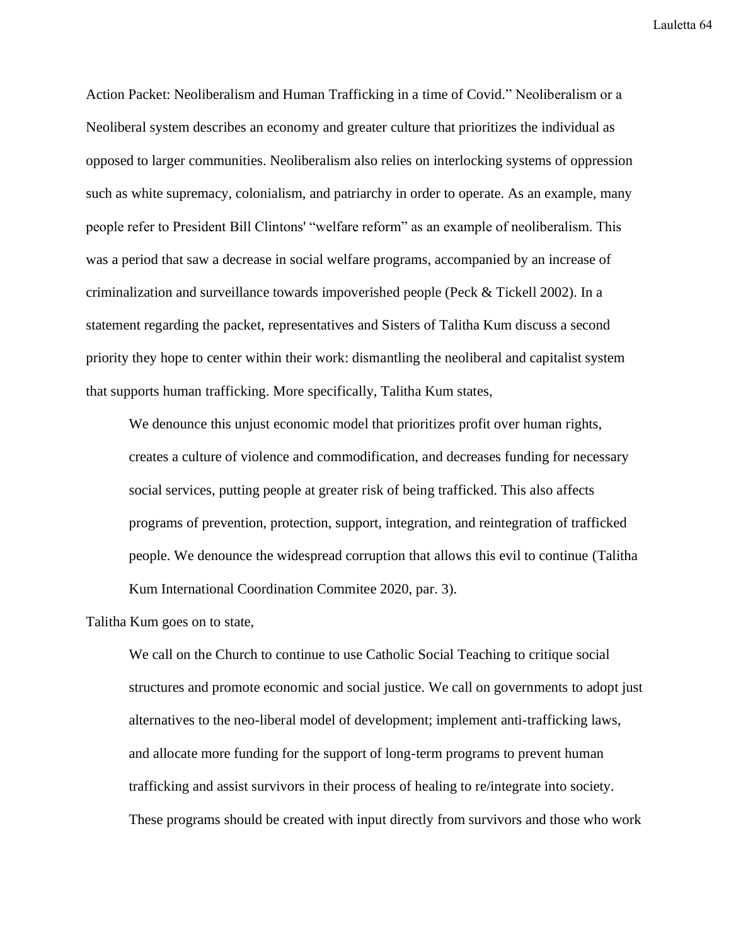Action Packet: Neoliberalism and Human Trafficking in a time of Covid." Neoliberalism or a Neoliberal system describes an economy and greater culture that prioritizes the individual as opposed to larger communities. Neoliberalism also relies on interlocking systems of oppression such as white supremacy, colonialism, and patriarchy in order to operate. As an example, many people refer to President Bill Clintons' "welfare reform" as an example of neoliberalism. This was a period that saw a decrease in social welfare programs, accompanied by an increase of criminalization and surveillance towards impoverished people (Peck & Tickell 2002). In a statement regarding the packet, representatives and Sisters of Talitha Kum discuss a second priority they hope to center within their work: dismantling the neoliberal and capitalist system that supports human trafficking. More specifically, Talitha Kum states,

We denounce this unjust economic model that prioritizes profit over human rights, creates a culture of violence and commodification, and decreases funding for necessary social services, putting people at greater risk of being trafficked. This also affects programs of prevention, protection, support, integration, and reintegration of trafficked people. We denounce the widespread corruption that allows this evil to continue (Talitha Kum International Coordination Commitee 2020, par. 3).

Talitha Kum goes on to state,

We call on the Church to continue to use Catholic Social Teaching to critique social structures and promote economic and social justice. We call on governments to adopt just alternatives to the neo-liberal model of development; implement anti-trafficking laws, and allocate more funding for the support of long-term programs to prevent human trafficking and assist survivors in their process of healing to re/integrate into society. These programs should be created with input directly from survivors and those who work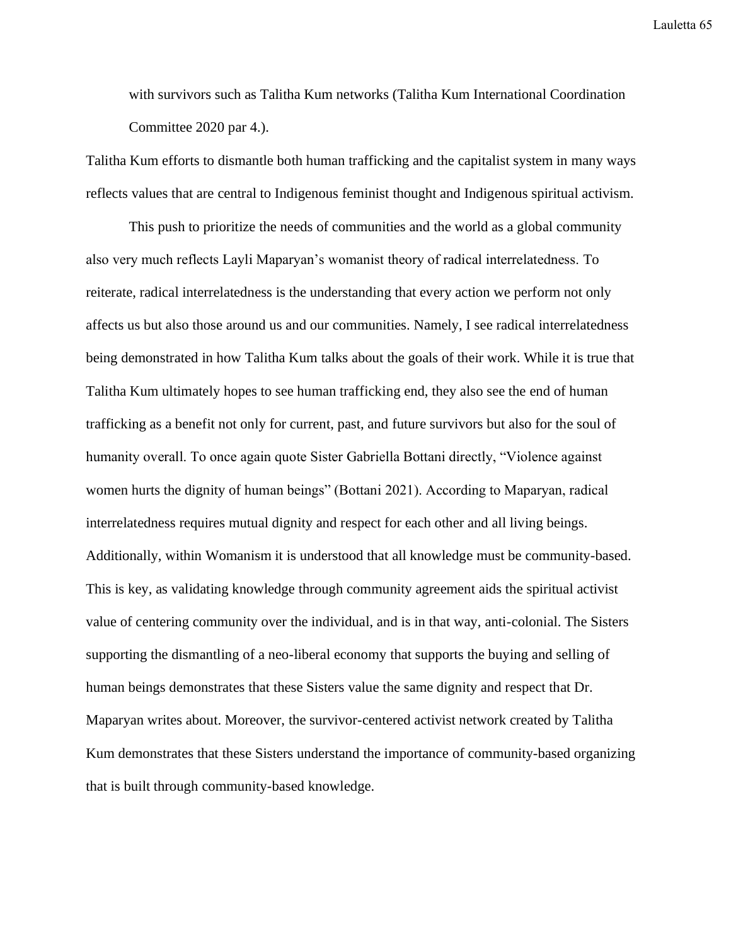with survivors such as Talitha Kum networks (Talitha Kum International Coordination Committee 2020 par 4.).

Talitha Kum efforts to dismantle both human trafficking and the capitalist system in many ways reflects values that are central to Indigenous feminist thought and Indigenous spiritual activism.

This push to prioritize the needs of communities and the world as a global community also very much reflects Layli Maparyan's womanist theory of radical interrelatedness. To reiterate, radical interrelatedness is the understanding that every action we perform not only affects us but also those around us and our communities. Namely, I see radical interrelatedness being demonstrated in how Talitha Kum talks about the goals of their work. While it is true that Talitha Kum ultimately hopes to see human trafficking end, they also see the end of human trafficking as a benefit not only for current, past, and future survivors but also for the soul of humanity overall. To once again quote Sister Gabriella Bottani directly, "Violence against women hurts the dignity of human beings" (Bottani 2021). According to Maparyan, radical interrelatedness requires mutual dignity and respect for each other and all living beings. Additionally, within Womanism it is understood that all knowledge must be community-based. This is key, as validating knowledge through community agreement aids the spiritual activist value of centering community over the individual, and is in that way, anti-colonial. The Sisters supporting the dismantling of a neo-liberal economy that supports the buying and selling of human beings demonstrates that these Sisters value the same dignity and respect that Dr. Maparyan writes about. Moreover, the survivor-centered activist network created by Talitha Kum demonstrates that these Sisters understand the importance of community-based organizing that is built through community-based knowledge.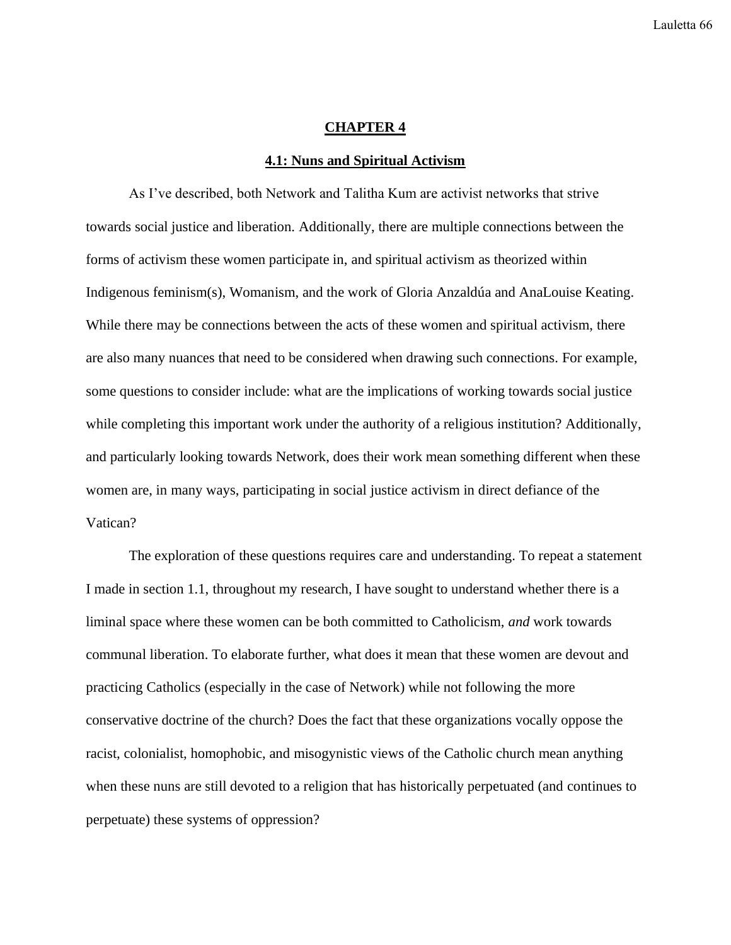## **CHAPTER 4**

## **4.1: Nuns and Spiritual Activism**

As I've described, both Network and Talitha Kum are activist networks that strive towards social justice and liberation. Additionally, there are multiple connections between the forms of activism these women participate in, and spiritual activism as theorized within Indigenous feminism(s), Womanism, and the work of Gloria Anzaldúa and AnaLouise Keating. While there may be connections between the acts of these women and spiritual activism, there are also many nuances that need to be considered when drawing such connections. For example, some questions to consider include: what are the implications of working towards social justice while completing this important work under the authority of a religious institution? Additionally, and particularly looking towards Network, does their work mean something different when these women are, in many ways, participating in social justice activism in direct defiance of the Vatican?

The exploration of these questions requires care and understanding. To repeat a statement I made in section 1.1, throughout my research, I have sought to understand whether there is a liminal space where these women can be both committed to Catholicism, *and* work towards communal liberation. To elaborate further, what does it mean that these women are devout and practicing Catholics (especially in the case of Network) while not following the more conservative doctrine of the church? Does the fact that these organizations vocally oppose the racist, colonialist, homophobic, and misogynistic views of the Catholic church mean anything when these nuns are still devoted to a religion that has historically perpetuated (and continues to perpetuate) these systems of oppression?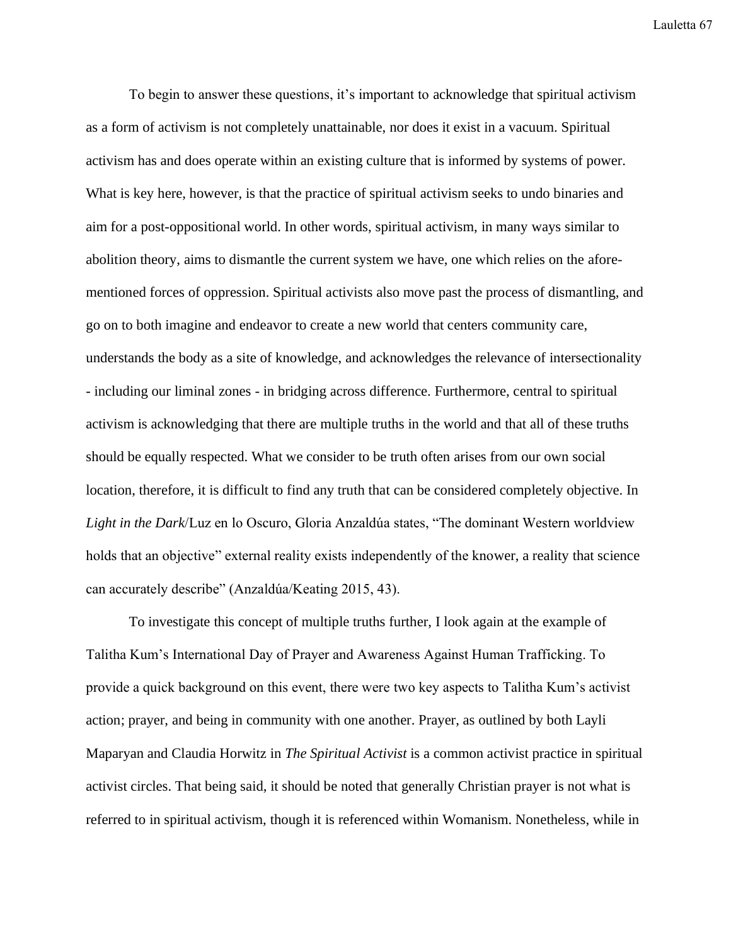To begin to answer these questions, it's important to acknowledge that spiritual activism as a form of activism is not completely unattainable, nor does it exist in a vacuum. Spiritual activism has and does operate within an existing culture that is informed by systems of power. What is key here, however, is that the practice of spiritual activism seeks to undo binaries and aim for a post-oppositional world. In other words, spiritual activism, in many ways similar to abolition theory, aims to dismantle the current system we have, one which relies on the aforementioned forces of oppression. Spiritual activists also move past the process of dismantling, and go on to both imagine and endeavor to create a new world that centers community care, understands the body as a site of knowledge, and acknowledges the relevance of intersectionality - including our liminal zones - in bridging across difference. Furthermore, central to spiritual activism is acknowledging that there are multiple truths in the world and that all of these truths should be equally respected. What we consider to be truth often arises from our own social location, therefore, it is difficult to find any truth that can be considered completely objective. In *Light in the Dark*/Luz en lo Oscuro, Gloria Anzaldúa states, "The dominant Western worldview holds that an objective" external reality exists independently of the knower, a reality that science can accurately describe" (Anzaldúa/Keating 2015, 43).

To investigate this concept of multiple truths further, I look again at the example of Talitha Kum's International Day of Prayer and Awareness Against Human Trafficking. To provide a quick background on this event, there were two key aspects to Talitha Kum's activist action; prayer, and being in community with one another. Prayer, as outlined by both Layli Maparyan and Claudia Horwitz in *The Spiritual Activist* is a common activist practice in spiritual activist circles. That being said, it should be noted that generally Christian prayer is not what is referred to in spiritual activism, though it is referenced within Womanism. Nonetheless, while in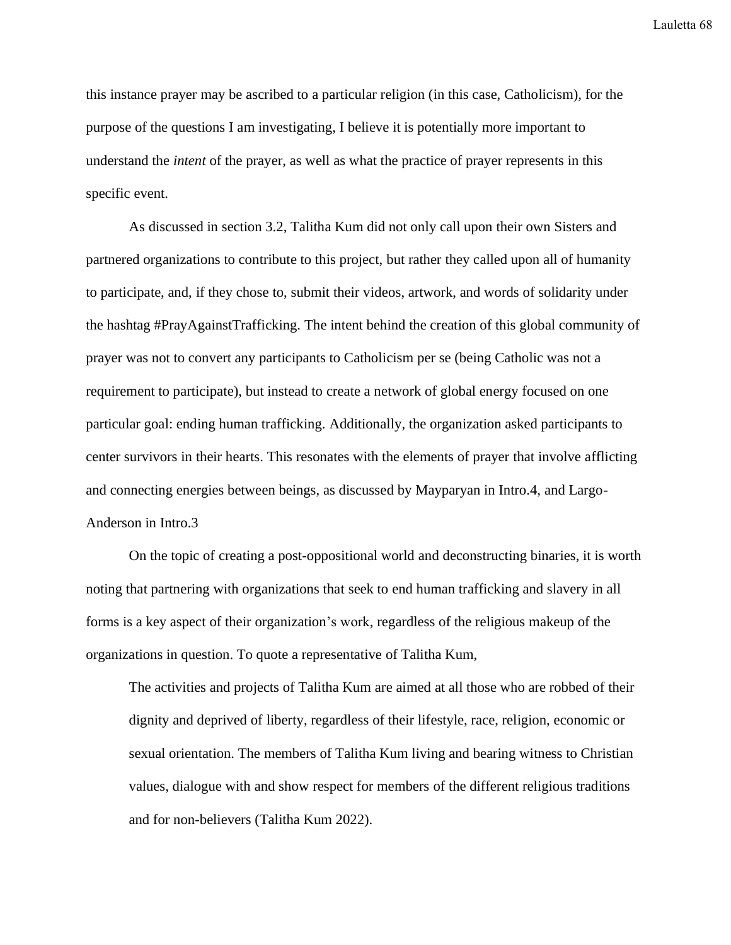this instance prayer may be ascribed to a particular religion (in this case, Catholicism), for the purpose of the questions I am investigating, I believe it is potentially more important to understand the *intent* of the prayer, as well as what the practice of prayer represents in this specific event.

As discussed in section 3.2, Talitha Kum did not only call upon their own Sisters and partnered organizations to contribute to this project, but rather they called upon all of humanity to participate, and, if they chose to, submit their videos, artwork, and words of solidarity under the hashtag #PrayAgainstTrafficking. The intent behind the creation of this global community of prayer was not to convert any participants to Catholicism per se (being Catholic was not a requirement to participate), but instead to create a network of global energy focused on one particular goal: ending human trafficking. Additionally, the organization asked participants to center survivors in their hearts. This resonates with the elements of prayer that involve afflicting and connecting energies between beings, as discussed by Mayparyan in Intro.4, and Largo-Anderson in Intro.3

On the topic of creating a post-oppositional world and deconstructing binaries, it is worth noting that partnering with organizations that seek to end human trafficking and slavery in all forms is a key aspect of their organization's work, regardless of the religious makeup of the organizations in question. To quote a representative of Talitha Kum,

The activities and projects of Talitha Kum are aimed at all those who are robbed of their dignity and deprived of liberty, regardless of their lifestyle, race, religion, economic or sexual orientation. The members of Talitha Kum living and bearing witness to Christian values, dialogue with and show respect for members of the different religious traditions and for non-believers (Talitha Kum 2022).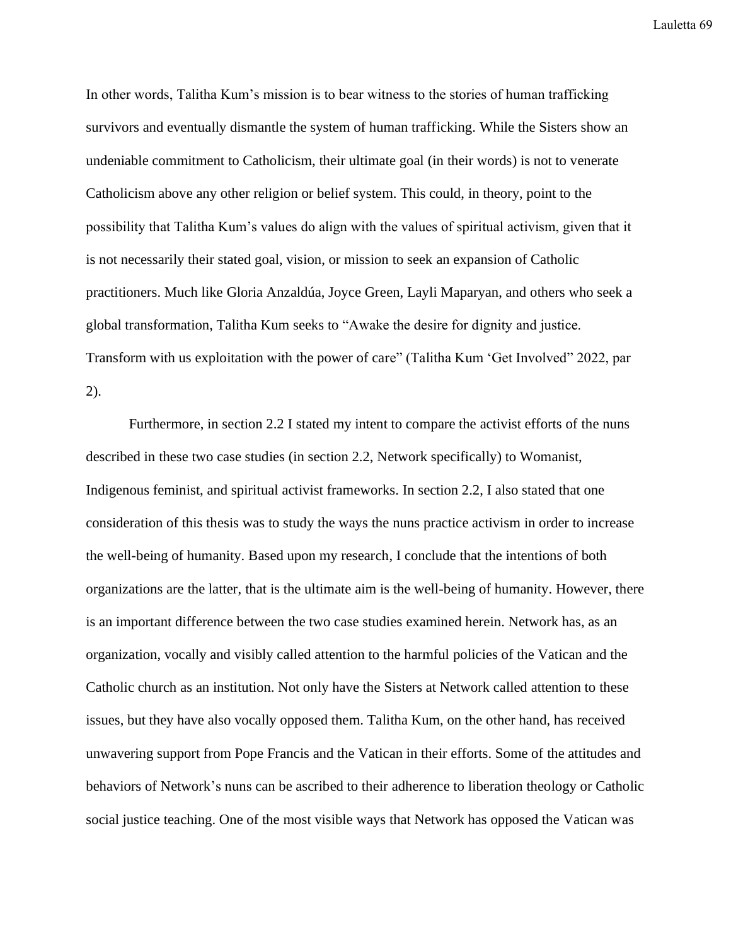In other words, Talitha Kum's mission is to bear witness to the stories of human trafficking survivors and eventually dismantle the system of human trafficking. While the Sisters show an undeniable commitment to Catholicism, their ultimate goal (in their words) is not to venerate Catholicism above any other religion or belief system. This could, in theory, point to the possibility that Talitha Kum's values do align with the values of spiritual activism, given that it is not necessarily their stated goal, vision, or mission to seek an expansion of Catholic practitioners. Much like Gloria Anzaldúa, Joyce Green, Layli Maparyan, and others who seek a global transformation, Talitha Kum seeks to "Awake the desire for dignity and justice. Transform with us exploitation with the power of care" (Talitha Kum 'Get Involved" 2022, par 2).

Furthermore, in section 2.2 I stated my intent to compare the activist efforts of the nuns described in these two case studies (in section 2.2, Network specifically) to Womanist, Indigenous feminist, and spiritual activist frameworks. In section 2.2, I also stated that one consideration of this thesis was to study the ways the nuns practice activism in order to increase the well-being of humanity. Based upon my research, I conclude that the intentions of both organizations are the latter, that is the ultimate aim is the well-being of humanity. However, there is an important difference between the two case studies examined herein. Network has, as an organization, vocally and visibly called attention to the harmful policies of the Vatican and the Catholic church as an institution. Not only have the Sisters at Network called attention to these issues, but they have also vocally opposed them. Talitha Kum, on the other hand, has received unwavering support from Pope Francis and the Vatican in their efforts. Some of the attitudes and behaviors of Network's nuns can be ascribed to their adherence to liberation theology or Catholic social justice teaching. One of the most visible ways that Network has opposed the Vatican was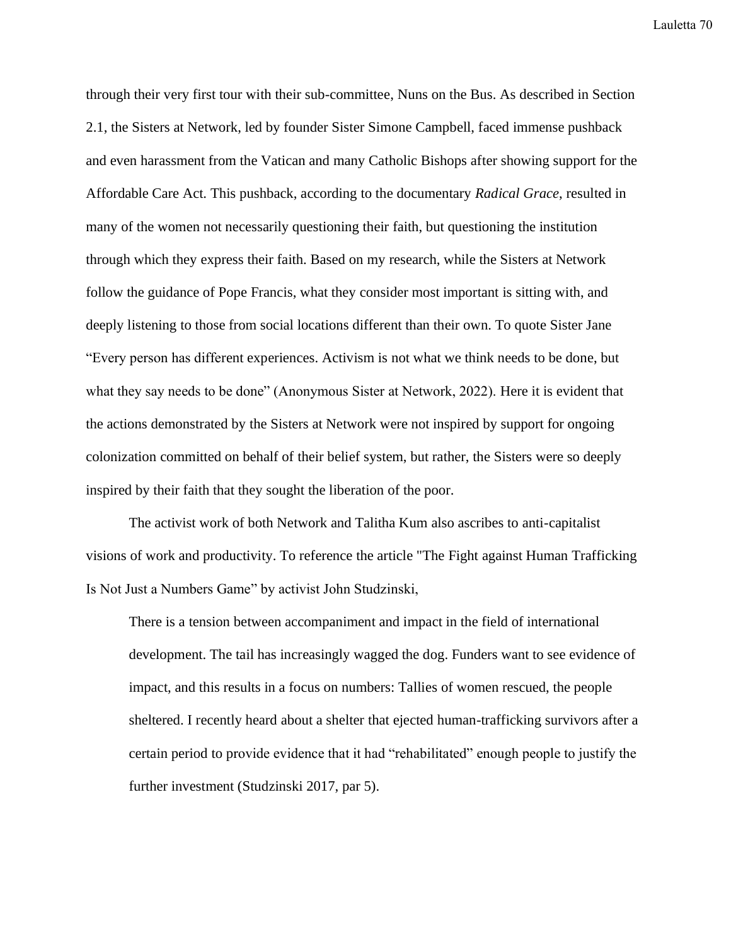through their very first tour with their sub-committee, Nuns on the Bus. As described in Section 2.1, the Sisters at Network, led by founder Sister Simone Campbell, faced immense pushback and even harassment from the Vatican and many Catholic Bishops after showing support for the Affordable Care Act. This pushback, according to the documentary *Radical Grace*, resulted in many of the women not necessarily questioning their faith, but questioning the institution through which they express their faith. Based on my research, while the Sisters at Network follow the guidance of Pope Francis, what they consider most important is sitting with, and deeply listening to those from social locations different than their own. To quote Sister Jane "Every person has different experiences. Activism is not what we think needs to be done, but what they say needs to be done" (Anonymous Sister at Network, 2022). Here it is evident that the actions demonstrated by the Sisters at Network were not inspired by support for ongoing colonization committed on behalf of their belief system, but rather, the Sisters were so deeply inspired by their faith that they sought the liberation of the poor.

The activist work of both Network and Talitha Kum also ascribes to anti-capitalist visions of work and productivity. To reference the article "The Fight against Human Trafficking Is Not Just a Numbers Game" by activist John Studzinski,

There is a tension between accompaniment and impact in the field of international development. The tail has increasingly wagged the dog. Funders want to see evidence of impact, and this results in a focus on numbers: Tallies of women rescued, the people sheltered. I recently heard about a shelter that ejected human-trafficking survivors after a certain period to provide evidence that it had "rehabilitated" enough people to justify the further investment (Studzinski 2017, par 5).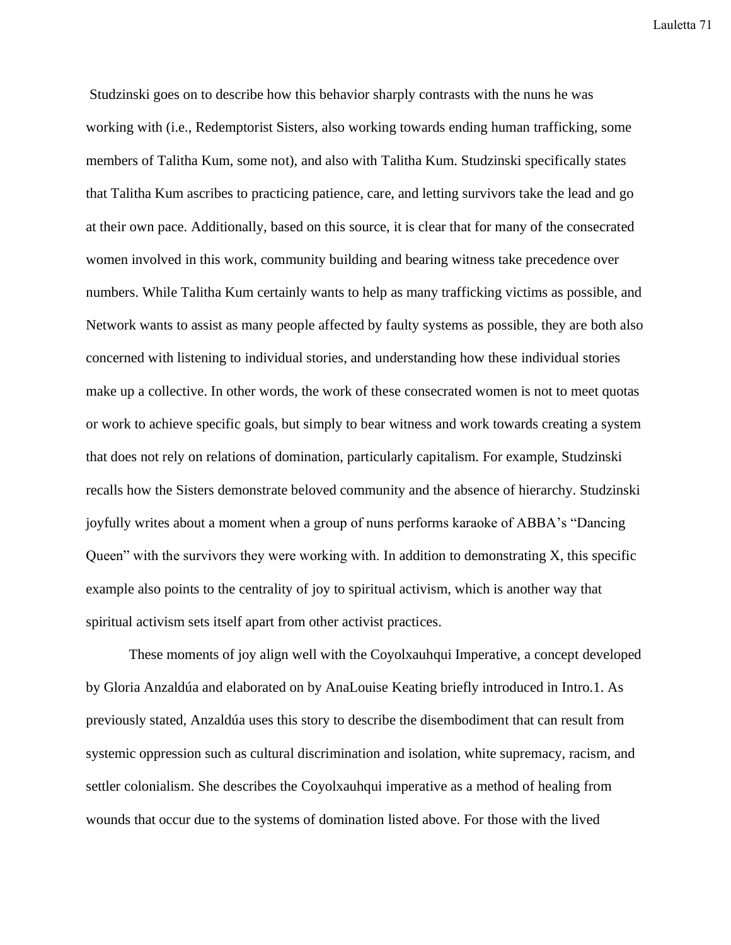Studzinski goes on to describe how this behavior sharply contrasts with the nuns he was working with (i.e., Redemptorist Sisters, also working towards ending human trafficking, some members of Talitha Kum, some not), and also with Talitha Kum. Studzinski specifically states that Talitha Kum ascribes to practicing patience, care, and letting survivors take the lead and go at their own pace. Additionally, based on this source, it is clear that for many of the consecrated women involved in this work, community building and bearing witness take precedence over numbers. While Talitha Kum certainly wants to help as many trafficking victims as possible, and Network wants to assist as many people affected by faulty systems as possible, they are both also concerned with listening to individual stories, and understanding how these individual stories make up a collective. In other words, the work of these consecrated women is not to meet quotas or work to achieve specific goals, but simply to bear witness and work towards creating a system that does not rely on relations of domination, particularly capitalism. For example, Studzinski recalls how the Sisters demonstrate beloved community and the absence of hierarchy. Studzinski joyfully writes about a moment when a group of nuns performs karaoke of ABBA's "Dancing Queen" with the survivors they were working with. In addition to demonstrating X, this specific example also points to the centrality of joy to spiritual activism, which is another way that spiritual activism sets itself apart from other activist practices.

These moments of joy align well with the Coyolxauhqui Imperative, a concept developed by Gloria Anzaldúa and elaborated on by AnaLouise Keating briefly introduced in Intro.1. As previously stated, Anzaldúa uses this story to describe the disembodiment that can result from systemic oppression such as cultural discrimination and isolation, white supremacy, racism, and settler colonialism. She describes the Coyolxauhqui imperative as a method of healing from wounds that occur due to the systems of domination listed above. For those with the lived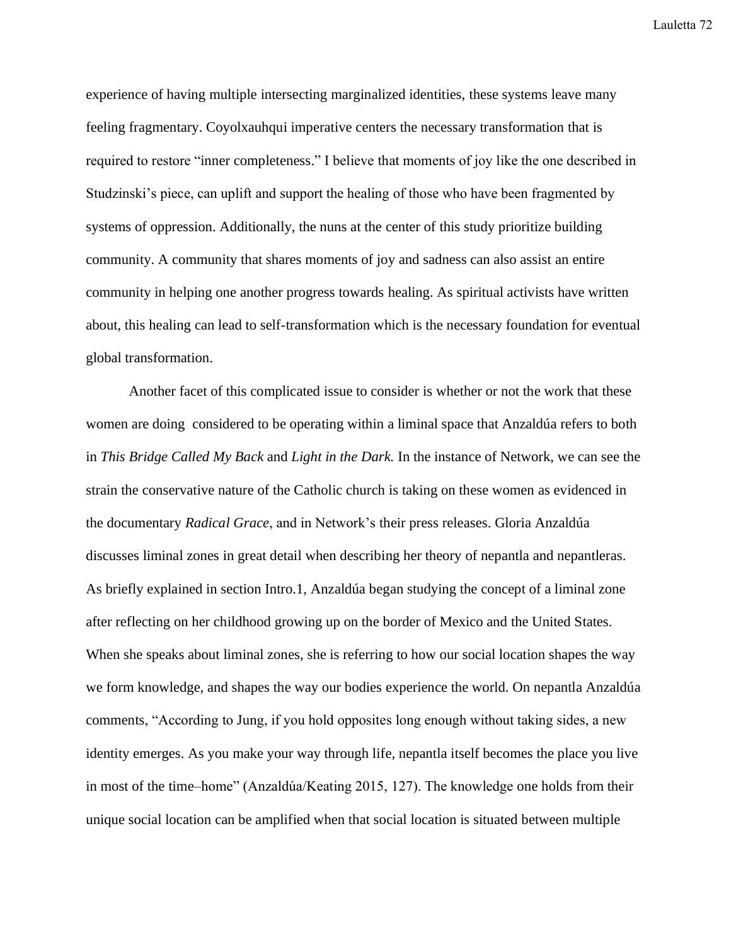experience of having multiple intersecting marginalized identities, these systems leave many feeling fragmentary. Coyolxauhqui imperative centers the necessary transformation that is required to restore "inner completeness." I believe that moments of joy like the one described in Studzinski's piece, can uplift and support the healing of those who have been fragmented by systems of oppression. Additionally, the nuns at the center of this study prioritize building community. A community that shares moments of joy and sadness can also assist an entire community in helping one another progress towards healing. As spiritual activists have written about, this healing can lead to self-transformation which is the necessary foundation for eventual global transformation.

Another facet of this complicated issue to consider is whether or not the work that these women are doing considered to be operating within a liminal space that Anzaldúa refers to both in *This Bridge Called My Back* and *Light in the Dark.* In the instance of Network, we can see the strain the conservative nature of the Catholic church is taking on these women as evidenced in the documentary *Radical Grace*, and in Network's their press releases. Gloria Anzaldúa discusses liminal zones in great detail when describing her theory of nepantla and nepantleras. As briefly explained in section Intro.1, Anzaldúa began studying the concept of a liminal zone after reflecting on her childhood growing up on the border of Mexico and the United States. When she speaks about liminal zones, she is referring to how our social location shapes the way we form knowledge, and shapes the way our bodies experience the world. On nepantla Anzaldúa comments, "According to Jung, if you hold opposites long enough without taking sides, a new identity emerges. As you make your way through life, nepantla itself becomes the place you live in most of the time–home" (Anzaldúa/Keating 2015, 127). The knowledge one holds from their unique social location can be amplified when that social location is situated between multiple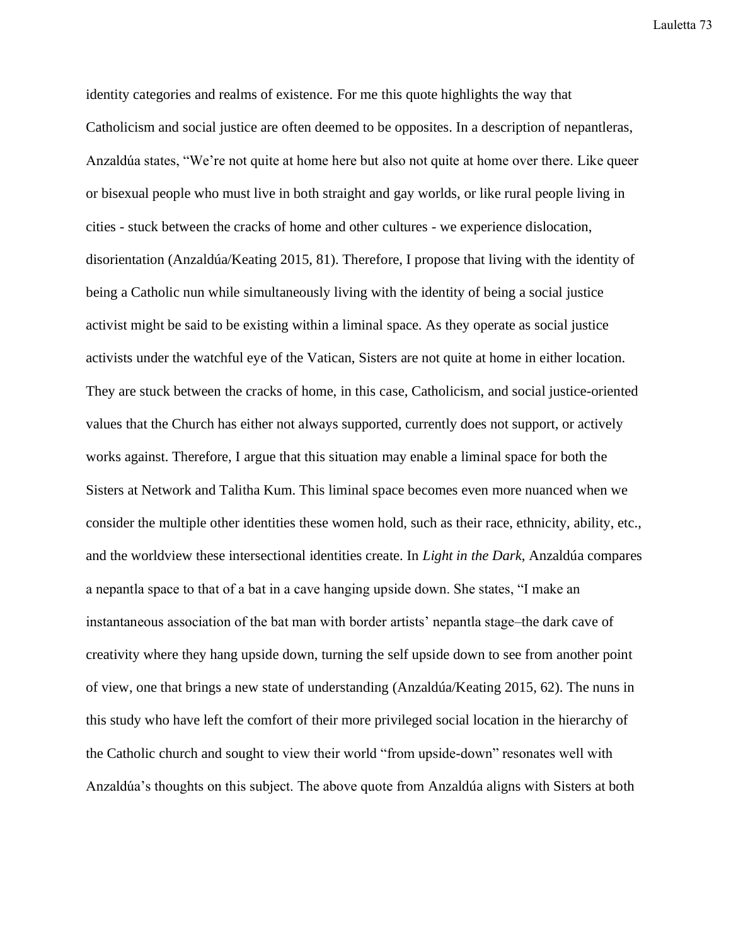identity categories and realms of existence. For me this quote highlights the way that Catholicism and social justice are often deemed to be opposites. In a description of nepantleras, Anzaldúa states, "We're not quite at home here but also not quite at home over there. Like queer or bisexual people who must live in both straight and gay worlds, or like rural people living in cities - stuck between the cracks of home and other cultures - we experience dislocation, disorientation (Anzaldúa/Keating 2015, 81). Therefore, I propose that living with the identity of being a Catholic nun while simultaneously living with the identity of being a social justice activist might be said to be existing within a liminal space. As they operate as social justice activists under the watchful eye of the Vatican, Sisters are not quite at home in either location. They are stuck between the cracks of home, in this case, Catholicism, and social justice-oriented values that the Church has either not always supported, currently does not support, or actively works against. Therefore, I argue that this situation may enable a liminal space for both the Sisters at Network and Talitha Kum. This liminal space becomes even more nuanced when we consider the multiple other identities these women hold, such as their race, ethnicity, ability, etc., and the worldview these intersectional identities create. In *Light in the Dark*, Anzaldúa compares a nepantla space to that of a bat in a cave hanging upside down. She states, "I make an instantaneous association of the bat man with border artists' nepantla stage–the dark cave of creativity where they hang upside down, turning the self upside down to see from another point of view, one that brings a new state of understanding (Anzaldúa/Keating 2015, 62). The nuns in this study who have left the comfort of their more privileged social location in the hierarchy of the Catholic church and sought to view their world "from upside-down" resonates well with Anzaldúa's thoughts on this subject. The above quote from Anzaldúa aligns with Sisters at both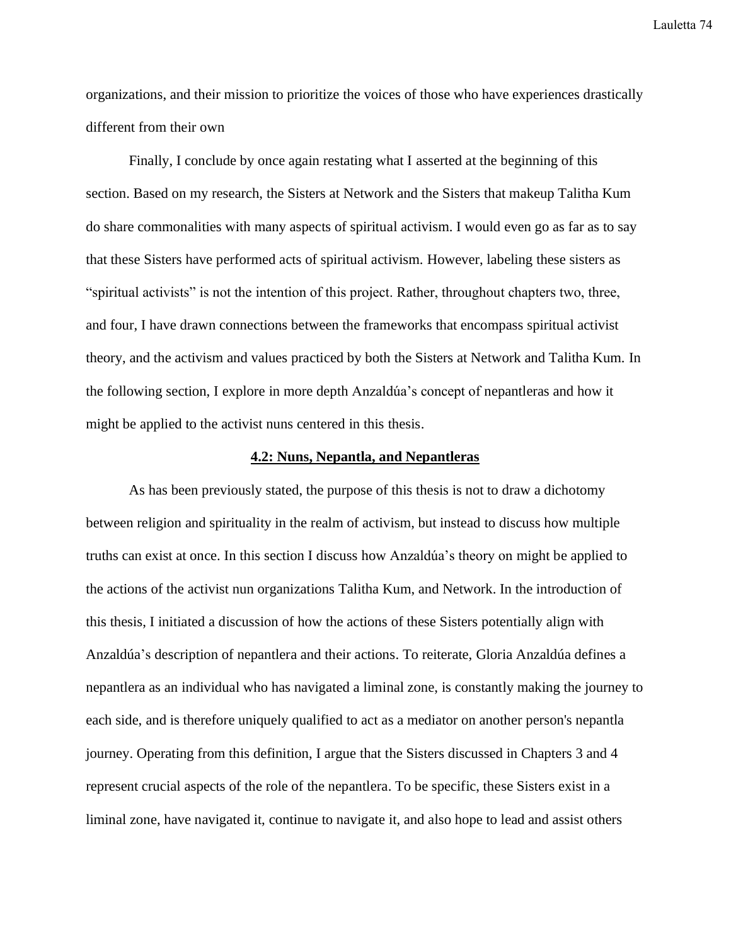organizations, and their mission to prioritize the voices of those who have experiences drastically different from their own

Finally, I conclude by once again restating what I asserted at the beginning of this section. Based on my research, the Sisters at Network and the Sisters that makeup Talitha Kum do share commonalities with many aspects of spiritual activism. I would even go as far as to say that these Sisters have performed acts of spiritual activism. However, labeling these sisters as "spiritual activists" is not the intention of this project. Rather, throughout chapters two, three, and four, I have drawn connections between the frameworks that encompass spiritual activist theory, and the activism and values practiced by both the Sisters at Network and Talitha Kum. In the following section, I explore in more depth Anzaldúa's concept of nepantleras and how it might be applied to the activist nuns centered in this thesis.

## **4.2: Nuns, Nepantla, and Nepantleras**

As has been previously stated, the purpose of this thesis is not to draw a dichotomy between religion and spirituality in the realm of activism, but instead to discuss how multiple truths can exist at once. In this section I discuss how Anzaldúa's theory on might be applied to the actions of the activist nun organizations Talitha Kum, and Network. In the introduction of this thesis, I initiated a discussion of how the actions of these Sisters potentially align with Anzaldúa's description of nepantlera and their actions. To reiterate, Gloria Anzaldúa defines a nepantlera as an individual who has navigated a liminal zone, is constantly making the journey to each side, and is therefore uniquely qualified to act as a mediator on another person's nepantla journey. Operating from this definition, I argue that the Sisters discussed in Chapters 3 and 4 represent crucial aspects of the role of the nepantlera. To be specific, these Sisters exist in a liminal zone, have navigated it, continue to navigate it, and also hope to lead and assist others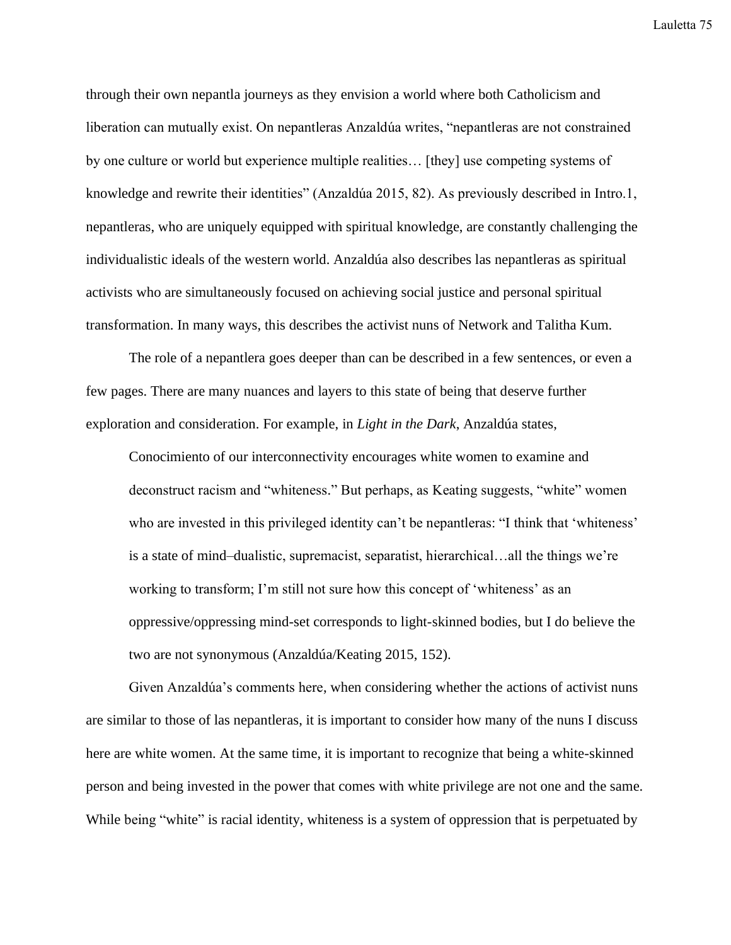through their own nepantla journeys as they envision a world where both Catholicism and liberation can mutually exist. On nepantleras Anzaldúa writes, "nepantleras are not constrained by one culture or world but experience multiple realities… [they] use competing systems of knowledge and rewrite their identities" (Anzaldúa 2015, 82). As previously described in Intro.1, nepantleras, who are uniquely equipped with spiritual knowledge, are constantly challenging the individualistic ideals of the western world. Anzaldúa also describes las nepantleras as spiritual activists who are simultaneously focused on achieving social justice and personal spiritual transformation. In many ways, this describes the activist nuns of Network and Talitha Kum.

The role of a nepantlera goes deeper than can be described in a few sentences, or even a few pages. There are many nuances and layers to this state of being that deserve further exploration and consideration. For example, in *Light in the Dark*, Anzaldúa states,

Conocimiento of our interconnectivity encourages white women to examine and deconstruct racism and "whiteness." But perhaps, as Keating suggests, "white" women who are invested in this privileged identity can't be nepantleras: "I think that 'whiteness' is a state of mind–dualistic, supremacist, separatist, hierarchical…all the things we're working to transform; I'm still not sure how this concept of 'whiteness' as an oppressive/oppressing mind-set corresponds to light-skinned bodies, but I do believe the two are not synonymous (Anzaldúa/Keating 2015, 152).

Given Anzaldúa's comments here, when considering whether the actions of activist nuns are similar to those of las nepantleras, it is important to consider how many of the nuns I discuss here are white women. At the same time, it is important to recognize that being a white-skinned person and being invested in the power that comes with white privilege are not one and the same. While being "white" is racial identity, whiteness is a system of oppression that is perpetuated by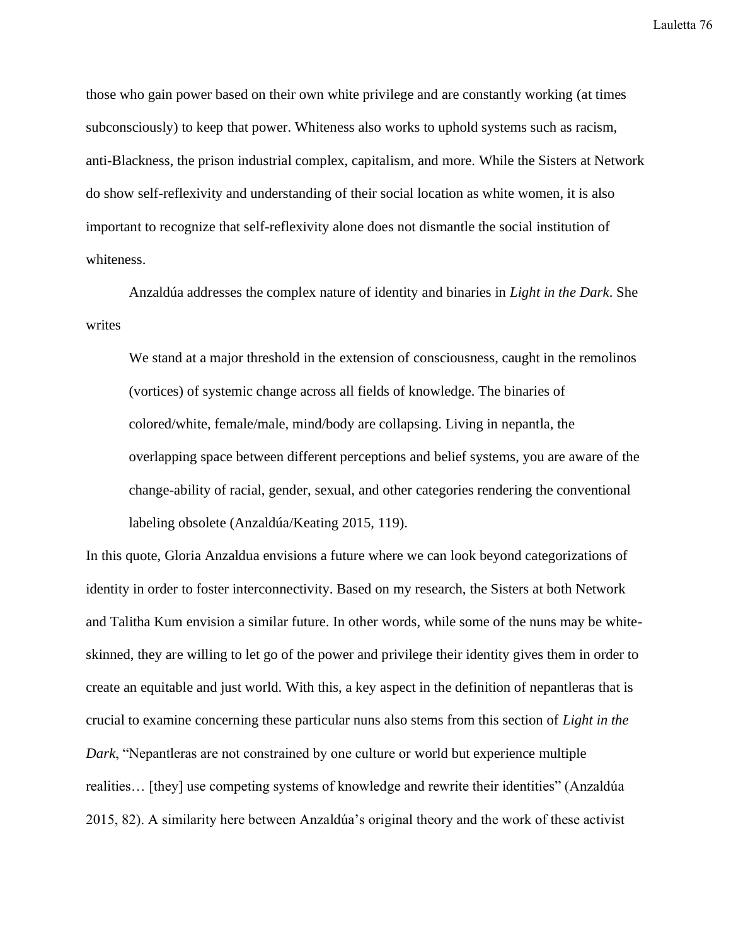those who gain power based on their own white privilege and are constantly working (at times subconsciously) to keep that power. Whiteness also works to uphold systems such as racism, anti-Blackness, the prison industrial complex, capitalism, and more. While the Sisters at Network do show self-reflexivity and understanding of their social location as white women, it is also important to recognize that self-reflexivity alone does not dismantle the social institution of whiteness.

Anzaldúa addresses the complex nature of identity and binaries in *Light in the Dark*. She writes

We stand at a major threshold in the extension of consciousness, caught in the remolinos (vortices) of systemic change across all fields of knowledge. The binaries of colored/white, female/male, mind/body are collapsing. Living in nepantla, the overlapping space between different perceptions and belief systems, you are aware of the change-ability of racial, gender, sexual, and other categories rendering the conventional labeling obsolete (Anzaldúa/Keating 2015, 119).

In this quote, Gloria Anzaldua envisions a future where we can look beyond categorizations of identity in order to foster interconnectivity. Based on my research, the Sisters at both Network and Talitha Kum envision a similar future. In other words, while some of the nuns may be whiteskinned, they are willing to let go of the power and privilege their identity gives them in order to create an equitable and just world. With this, a key aspect in the definition of nepantleras that is crucial to examine concerning these particular nuns also stems from this section of *Light in the Dark*, "Nepantleras are not constrained by one culture or world but experience multiple realities… [they] use competing systems of knowledge and rewrite their identities" (Anzaldúa 2015, 82). A similarity here between Anzaldúa's original theory and the work of these activist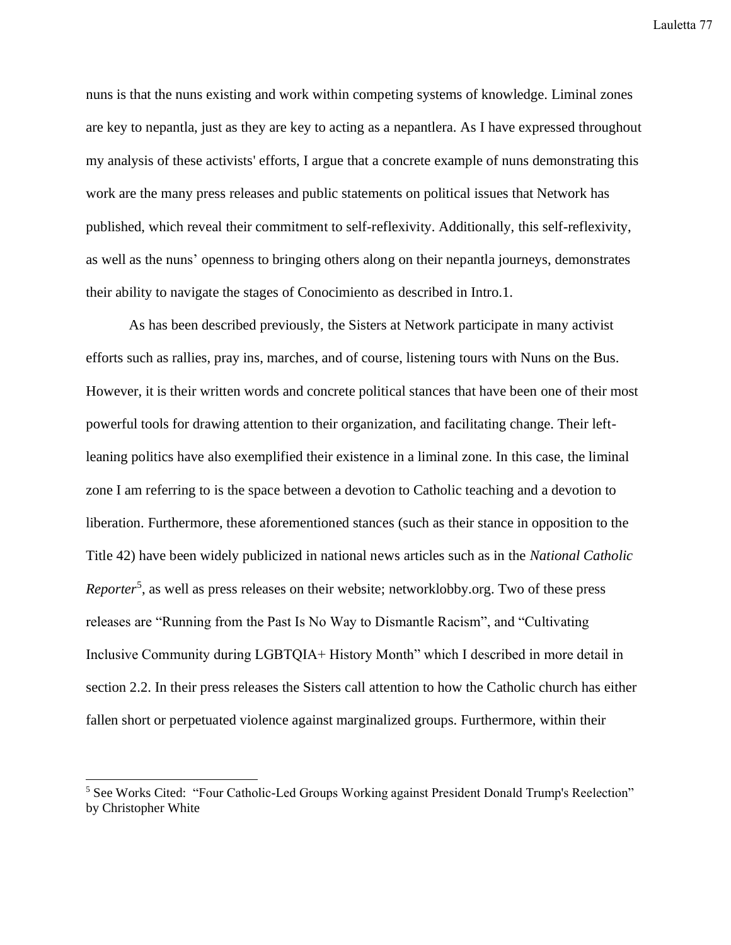nuns is that the nuns existing and work within competing systems of knowledge. Liminal zones are key to nepantla, just as they are key to acting as a nepantlera. As I have expressed throughout my analysis of these activists' efforts, I argue that a concrete example of nuns demonstrating this work are the many press releases and public statements on political issues that Network has published, which reveal their commitment to self-reflexivity. Additionally, this self-reflexivity, as well as the nuns' openness to bringing others along on their nepantla journeys, demonstrates their ability to navigate the stages of Conocimiento as described in Intro.1.

As has been described previously, the Sisters at Network participate in many activist efforts such as rallies, pray ins, marches, and of course, listening tours with Nuns on the Bus. However, it is their written words and concrete political stances that have been one of their most powerful tools for drawing attention to their organization, and facilitating change. Their leftleaning politics have also exemplified their existence in a liminal zone. In this case, the liminal zone I am referring to is the space between a devotion to Catholic teaching and a devotion to liberation. Furthermore, these aforementioned stances (such as their stance in opposition to the Title 42) have been widely publicized in national news articles such as in the *National Catholic*  Reporter<sup>5</sup>, as well as press releases on their website; networklobby.org. Two of these press releases are "Running from the Past Is No Way to Dismantle Racism", and "Cultivating Inclusive Community during LGBTQIA+ History Month" which I described in more detail in section 2.2. In their press releases the Sisters call attention to how the Catholic church has either fallen short or perpetuated violence against marginalized groups. Furthermore, within their

<sup>&</sup>lt;sup>5</sup> See Works Cited: "Four Catholic-Led Groups Working against President Donald Trump's Reelection" by Christopher White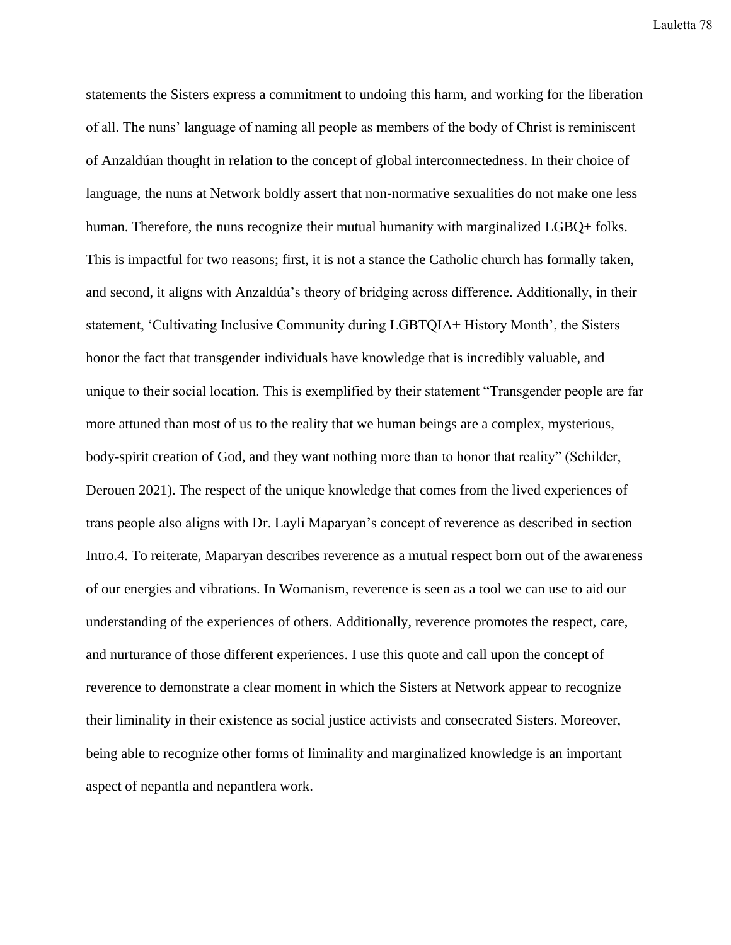statements the Sisters express a commitment to undoing this harm, and working for the liberation of all. The nuns' language of naming all people as members of the body of Christ is reminiscent of Anzaldúan thought in relation to the concept of global interconnectedness. In their choice of language, the nuns at Network boldly assert that non-normative sexualities do not make one less human. Therefore, the nuns recognize their mutual humanity with marginalized LGBQ+ folks. This is impactful for two reasons; first, it is not a stance the Catholic church has formally taken, and second, it aligns with Anzaldúa's theory of bridging across difference. Additionally, in their statement, 'Cultivating Inclusive Community during LGBTQIA+ History Month', the Sisters honor the fact that transgender individuals have knowledge that is incredibly valuable, and unique to their social location. This is exemplified by their statement "Transgender people are far more attuned than most of us to the reality that we human beings are a complex, mysterious, body-spirit creation of God, and they want nothing more than to honor that reality" (Schilder, Derouen 2021). The respect of the unique knowledge that comes from the lived experiences of trans people also aligns with Dr. Layli Maparyan's concept of reverence as described in section Intro.4. To reiterate, Maparyan describes reverence as a mutual respect born out of the awareness of our energies and vibrations. In Womanism, reverence is seen as a tool we can use to aid our understanding of the experiences of others. Additionally, reverence promotes the respect, care, and nurturance of those different experiences. I use this quote and call upon the concept of reverence to demonstrate a clear moment in which the Sisters at Network appear to recognize their liminality in their existence as social justice activists and consecrated Sisters. Moreover, being able to recognize other forms of liminality and marginalized knowledge is an important aspect of nepantla and nepantlera work.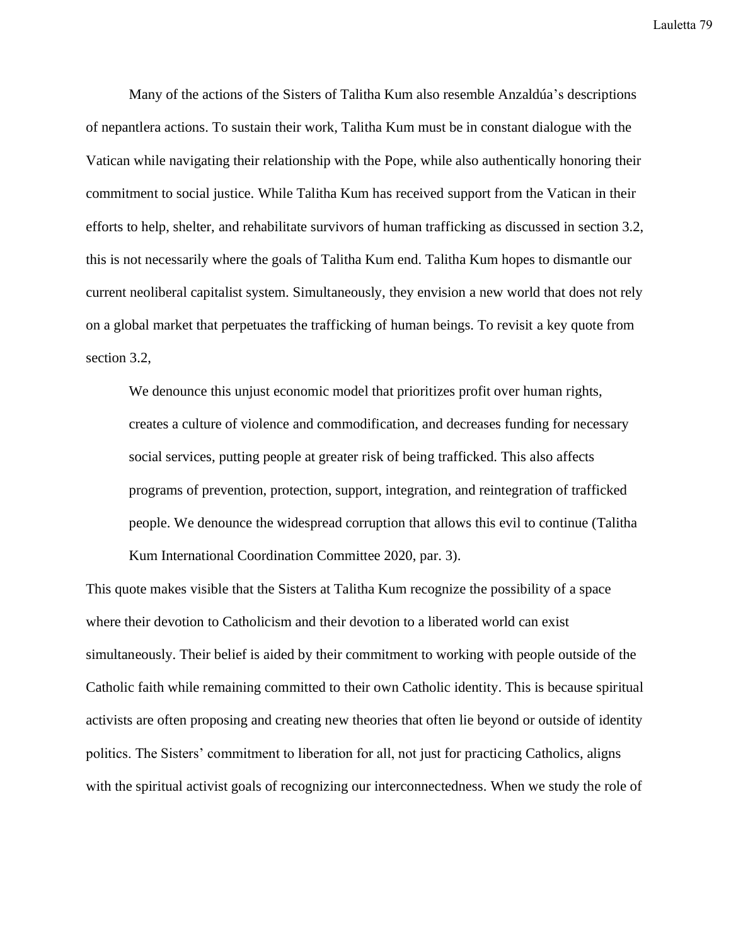Many of the actions of the Sisters of Talitha Kum also resemble Anzaldúa's descriptions of nepantlera actions. To sustain their work, Talitha Kum must be in constant dialogue with the Vatican while navigating their relationship with the Pope, while also authentically honoring their commitment to social justice. While Talitha Kum has received support from the Vatican in their efforts to help, shelter, and rehabilitate survivors of human trafficking as discussed in section 3.2, this is not necessarily where the goals of Talitha Kum end. Talitha Kum hopes to dismantle our current neoliberal capitalist system. Simultaneously, they envision a new world that does not rely on a global market that perpetuates the trafficking of human beings. To revisit a key quote from section 3.2,

We denounce this unjust economic model that prioritizes profit over human rights, creates a culture of violence and commodification, and decreases funding for necessary social services, putting people at greater risk of being trafficked. This also affects programs of prevention, protection, support, integration, and reintegration of trafficked people. We denounce the widespread corruption that allows this evil to continue (Talitha Kum International Coordination Committee 2020, par. 3).

This quote makes visible that the Sisters at Talitha Kum recognize the possibility of a space where their devotion to Catholicism and their devotion to a liberated world can exist simultaneously. Their belief is aided by their commitment to working with people outside of the Catholic faith while remaining committed to their own Catholic identity. This is because spiritual activists are often proposing and creating new theories that often lie beyond or outside of identity politics. The Sisters' commitment to liberation for all, not just for practicing Catholics, aligns with the spiritual activist goals of recognizing our interconnectedness. When we study the role of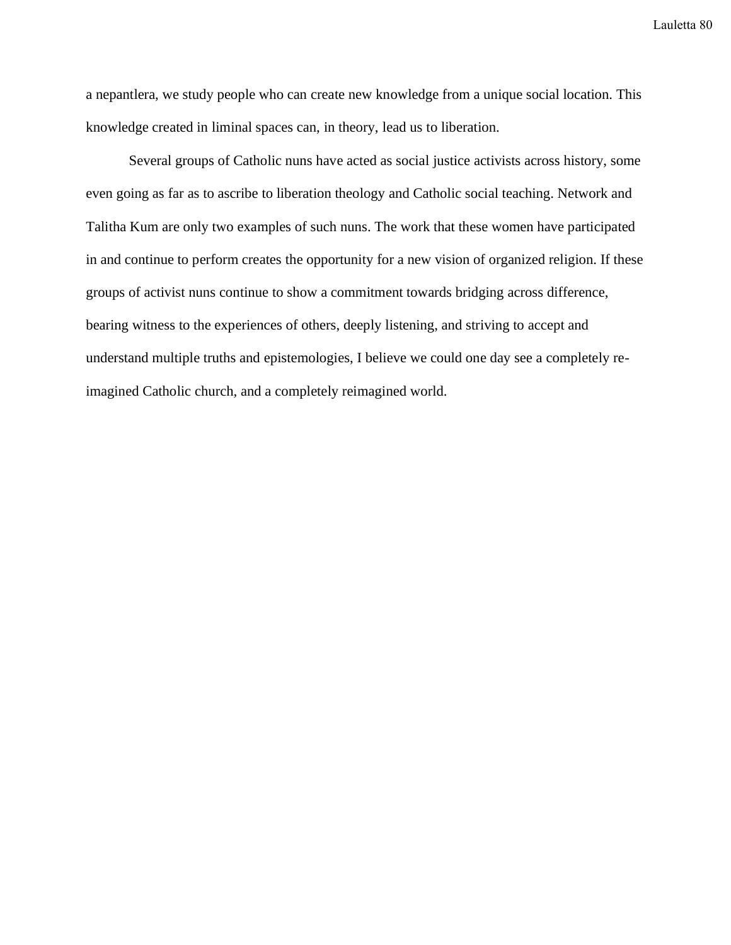a nepantlera, we study people who can create new knowledge from a unique social location. This knowledge created in liminal spaces can, in theory, lead us to liberation.

Several groups of Catholic nuns have acted as social justice activists across history, some even going as far as to ascribe to liberation theology and Catholic social teaching. Network and Talitha Kum are only two examples of such nuns. The work that these women have participated in and continue to perform creates the opportunity for a new vision of organized religion. If these groups of activist nuns continue to show a commitment towards bridging across difference, bearing witness to the experiences of others, deeply listening, and striving to accept and understand multiple truths and epistemologies, I believe we could one day see a completely reimagined Catholic church, and a completely reimagined world.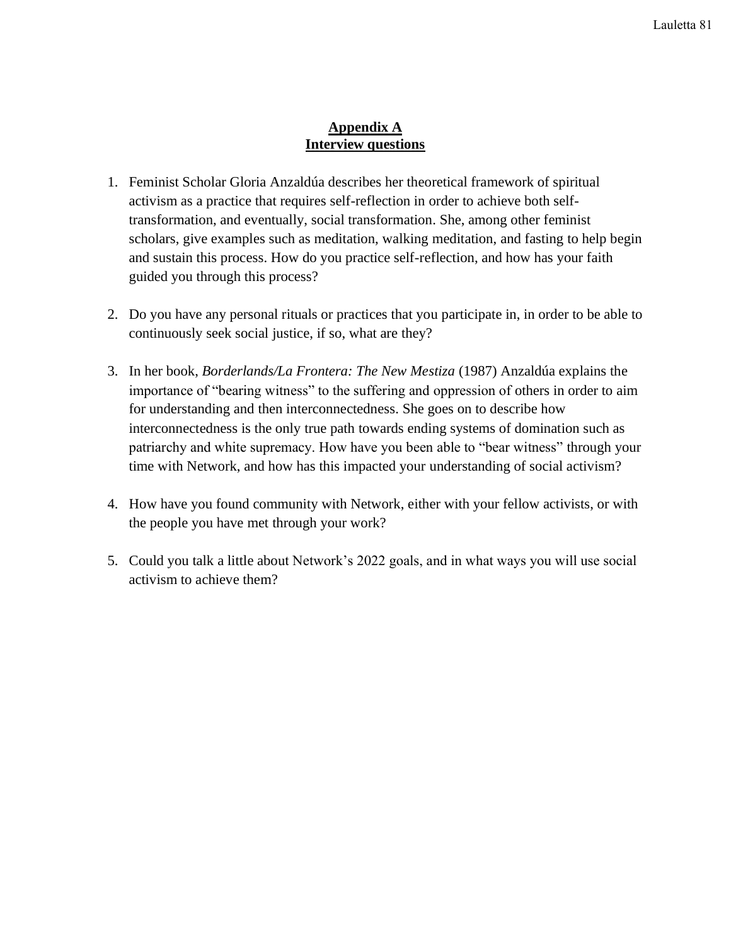## **Appendix A Interview questions**

- 1. Feminist Scholar Gloria Anzaldúa describes her theoretical framework of spiritual activism as a practice that requires self-reflection in order to achieve both selftransformation, and eventually, social transformation. She, among other feminist scholars, give examples such as meditation, walking meditation, and fasting to help begin and sustain this process. How do you practice self-reflection, and how has your faith guided you through this process?
- 2. Do you have any personal rituals or practices that you participate in, in order to be able to continuously seek social justice, if so, what are they?
- 3. In her book, *Borderlands/La Frontera: The New Mestiza* (1987) Anzaldúa explains the importance of "bearing witness" to the suffering and oppression of others in order to aim for understanding and then interconnectedness. She goes on to describe how interconnectedness is the only true path towards ending systems of domination such as patriarchy and white supremacy. How have you been able to "bear witness" through your time with Network, and how has this impacted your understanding of social activism?
- 4. How have you found community with Network, either with your fellow activists, or with the people you have met through your work?
- 5. Could you talk a little about Network's 2022 goals, and in what ways you will use social activism to achieve them?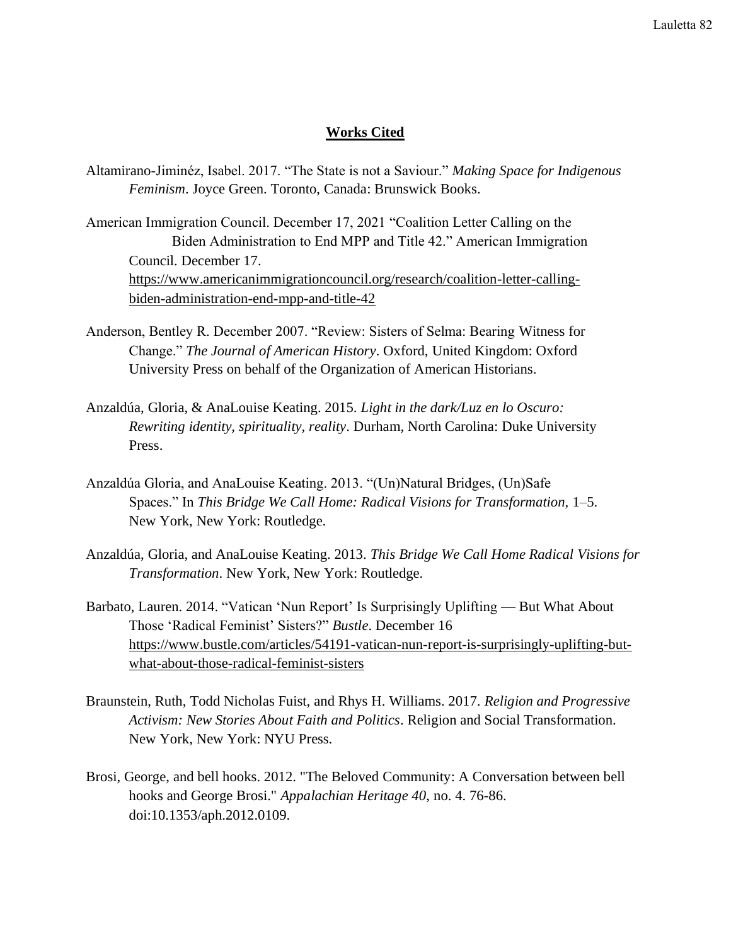## **Works Cited**

- Altamirano-Jiminéz, Isabel. 2017. "The State is not a Saviour." *Making Space for Indigenous Feminism*. Joyce Green. Toronto, Canada: Brunswick Books.
- American Immigration Council. December 17, 2021 "Coalition Letter Calling on the Biden Administration to End MPP and Title 42." American Immigration Council. December 17. [https://www.americanimmigrationcouncil.org/research/coalition-letter-calling](https://www.americanimmigrationcouncil.org/research/coalition-letter-calling-biden-administration-end-mpp-and-title-42)[biden-administration-end-mpp-and-title-42](https://www.americanimmigrationcouncil.org/research/coalition-letter-calling-biden-administration-end-mpp-and-title-42)
- Anderson, Bentley R. December 2007. "Review: Sisters of Selma: Bearing Witness for Change." *The Journal of American History*. Oxford, United Kingdom: Oxford University Press on behalf of the Organization of American Historians.
- Anzaldúa, Gloria, & AnaLouise Keating. 2015. *Light in the dark/Luz en lo Oscuro: Rewriting identity, spirituality, reality*. Durham, North Carolina: Duke University Press.
- Anzaldúa Gloria, and AnaLouise Keating. 2013. "(Un)Natural Bridges, (Un)Safe Spaces." In *This Bridge We Call Home: Radical Visions for Transformation,* 1–5. New York, New York: Routledge.
- Anzaldúa, Gloria, and AnaLouise Keating. 2013. *This Bridge We Call Home Radical Visions for Transformation*. New York, New York: Routledge.
- Barbato, Lauren. 2014. "Vatican 'Nun Report' Is Surprisingly Uplifting But What About Those 'Radical Feminist' Sisters?" *Bustle*. December 16 [https://www.bustle.com/articles/54191-vatican-nun-report-is-surprisingly-uplifting-but](https://www.bustle.com/articles/54191-vatican-nun-report-is-surprisingly-uplifting-but-what-about-those-radical-feminist-sisters)[what-about-those-radical-feminist-sisters](https://www.bustle.com/articles/54191-vatican-nun-report-is-surprisingly-uplifting-but-what-about-those-radical-feminist-sisters)
- Braunstein, Ruth, Todd Nicholas Fuist, and Rhys H. Williams. 2017. *Religion and Progressive Activism: New Stories About Faith and Politics*. Religion and Social Transformation. New York, New York: NYU Press.
- Brosi, George, and bell hooks. 2012. "The Beloved Community: A Conversation between bell hooks and George Brosi." *Appalachian Heritage 40*, no. 4. 76-86. doi:10.1353/aph.2012.0109.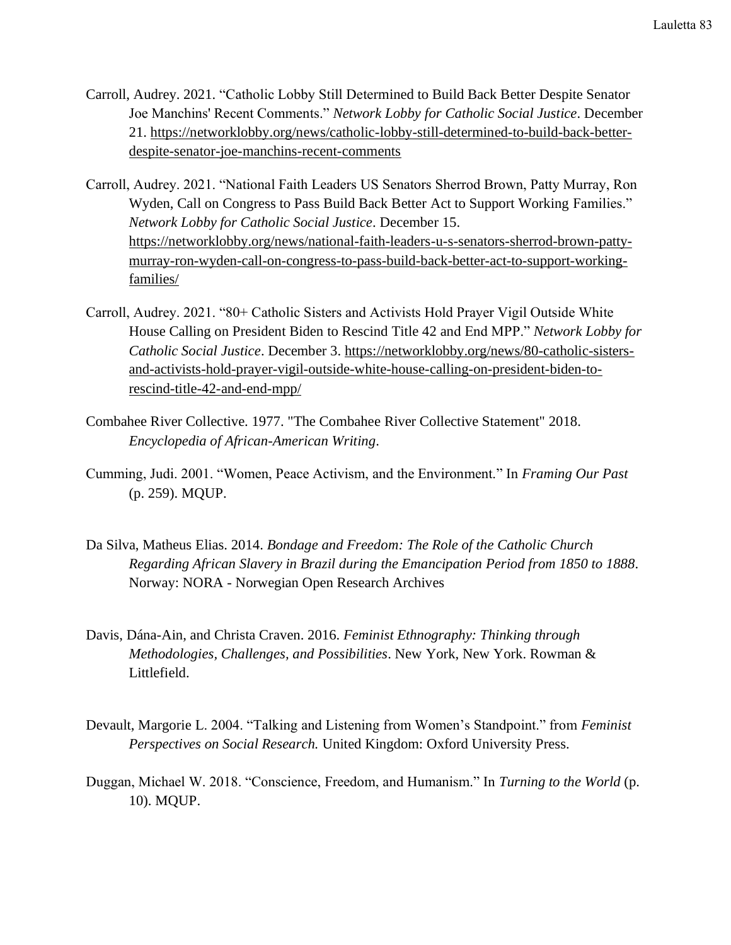- Carroll, Audrey. 2021. "Catholic Lobby Still Determined to Build Back Better Despite Senator Joe Manchins' Recent Comments." *Network Lobby for Catholic Social Justice*. December 21. [https://networklobby.org/news/catholic-lobby-still-determined-to-build-back-better](https://networklobby.org/news/catholic-lobby-still-determined-to-build-back-better-despite-senator-joe-manchins-recent-comments)[despite-senator-joe-manchins-recent-comments](https://networklobby.org/news/catholic-lobby-still-determined-to-build-back-better-despite-senator-joe-manchins-recent-comments)
- Carroll, Audrey. 2021. "National Faith Leaders US Senators Sherrod Brown, Patty Murray, Ron Wyden, Call on Congress to Pass Build Back Better Act to Support Working Families." *Network Lobby for Catholic Social Justice*. December 15. [https://networklobby.org/news/national-faith-leaders-u-s-senators-sherrod-brown-patty](https://networklobby.org/news/national-faith-leaders-u-s-senators-sherrod-brown-patty-murray-ron-wyden-call-on-congress-to-pass-build-back-better-act-to-support-working-families/)[murray-ron-wyden-call-on-congress-to-pass-build-back-better-act-to-support-working](https://networklobby.org/news/national-faith-leaders-u-s-senators-sherrod-brown-patty-murray-ron-wyden-call-on-congress-to-pass-build-back-better-act-to-support-working-families/)[families/](https://networklobby.org/news/national-faith-leaders-u-s-senators-sherrod-brown-patty-murray-ron-wyden-call-on-congress-to-pass-build-back-better-act-to-support-working-families/)
- Carroll, Audrey. 2021. "80+ Catholic Sisters and Activists Hold Prayer Vigil Outside White House Calling on President Biden to Rescind Title 42 and End MPP." *Network Lobby for Catholic Social Justice*. December 3. [https://networklobby.org/news/80-catholic-sisters](https://networklobby.org/news/80-catholic-sisters-and-activists-hold-prayer-vigil-outside-white-house-calling-on-president-biden-to-rescind-title-42-and-end-mpp/)[and-activists-hold-prayer-vigil-outside-white-house-calling-on-president-biden-to](https://networklobby.org/news/80-catholic-sisters-and-activists-hold-prayer-vigil-outside-white-house-calling-on-president-biden-to-rescind-title-42-and-end-mpp/)[rescind-title-42-and-end-mpp/](https://networklobby.org/news/80-catholic-sisters-and-activists-hold-prayer-vigil-outside-white-house-calling-on-president-biden-to-rescind-title-42-and-end-mpp/)
- Combahee River Collective. 1977. "The Combahee River Collective Statement" 2018. *Encyclopedia of African-American Writing*.
- Cumming, Judi. 2001. "Women, Peace Activism, and the Environment." In *Framing Our Past* (p. 259). MQUP.
- Da Silva, Matheus Elias. 2014. *Bondage and Freedom: The Role of the Catholic Church Regarding African Slavery in Brazil during the Emancipation Period from 1850 to 1888*. Norway: NORA - Norwegian Open Research Archives
- Davis, Dána-Ain, and Christa Craven. 2016. *Feminist Ethnography: Thinking through Methodologies, Challenges, and Possibilities*. New York, New York. Rowman & Littlefield.
- Devault, Margorie L. 2004. "Talking and Listening from Women's Standpoint." from *Feminist Perspectives on Social Research.* United Kingdom: Oxford University Press.
- Duggan, Michael W. 2018. "Conscience, Freedom, and Humanism." In *Turning to the World* (p. 10). MQUP.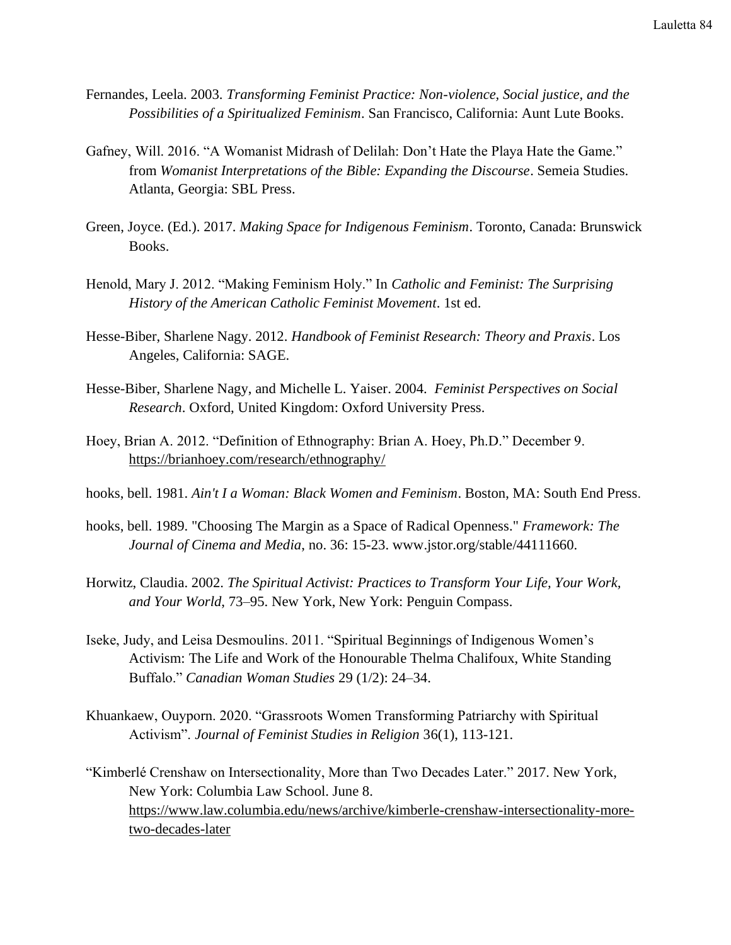- Fernandes, Leela. 2003. *Transforming Feminist Practice: Non-violence, Social justice, and the Possibilities of a Spiritualized Feminism*. San Francisco, California: Aunt Lute Books.
- Gafney, Will. 2016. "A Womanist Midrash of Delilah: Don't Hate the Playa Hate the Game." from *Womanist Interpretations of the Bible: Expanding the Discourse*. Semeia Studies. Atlanta, Georgia: SBL Press.
- Green, Joyce. (Ed.). 2017. *Making Space for Indigenous Feminism*. Toronto, Canada: Brunswick Books.
- Henold, Mary J. 2012. "Making Feminism Holy." In *Catholic and Feminist: The Surprising History of the American Catholic Feminist Movement*. 1st ed.
- Hesse-Biber, Sharlene Nagy. 2012. *Handbook of Feminist Research: Theory and Praxis*. Los Angeles, California: SAGE.
- Hesse-Biber, Sharlene Nagy, and Michelle L. Yaiser. 2004. *Feminist Perspectives on Social Research*. Oxford, United Kingdom: Oxford University Press.
- Hoey, Brian A. 2012. "Definition of Ethnography: Brian A. Hoey, Ph.D." December 9. <https://brianhoey.com/research/ethnography/>
- hooks, bell. 1981. *Ain't I a Woman: Black Women and Feminism*. Boston, MA: South End Press.
- hooks, bell. 1989. "Choosing The Margin as a Space of Radical Openness." *Framework: The Journal of Cinema and Media*, no. 36: 15-23. www.jstor.org/stable/44111660.
- Horwitz, Claudia. 2002. *The Spiritual Activist: Practices to Transform Your Life, Your Work, and Your World*, 73–95. New York, New York: Penguin Compass.
- Iseke, Judy, and Leisa Desmoulins. 2011. "Spiritual Beginnings of Indigenous Women's Activism: The Life and Work of the Honourable Thelma Chalifoux, White Standing Buffalo." *Canadian Woman Studies* 29 (1/2): 24–34.
- Khuankaew, Ouyporn. 2020. "Grassroots Women Transforming Patriarchy with Spiritual Activism". *Journal of Feminist Studies in Religion* 36(1), 113-121.

"Kimberlé Crenshaw on Intersectionality, More than Two Decades Later." 2017. New York, New York: Columbia Law School. June 8. [https://www.law.columbia.edu/news/archive/kimberle-crenshaw-intersectionality-more](https://www.law.columbia.edu/news/archive/kimberle-crenshaw-intersectionality-more-two-decades-later)[two-decades-later](https://www.law.columbia.edu/news/archive/kimberle-crenshaw-intersectionality-more-two-decades-later)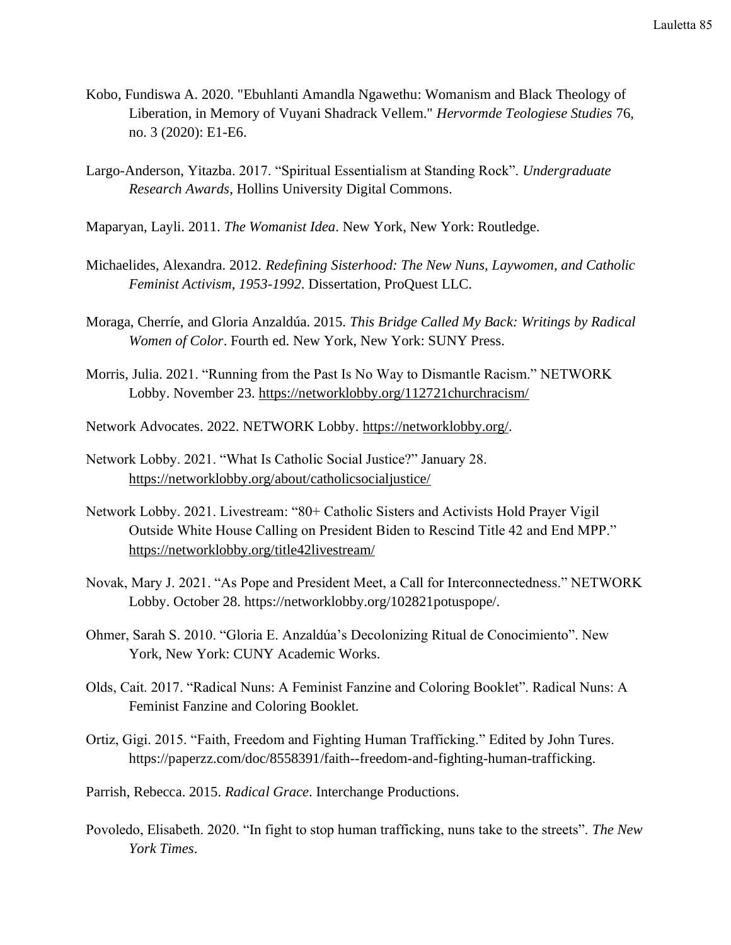- Kobo, Fundiswa A. 2020. "Ebuhlanti Amandla Ngawethu: Womanism and Black Theology of Liberation, in Memory of Vuyani Shadrack Vellem." *Hervormde Teologiese Studies* 76, no. 3 (2020): E1-E6.
- Largo-Anderson, Yitazba. 2017. "Spiritual Essentialism at Standing Rock". *Undergraduate Research Awards*, Hollins University Digital Commons.
- Maparyan, Layli. 2011. *The Womanist Idea*. New York, New York: Routledge.
- Michaelides, Alexandra. 2012. *Redefining Sisterhood: The New Nuns, Laywomen, and Catholic Feminist Activism, 1953-1992*. Dissertation, ProQuest LLC.
- Moraga, Cherríe, and Gloria Anzaldúa. 2015. *This Bridge Called My Back: Writings by Radical Women of Color*. Fourth ed. New York, New York: SUNY Press.
- Morris, Julia. 2021. "Running from the Past Is No Way to Dismantle Racism." NETWORK Lobby. November 23.<https://networklobby.org/112721churchracism/>
- Network Advocates. 2022. NETWORK Lobby. [https://networklobby.org/.](https://networklobby.org/)
- Network Lobby. 2021. "What Is Catholic Social Justice?" January 28. <https://networklobby.org/about/catholicsocialjustice/>
- Network Lobby. 2021. Livestream: "80+ Catholic Sisters and Activists Hold Prayer Vigil Outside White House Calling on President Biden to Rescind Title 42 and End MPP." <https://networklobby.org/title42livestream/>
- Novak, Mary J. 2021. "As Pope and President Meet, a Call for Interconnectedness." NETWORK Lobby. October 28. https://networklobby.org/102821potuspope/.
- Ohmer, Sarah S. 2010. "Gloria E. Anzaldúa's Decolonizing Ritual de Conocimiento". New York, New York: CUNY Academic Works.
- Olds, Cait. 2017. "Radical Nuns: A Feminist Fanzine and Coloring Booklet". Radical Nuns: A Feminist Fanzine and Coloring Booklet.
- Ortiz, Gigi. 2015. "Faith, Freedom and Fighting Human Trafficking." Edited by John Tures. https://paperzz.com/doc/8558391/faith--freedom-and-fighting-human-trafficking.
- Parrish, Rebecca. 2015. *Radical Grace*. Interchange Productions.
- Povoledo, Elisabeth. 2020. "In fight to stop human trafficking, nuns take to the streets". *The New York Times*.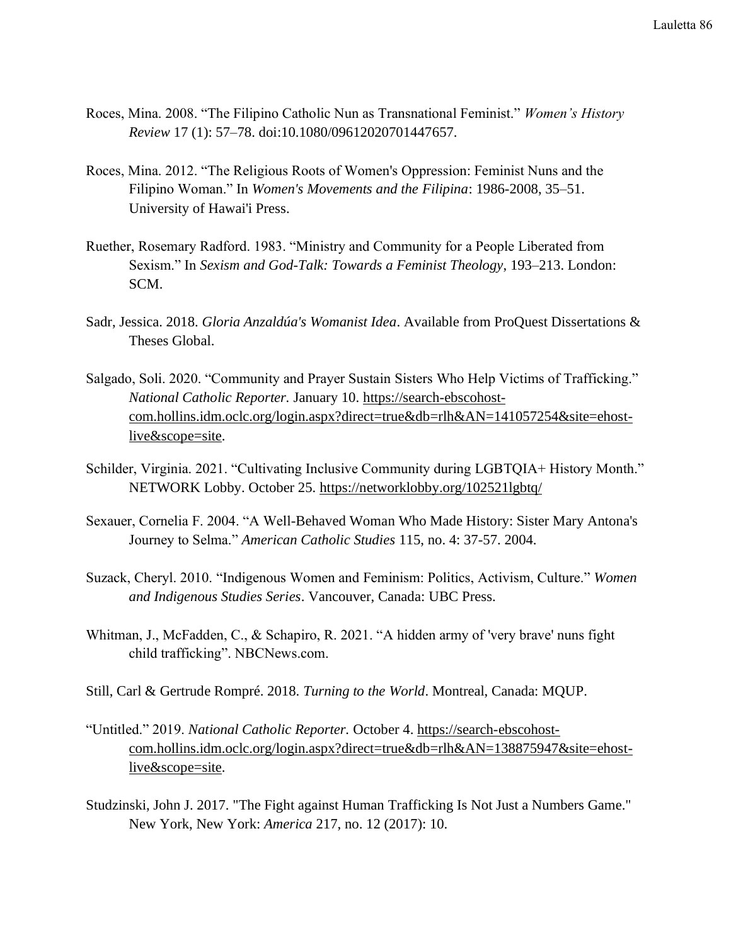- Roces, Mina. 2008. "The Filipino Catholic Nun as Transnational Feminist." *Women's History Review* 17 (1): 57–78. doi:10.1080/09612020701447657.
- Roces, Mina. 2012. "The Religious Roots of Women's Oppression: Feminist Nuns and the Filipino Woman." In *Women's Movements and the Filipina*: 1986-2008, 35–51. University of Hawai'i Press.
- Ruether, Rosemary Radford. 1983. "Ministry and Community for a People Liberated from Sexism." In *Sexism and God-Talk: Towards a Feminist Theology*, 193–213. London: SCM.
- Sadr, Jessica. 2018. *Gloria Anzaldúa's Womanist Idea*. Available from ProQuest Dissertations & Theses Global.
- Salgado, Soli. 2020. "Community and Prayer Sustain Sisters Who Help Victims of Trafficking." *National Catholic Reporter.* January 10. [https://search-ebscohost](https://search-ebscohost-com.hollins.idm.oclc.org/login.aspx?direct=true&db=rlh&AN=141057254&site=ehost-live&scope=site)[com.hollins.idm.oclc.org/login.aspx?direct=true&db=rlh&AN=141057254&site=ehost](https://search-ebscohost-com.hollins.idm.oclc.org/login.aspx?direct=true&db=rlh&AN=141057254&site=ehost-live&scope=site)[live&scope=site.](https://search-ebscohost-com.hollins.idm.oclc.org/login.aspx?direct=true&db=rlh&AN=141057254&site=ehost-live&scope=site)
- Schilder, Virginia. 2021. "Cultivating Inclusive Community during LGBTQIA+ History Month." NETWORK Lobby. October 25.<https://networklobby.org/102521lgbtq/>
- Sexauer, Cornelia F. 2004. "A Well-Behaved Woman Who Made History: Sister Mary Antona's Journey to Selma." *American Catholic Studies* 115, no. 4: 37-57. 2004.
- Suzack, Cheryl. 2010. "Indigenous Women and Feminism: Politics, Activism, Culture." *Women and Indigenous Studies Series*. Vancouver, Canada: UBC Press.
- Whitman, J., McFadden, C., & Schapiro, R. 2021. "A hidden army of 'very brave' nuns fight child trafficking". NBCNews.com.
- Still, Carl & Gertrude Rompré. 2018. *Turning to the World*. Montreal, Canada: MQUP.
- "Untitled." 2019. *National Catholic Reporter.* October 4. [https://search-ebscohost](https://search-ebscohost-com.hollins.idm.oclc.org/login.aspx?direct=true&db=rlh&AN=138875947&site=ehost-live&scope=site)[com.hollins.idm.oclc.org/login.aspx?direct=true&db=rlh&AN=138875947&site=ehost](https://search-ebscohost-com.hollins.idm.oclc.org/login.aspx?direct=true&db=rlh&AN=138875947&site=ehost-live&scope=site)[live&scope=site.](https://search-ebscohost-com.hollins.idm.oclc.org/login.aspx?direct=true&db=rlh&AN=138875947&site=ehost-live&scope=site)
- Studzinski, John J. 2017. "The Fight against Human Trafficking Is Not Just a Numbers Game." New York, New York: *America* 217, no. 12 (2017): 10.